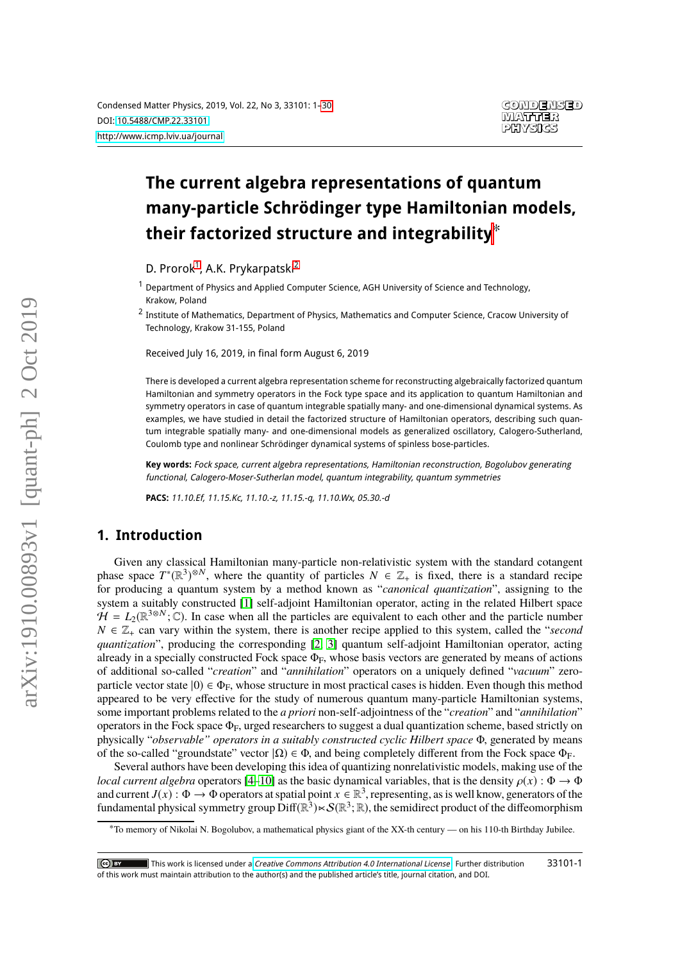# **The current algebra representations of quantum many-particle Schrödinger type Hamiltonian models, their factorized structure and integrability**∗

D. Prorok<sup>[1](#page-0-0)</sup>, A.K. Prykarpatski<sup>[2](#page-0-1)</sup>

<span id="page-0-0"></span><sup>1</sup> Department of Physics and Applied Computer Science, AGH University of Science and Technology, Krakow, Poland

<span id="page-0-1"></span><sup>2</sup> Institute of Mathematics, Department of Physics, Mathematics and Computer Science, Cracow University of Technology, Krakow 31-155, Poland

Received July 16, 2019, in final form August 6, 2019

There is developed a current algebra representation scheme for reconstructing algebraically factorized quantum Hamiltonian and symmetry operators in the Fock type space and its application to quantum Hamiltonian and symmetry operators in case of quantum integrable spatially many- and one-dimensional dynamical systems. As examples, we have studied in detail the factorized structure of Hamiltonian operators, describing such quantum integrable spatially many- and one-dimensional models as generalized oscillatory, Calogero-Sutherland, Coulomb type and nonlinear Schrödinger dynamical systems of spinless bose-particles.

**Key words:** Fock space, current algebra representations, Hamiltonian reconstruction, Bogolubov generating functional, Calogero-Moser-Sutherlan model, quantum integrability, quantum symmetries

**PACS:** 11.10.Ef, 11.15.Kc, 11.10.-z, 11.15.-q, 11.10.Wx, 05.30.-d

# **1. Introduction**

Given any classical Hamiltonian many-particle non-relativistic system with the standard cotangent phase space  $T^*(\mathbb{R}^3)^{\otimes N}$ , where the quantity of particles  $N \in \mathbb{Z}_+$  is fixed, there is a standard recipe for producing a quantum system by a method known as "*canonical quantization*" assigning to the for producing a quantum system by a method known as "*canonical quantization*", assigning to the system a suitably constructed [\[1\]](#page-28-0) self-adjoint Hamiltonian operator, acting in the related Hilbert space  $H = L_2(\mathbb{R}^{3 \otimes N}; \mathbb{C})$ . In case when all the particles are equivalent to each other and the particle number  $N \in \mathbb{Z}$ , can vary within the system, there is another recipe applied to this system, called the "second  $N \in \mathbb{Z}_+$  can vary within the system, there is another recipe applied to this system, called the "*second quantization*", producing the corresponding [\[2,](#page-28-1) [3\]](#page-28-2) quantum self-adjoint Hamiltonian operator, acting already in a specially constructed Fock space  $\Phi_F$ , whose basis vectors are generated by means of actions of additional so-called "*creation*" and "*annihilation*" operators on a uniquely defined "*vacuum*" zeroparticle vector state  $|0\rangle \in \Phi_F$ , whose structure in most practical cases is hidden. Even though this method appeared to be very effective for the study of numerous quantum many-particle Hamiltonian systems, some important problems related to the *a priori* non-self-adjointness of the "*creation*" and "*annihilation*" operators in the Fock space  $\Phi_F$ , urged researchers to suggest a dual quantization scheme, based strictly on physically "*observable" operators in a suitably constructed cyclic Hilbert space* <sup>Φ</sup>, generated by means of the so-called "groundstate" vector  $|\Omega\rangle \in \Phi$ , and being completely different from the Fock space  $\Phi_F$ .

Several authors have been developing this idea of quantizing nonrelativistic models, making use of the *local current algebra* operators [\[4](#page-28-3)[–10\]](#page-28-4) as the basic dynamical variables, that is the density  $\rho(x)$ :  $\Phi \to \Phi$ and current *J*(*x*) :  $\Phi \to \Phi$  operators at spatial point  $x \in \mathbb{R}^3$ , representing, as is well know, generators of the fundamental physical symmetry group  $Diff(\mathbb{R}^3) \ltimes S(\mathbb{R}^3 \cdot \mathbb{R})$ , the semidirect product of th fundamental physical symmetry group  $\text{Diff}(\mathbb{R}^3) \ltimes \mathcal{S}(\mathbb{R}^3; \mathbb{R})$ , the semidirect product of the diffeomorphism

<sup>∗</sup>To memory of Nikolai N. Bogolubov, a mathematical physics giant of the XX-th century — on his 110-th Birthday Jubilee.

This work is licensed under a [Creative Commons Attribution 4.0 International License](http://creativecommons.org/licenses/by/4.0/). Further distribution 33101-1  $(G)$  BY of this work must maintain attribution to the author(s) and the published article's title, journal citation, and DOI.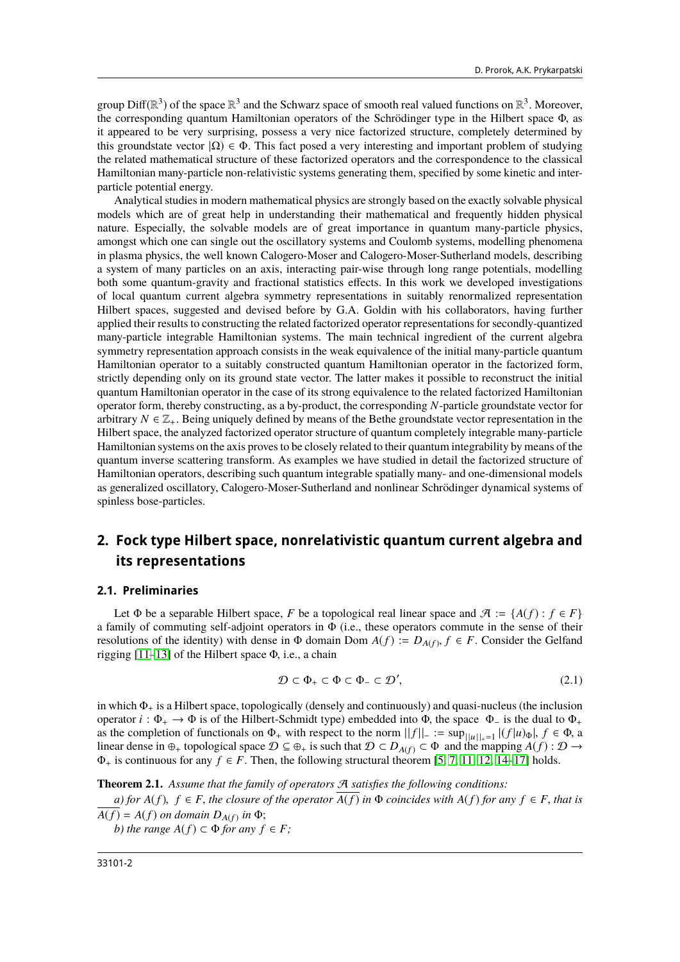group Diff( $\mathbb{R}^3$ ) of the space  $\mathbb{R}^3$  and the Schwarz space of smooth real valued functions on  $\mathbb{R}^3$ . Moreover, the corresponding quantum Hamiltonian operators of the Schrödinger type in the Hilbert space  $\$ the corresponding quantum Hamiltonian operators of the Schrödinger type in the Hilbert space <sup>Φ</sup>, as it appeared to be very surprising, possess a very nice factorized structure, completely determined by this groundstate vector  $|Ω$ )  $∈ Φ$ . This fact posed a very interesting and important problem of studying the related mathematical structure of these factorized operators and the correspondence to the classical Hamiltonian many-particle non-relativistic systems generating them, specified by some kinetic and interparticle potential energy.

Analytical studies in modern mathematical physics are strongly based on the exactly solvable physical models which are of great help in understanding their mathematical and frequently hidden physical nature. Especially, the solvable models are of great importance in quantum many-particle physics, amongst which one can single out the oscillatory systems and Coulomb systems, modelling phenomena in plasma physics, the well known Calogero-Moser and Calogero-Moser-Sutherland models, describing a system of many particles on an axis, interacting pair-wise through long range potentials, modelling both some quantum-gravity and fractional statistics effects. In this work we developed investigations of local quantum current algebra symmetry representations in suitably renormalized representation Hilbert spaces, suggested and devised before by G.A. Goldin with his collaborators, having further applied their results to constructing the related factorized operator representations for secondly-quantized many-particle integrable Hamiltonian systems. The main technical ingredient of the current algebra symmetry representation approach consists in the weak equivalence of the initial many-particle quantum Hamiltonian operator to a suitably constructed quantum Hamiltonian operator in the factorized form, strictly depending only on its ground state vector. The latter makes it possible to reconstruct the initial quantum Hamiltonian operator in the case of its strong equivalence to the related factorized Hamiltonian operator form, thereby constructing, as a by-product, the corresponding *N*-particle groundstate vector for arbitrary  $N \in \mathbb{Z}_+$ . Being uniquely defined by means of the Bethe groundstate vector representation in the Hilbert space, the analyzed factorized operator structure of quantum completely integrable many-particle Hamiltonian systems on the axis proves to be closely related to their quantum integrability by means of the quantum inverse scattering transform. As examples we have studied in detail the factorized structure of Hamiltonian operators, describing such quantum integrable spatially many- and one-dimensional models as generalized oscillatory, Calogero-Moser-Sutherland and nonlinear Schrödinger dynamical systems of spinless bose-particles.

# <span id="page-1-2"></span>**2. Fock type Hilbert space, nonrelativistic quantum current algebra and its representations**

#### **2.1. Preliminaries**

Let  $\Phi$  be a separable Hilbert space, *F* be a topological real linear space and  $\mathcal{A} := \{A(f) : f \in F\}$ a family of commuting self-adjoint operators in Φ (i.e., these operators commute in the sense of their resolutions of the identity) with dense in  $\Phi$  domain Dom  $A(f) := D_{A(f)}, f \in F$ . Consider the Gelfand rigging [11–13] of the Hilbert space  $\Phi$  i.e., a chain rigging [\[11](#page-28-5)[–13\]](#page-28-6) of the Hilbert space <sup>Φ</sup>, i.e., a chain

<span id="page-1-0"></span>
$$
\mathcal{D} \subset \Phi_+ \subset \Phi \subset \Phi_- \subset \mathcal{D}',\tag{2.1}
$$

in which  $\Phi_+$  is a Hilbert space, topologically (densely and continuously) and quasi-nucleus (the inclusion operator  $i : \Phi_+ \to \Phi$  is of the Hilbert-Schmidt type) embedded into  $\Phi$ , the space  $\Phi_-$  is the dual to  $\Phi_+$ as the completion of functionals on  $\Phi_+$  with respect to the norm  $||f||_-=\sup_{||u||_+=1} |(f|u)_{\Phi}|, f \in \Phi$ , a<br>linear dense in  $\oplus$ , topological space  $\mathcal{D} \subset \oplus$ , is such that  $\mathcal{D} \subset D$   $\mu \circ \subset \Phi$  and the manning  $A(f) : \mathcal$ linear dense in  $\oplus_+$  topological space  $\mathcal{D} \subseteq \oplus_+$  is such that  $\mathcal{D} \subset D_{A(f)} \subset \Phi$  and the mapping  $A(f) : \mathcal{D} \to$  $\Phi_+$  is continuous for any  $f \in F$ . Then, the following structural theorem [\[5,](#page-28-7) [7,](#page-28-8) [11,](#page-28-5) [12,](#page-28-9) [14–](#page-28-10)[17\]](#page-28-11) holds.

<span id="page-1-1"></span>**Theorem 2.1.** *Assume that the family of operators* A *satisfies the following conditions:*

*a)* for  $A(f)$ ,  $f \in F$ , the closure of the operator  $\overline{A(f)}$  in  $\Phi$  coincides with  $A(f)$  for any  $f \in F$ , that is  $A(f) = A(f)$  *on domain*  $D_{A(f)}$  *in*  $\Phi$ ;

*b)* the range  $A(f) \subset \Phi$  for any  $f \in F$ ;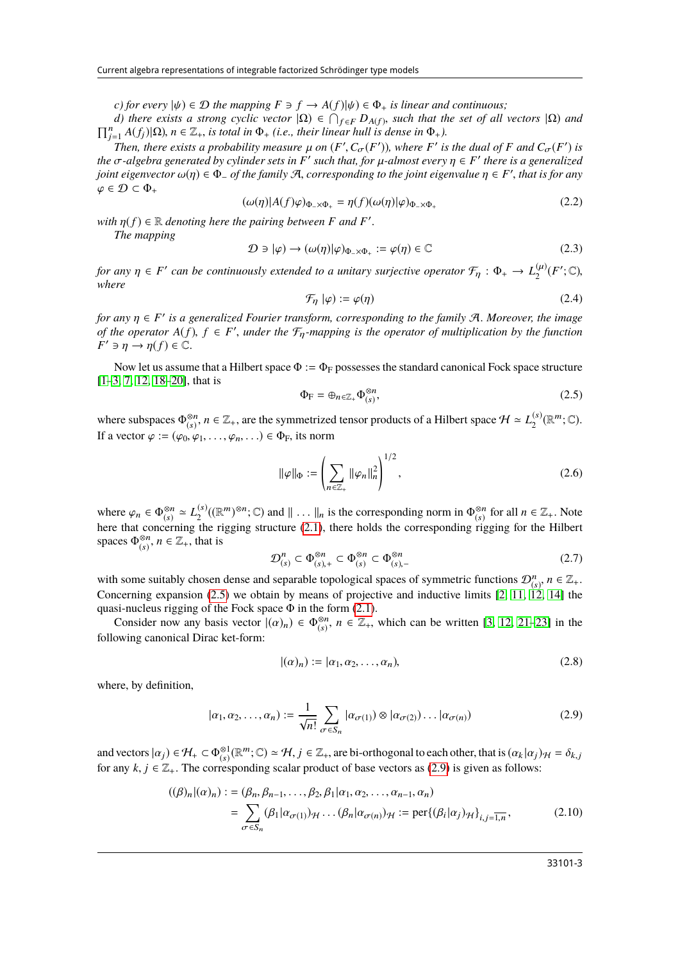*c)* for every  $|\psi\rangle \in \mathcal{D}$  the mapping  $F \ni f \rightarrow A(f)|\psi\rangle \in \Phi_+$  is linear and continuous;

*d) there exists a strong cyclic vector*  $|\Omega) \in \bigcap_{f \in F} D_{A(f)}$ , such that the set of all vectors  $|\Omega)$  and  $\prod_{i=1}^{n} A(f_i) |\Omega|$ ,  $n \in \mathbb{Z}_+$ , is total in  $\Phi_+$  (i.e., their linear hull is dense in  $\Phi_+$ ).  $\sum_{j=1}^{n} A(f_j) | \Omega \rangle$ ,  $n \in \mathbb{Z}_+$ , *is total in*  $\Phi_+$  *(i.e., their linear hull is dense in*  $\Phi_+$ *).*<br>Then there exists a probability measure *u* on  $(F' C (F'))$  where  $F'$  *is* 

*Then, there exists a probability measure*  $\mu$  *on* (*F'*,  $C_{\sigma}(F')$ ), where *F' is the dual of F* and  $C_{\sigma}(F')$  *is*  $\sigma$ -algebra generated by cylinder sets in *F'* such that for u-almost every  $n \in F'$  there is a ge *the*  $\sigma$ -algebra generated by cylinder sets in  $F'$  such that, for  $\mu$ -almost every  $\eta \in F'$  there is a generalized ioint eigenvector  $\omega(n) \in \Phi$  of the family  $\mathcal{A}$  corresponding to the joint eigenvalue  $n \in F'$  that *joint eigenvector*  $\omega(\eta) \in \Phi_-\$  *of the family* A, *corresponding to the joint eigenvalue*  $\eta \in F'$ , *that is for any*  $\varphi \in \mathcal{D} \subset \Phi_+$ 

$$
(\omega(\eta)|A(f)\varphi)_{\Phi_{-\times}\Phi_{+}} = \eta(f)(\omega(\eta)|\varphi)_{\Phi_{-\times}\Phi_{+}}
$$
\n(2.2)

*with*  $\eta(f) \in \mathbb{R}$  *denoting here the pairing between F and F*<sup>*'*</sup> *The manning* 

*The mapping*

$$
\mathcal{D} \ni |\varphi) \to (\omega(\eta)|\varphi)_{\Phi_{-\times}\Phi_{+}} := \varphi(\eta) \in \mathbb{C}
$$
\n(2.3)

<span id="page-2-3"></span>*for any*  $\eta \in F'$  can be continuously extended to a unitary surjective operator  $\mathcal{F}_{\eta}: \Phi_+ \to L_2^{(\mu)}(F'; \mathbb{C})$ , where *where*

$$
\mathcal{F}_{\eta} \left[ \varphi \right) := \varphi(\eta) \tag{2.4}
$$

*for any*  $\eta \in F'$  is a generalized Fourier transform, corresponding to the family A. Moreover, the image of the operator  $A(f)$ ,  $f \in F'$  under the  $F$ -manning is the operator of multiplication by the function *of the operator*  $A(f)$ ,  $f \in F'$ , *under the*  $\mathcal{F}_\eta$ *-mapping is the operator of multiplication by the function*<br> $F' \ni n \to n(f) \in \mathbb{C}$  $F' \ni \eta \to \eta(f) \in \mathbb{C}.$ 

Now let us assume that a Hilbert space  $\Phi := \Phi_F$  possesses the standard canonical Fock space structure [\[1–](#page-28-0)[3,](#page-28-2) [7,](#page-28-8) [12,](#page-28-9) [18–](#page-28-12)[20\]](#page-28-13), that is

<span id="page-2-0"></span>
$$
\Phi_{\mathcal{F}} = \oplus_{n \in \mathbb{Z}_+} \Phi_{(s)}^{\otimes n},\tag{2.5}
$$

where subspaces  $\Phi_{(s)}^{\otimes n}$ <sup>⊗*n*</sup>, *n* ∈  $\mathbb{Z}_+$ , are the symmetrized tensor products of a Hilbert space  $\mathcal{H} \simeq L_2^{(s)}$  $\binom{s}{2}(\mathbb{R}^m;\mathbb{C}).$ If a vector  $\varphi := (\varphi_0, \varphi_1, \ldots, \varphi_n, \ldots) \in \Phi_F$ , its norm

$$
\|\varphi\|_{\Phi} := \left(\sum_{n \in \mathbb{Z}_+} \|\varphi_n\|_n^2\right)^{1/2},\tag{2.6}
$$

where  $\varphi_n \in \Phi_{(s)}^{\otimes n}$  $\frac{\otimes n}{(s)} \simeq L_2^{(s)}$  $\mathcal{L}^{(s)}((\mathbb{R}^m)^{\otimes n}; \mathbb{C})$  and  $\|\ldots\|_n$  is the corresponding norm in  $\Phi_{(s)}^{\otimes n}$ <br>the rigging structure (2.1) there helds the corresponding right where  $\varphi_n \in \Phi_{(s)}^{\otimes n} \simeq L_2^{(s)}((\mathbb{R}^m)^{\otimes n}; \mathbb{C})$  and  $\| \dots \|_n$  is the corresponding norm in  $\Phi_{(s)}^{\otimes n}$  for all  $n \in \mathbb{Z}_+$ . Note here that concerning the rigging structure [\(2.1\)](#page-1-0), there holds the correspondi spaces  $\Phi_{(s)}^{\otimes n}$  $\binom{8n}{(s)}$ ,  $n \in \mathbb{Z}_+$ , that is

$$
\mathcal{D}_{(s)}^n \subset \Phi_{(s),+}^{\otimes n} \subset \Phi_{(s)}^{\otimes n} \subset \Phi_{(s),-}^{\otimes n}
$$
 (2.7)

with some suitably chosen dense and separable topological spaces of symmetric functions  $\mathcal{D}_\alpha^n$ ,  $n \in \mathbb{Z}_+$ .<br>Concerning expansion (2.5) we obtain by means of projective and inductive limits [2, 11, 12, 14] the Concerning expansion [\(2.5\)](#page-2-0) we obtain by means of projective and inductive limits  $[2, 11, 12, 14]$  $[2, 11, 12, 14]$  $[2, 11, 12, 14]$  $[2, 11, 12, 14]$  the quasi-nucleus rigging of the Fock space  $\Phi$  in the form [\(2.1\)](#page-1-0).

Consider now any basis vector  $|(\alpha)_n\rangle \in \Phi_{(s)}^{\otimes n}$ <br>suring cononical Direc ket form:  $\binom{\otimes n}{(s)}$ ,  $n \in \mathbb{Z}_+$ , which can be written [\[3,](#page-28-2) [12,](#page-28-9) [21](#page-28-14)[–23\]](#page-28-15) in the following canonical Dirac ket-form:

<span id="page-2-2"></span>
$$
|(a)_n) := |\alpha_1, \alpha_2, \dots, \alpha_n),\tag{2.8}
$$

where, by definition,

<span id="page-2-1"></span>
$$
|\alpha_1, \alpha_2, \dots, \alpha_n| := \frac{1}{\sqrt{n!}} \sum_{\sigma \in S_n} |\alpha_{\sigma(1)}\rangle \otimes |\alpha_{\sigma(2)}\rangle \dots |\alpha_{\sigma(n)}\rangle
$$
 (2.9)

and vectors  $|\alpha_j| \in \mathcal{H}_+ \subset \Phi_{(s)}^{\otimes 1}(\mathbb{R}^m;\mathbb{C}) \simeq \mathcal{H}, j \in \mathbb{Z}_+$ , are bi-orthogonal to each other, that is  $(\alpha_k|\alpha_j)_{\mathcal{H}} = \delta_{k,j}$ <br>for any  $k, j \in \mathbb{Z}_+$ . The corresponding scelar product of bese vectors as (2 for any  $k, j \in \mathbb{Z}_+$ . The corresponding scalar product of base vectors as [\(2.9\)](#page-2-1) is given as follows:

$$
((\beta)_n | (\alpha)_n) := (\beta_n, \beta_{n-1}, \dots, \beta_2, \beta_1 | \alpha_1, \alpha_2, \dots, \alpha_{n-1}, \alpha_n)
$$
  
= 
$$
\sum_{\sigma \in S_n} (\beta_1 | \alpha_{\sigma(1)})_{\mathcal{H}} \dots (\beta_n | \alpha_{\sigma(n)})_{\mathcal{H}} := \text{per}\{(\beta_i | \alpha_j)_{\mathcal{H}}\}_{i,j=\overline{1,n}},
$$
 (2.10)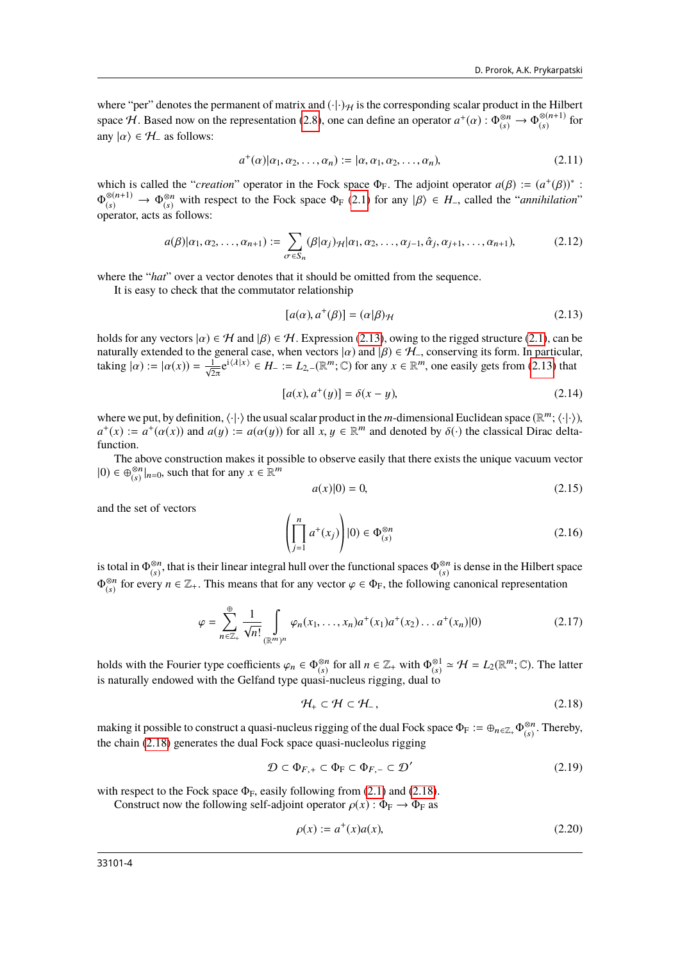where "per" denotes the permanent of matrix and  $(\cdot|\cdot)_{\mathcal{H}}$  is the corresponding scalar product in the Hilbert space H. Based now on the representation [\(2.8\)](#page-2-2), one can define an operator  $a^+(\alpha)$  :  $\Phi_{(s)}^{\otimes n} \to \Phi_{(s)}^{\otimes (n+1)}$  $\int_{(s)}^{\infty(n+1)}$  for any  $|\alpha\rangle \in \mathcal{H}_-$  as follows:

<span id="page-3-2"></span>
$$
a^+(\alpha)|\alpha_1, \alpha_2, \dots, \alpha_n| := |\alpha, \alpha_1, \alpha_2, \dots, \alpha_n|,
$$
\n(2.11)

which is called the "*creation*" operator in the Fock space  $\Phi_F$ . The adjoint operator  $a(\beta) := (a^+(\beta))^*$ :<br> $\Phi^{\otimes (n+1)} \to \Phi^{\otimes n}$  with respect to the Fock space  $\Phi_{\alpha}(2,1)$  for any  $|\beta\rangle \in H$ , called the "*annibilation*"  $\Phi_{(s)}^{\otimes (n+1)} \to \Phi_{(s)}^{\otimes n}$ <sup>⊗n</sup> with respect to the Fock space  $\Phi_F$  [\(2.1\)](#page-1-0) for any  $|\beta\rangle \in H$ <sub>-</sub>, called the "*annihilation*" (s) operator, acts as follows:

<span id="page-3-3"></span>
$$
a(\beta)|\alpha_1,\alpha_2,\ldots,\alpha_{n+1}) := \sum_{\sigma \in S_n} (\beta|\alpha_j)_{\mathcal{H}}|\alpha_1,\alpha_2,\ldots,\alpha_{j-1},\hat{\alpha}_j,\alpha_{j+1},\ldots,\alpha_{n+1}),
$$
(2.12)

where the "*hat*" over a vector denotes that it should be omitted from the sequence.

It is easy to check that the commutator relationship

<span id="page-3-0"></span>
$$
[a(\alpha), a^+(\beta)] = (\alpha|\beta)_{\mathcal{H}}
$$
\n(2.13)

holds for any vectors  $|\alpha\rangle \in \mathcal{H}$  and  $|\beta\rangle \in \mathcal{H}$ . Expression [\(2.13\)](#page-3-0), owing to the rigged structure [\(2.1\)](#page-1-0), can be naturally extended to the general case, when vectors  $|\alpha\rangle$  and  $|\beta\rangle \in \mathcal{H}_-$ , conserving its form. In particular,<br>taking  $|\alpha\rangle := |\alpha(x)\rangle = \frac{1}{n} e^{i\langle\lambda|x\rangle} \in H^{-1} - I_2$  ( $\mathbb{R}^m \cdot \mathbb{C}$ ) for any  $x \in \mathbb{R}^m$  one easily g taking  $|\alpha\rangle := |\alpha(x)\rangle = \frac{1}{\sqrt{2\pi}} e^{i\langle \lambda | x \rangle} \in H_{-} := L_{2,-}(\mathbb{R}^m; \mathbb{C})$  for any  $x \in \mathbb{R}^m$ , one easily gets from [\(2.13\)](#page-3-0) that

$$
[a(x), a^+(y)] = \delta(x - y),
$$
 (2.14)

where we put, by definition,  $\langle \cdot | \cdot \rangle$  the usual scalar product in the *m*-dimensional Euclidean space  $(\mathbb{R}^m; \langle \cdot | \cdot \rangle)$ ,  $a^+(x) := a^+(\alpha(x))$  and  $a(u) := a(\alpha(u))$  for all  $x, u \in \mathbb{R}^m$  and denoted by  $\delta(.)$  the classical Dir  $a^+(x) := a^+(\alpha(x))$  and  $a(y) := a(\alpha(y))$  for all  $x, y \in \mathbb{R}^m$  and denoted by  $\delta(\cdot)$  the classical Dirac delta-<br>function function.

The above construction makes it possible to observe easily that there exists the unique vacuum vector  $|0) \in \bigoplus_{(s)}^{\otimes n} |_{n=0}$ , such that for any  $x \in \mathbb{R}^m$ 

$$
a(x)|0) = 0,\t(2.15)
$$

and the set of vectors

$$
\left(\prod_{j=1}^{n} a^{+}(x_{j})\right)|0\rangle \in \Phi_{(s)}^{\otimes n}
$$
\n(2.16)

is total in  $\Phi_{(s)}^{\otimes n}$ , that is their linear integral hull over the  $\frac{\otimes n}{\otimes s}$ , that is their linear integral hull over the functional spaces  $\Phi_{(s)}^{\otimes n}$  $\binom{8n}{(s)}$  is dense in the Hilbert space  $\Phi_{(s)}^{\otimes n}$ <sup>⊗n</sup> for every *n* ∈  $\mathbb{Z}_+$ . This means that for any vector  $\varphi \in \Phi_F$ , the following canonical representation

$$
\varphi = \sum_{n \in \mathbb{Z}_+}^{\oplus} \frac{1}{\sqrt{n!}} \int_{(\mathbb{R}^m)^n} \varphi_n(x_1, \dots, x_n) a^+(x_1) a^+(x_2) \dots a^+(x_n) |0) \tag{2.17}
$$

holds with the Fourier type coefficients  $\varphi_n \in \Phi_{(s)}^{\otimes n}$ holds with the Fourier type coefficients  $\varphi_n \in \Phi_{(s)}^{\otimes n}$  for all  $n \in \mathbb{Z}_+$  with  $\Phi_{(s)}^{\otimes 1} \simeq \mathcal{H} = L_2(\mathbb{R}^m; \mathbb{C})$ . The latter is naturally endowed with the Gelfand type quasi-nucleus rigging, dual to

<span id="page-3-1"></span>
$$
\mathcal{H}_+ \subset \mathcal{H} \subset \mathcal{H}_-, \tag{2.18}
$$

making it possible to construct a quasi-nucleus rigging of the dual Fock space  $\Phi_F := \oplus_{n \in \mathbb{Z}_+} \Phi_{(s)}^{\otimes n}$  $\binom{\otimes n}{(s)}$ . Thereby, the chain [\(2.18\)](#page-3-1) generates the dual Fock space quasi-nucleolus rigging

$$
\mathcal{D} \subset \Phi_{F,+} \subset \Phi_F \subset \Phi_{F,-} \subset \mathcal{D}' \tag{2.19}
$$

with respect to the Fock space  $\Phi_F$ , easily following from [\(2.1\)](#page-1-0) and [\(2.18\)](#page-3-1).

Construct now the following self-adjoint operator  $\rho(x)$ :  $\Phi_F \to \Phi_F$  as

<span id="page-3-4"></span>
$$
\rho(x) := a^+(x)a(x),
$$
\n(2.20)

33101-4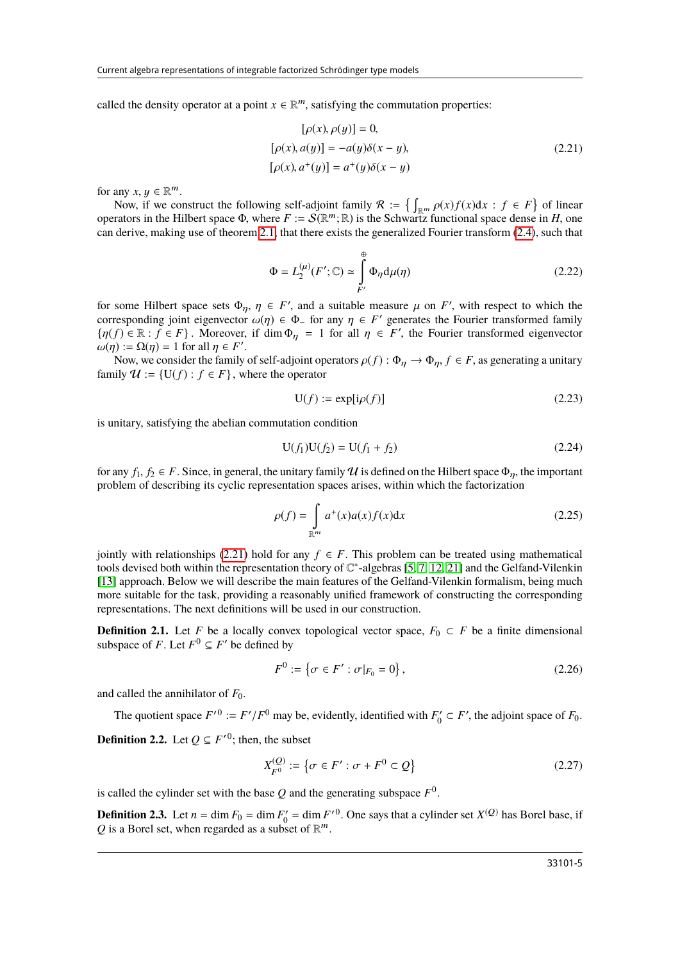called the density operator at a point  $x \in \mathbb{R}^m$ , satisfying the commutation properties:

<span id="page-4-0"></span>
$$
[\rho(x), \rho(y)] = 0,[\rho(x), a(y)] = -a(y)\delta(x - y),[\rho(x), a^+(y)] = a^+(y)\delta(x - y)
$$
\n(2.21)

for any  $x, y \in \mathbb{R}^m$ <br>Now if we co

Now, if we construct the following self-adjoint family  $\mathcal{R} := \left\{ \int_{\mathbb{R}^m} \rho(x) f(x) dx : f \in F \right\}$  of linear rators in the Hilbert space  $\Phi$  where  $F := S(\mathbb{R}^m \cdot \mathbb{R})$  is the Schwartz functional space dense in *H* one operators in the Hilbert space  $\Phi$ , where  $F := \mathcal{S}(\mathbb{R}^m; \mathbb{R})$  is the Schwartz functional space dense in *H*, one<br>can derive making use of theorem 2.1 that there exists the generalized Fourier transform (2.4), such can derive, making use of theorem [2.1,](#page-1-1) that there exists the generalized Fourier transform [\(2.4\)](#page-2-3), such that

$$
\Phi = L_2^{(\mu)}(F'; \mathbb{C}) \simeq \int_{F'}^{\oplus} \Phi_{\eta} d\mu(\eta)
$$
\n(2.22)

for some Hilbert space sets  $\Phi_{\eta}$ ,  $\eta \in F'$ , and a suitable measure  $\mu$  on *F'*, with respect to which the corresponding joint eigenvector  $\omega(n) \in \Phi$ , for any  $n \in F'$  generates the Fourier transformed family corresponding joint eigenvector  $\omega(\eta) \in \Phi$  for any  $\eta \in F'$  generates the Fourier transformed family  $\{u(f) \in \mathbb{R} : f \in F\}$ . Moreover, if dim  $\Phi = 1$  for all  $\eta \in F'$  the Fourier transformed eigenvector  $\{\eta(f) \in \mathbb{R} : f \in F\}$ . Moreover, if  $\dim \Phi_{\eta} = 1$  for all  $\eta \in F'$ , the Fourier transformed eigenvector  $\omega(n) = O(n) = 1$  for all  $n \in F'$  $\omega(\eta) := \Omega(\eta) = 1$  for all  $\eta \in F'$ <br>Now we consider the family

Now, we consider the family of self-adjoint operators  $\rho(f)$ :  $\Phi_{\eta} \to \Phi_{\eta}$ ,  $f \in F$ , as generating a unitary ily  $\eta f = \Pi(f)$ :  $f \in F$ , where the operator family  $\mathcal{U} := \{U(f) : f \in F\}$ , where the operator

<span id="page-4-1"></span>
$$
U(f) := \exp[i\rho(f)]\tag{2.23}
$$

is unitary, satisfying the abelian commutation condition

$$
U(f_1)U(f_2) = U(f_1 + f_2)
$$
\n(2.24)

for any  $f_1, f_2 \in F$ . Since, in general, the unitary family U is defined on the Hilbert space  $\Phi_n$ , the important problem of describing its cyclic representation spaces arises, within which the factorization

$$
\rho(f) = \int_{\mathbb{R}^m} a^+(x)a(x)f(x)dx
$$
\n(2.25)

jointly with relationships [\(2.21\)](#page-4-0) hold for any  $f \in F$ . This problem can be treated using mathematical tools devised both within the representation theory of C ∗ -algebras [\[5,](#page-28-7) [7,](#page-28-8) [12,](#page-28-9) [21\]](#page-28-14) and the Gelfand-Vilenkin [\[13\]](#page-28-6) approach. Below we will describe the main features of the Gelfand-Vilenkin formalism, being much more suitable for the task, providing a reasonably unified framework of constructing the corresponding representations. The next definitions will be used in our construction.

**Definition 2.1.** Let *F* be a locally convex topological vector space,  $F_0 \subset F$  be a finite dimensional subspace of *F*. Let  $F^0 \subseteq F'$  be defined by

$$
F^{0} := \{ \sigma \in F' : \sigma|_{F_{0}} = 0 \},
$$
\n(2.26)

and called the annihilator of  $F_0$ .

The quotient space  $F^{\prime 0} := F^{\prime}/F^0$  may be, evidently, identified with  $F'_0 \subset F'$ , the adjoint space of  $F_0$ .

**Definition 2.2.** Let  $Q \subseteq F'^0$ ; then, the subset

$$
X_{F^0}^{(Q)} := \{ \sigma \in F' : \sigma + F^0 \subset Q \}
$$
 (2.27)

is called the cylinder set with the base  $Q$  and the generating subspace  $F^0$ 

**Definition 2.3.** Let  $n = \dim F_0 = \dim F'_0 = \dim F'^0$ . One says that a cylinder set  $X^{(Q)}$  has Borel base, if  $Q$  is a Borel set when regarded as a subset of  $\mathbb{R}^m$ Q is a Borel set, when regarded as a subset of  $\mathbb{R}^m$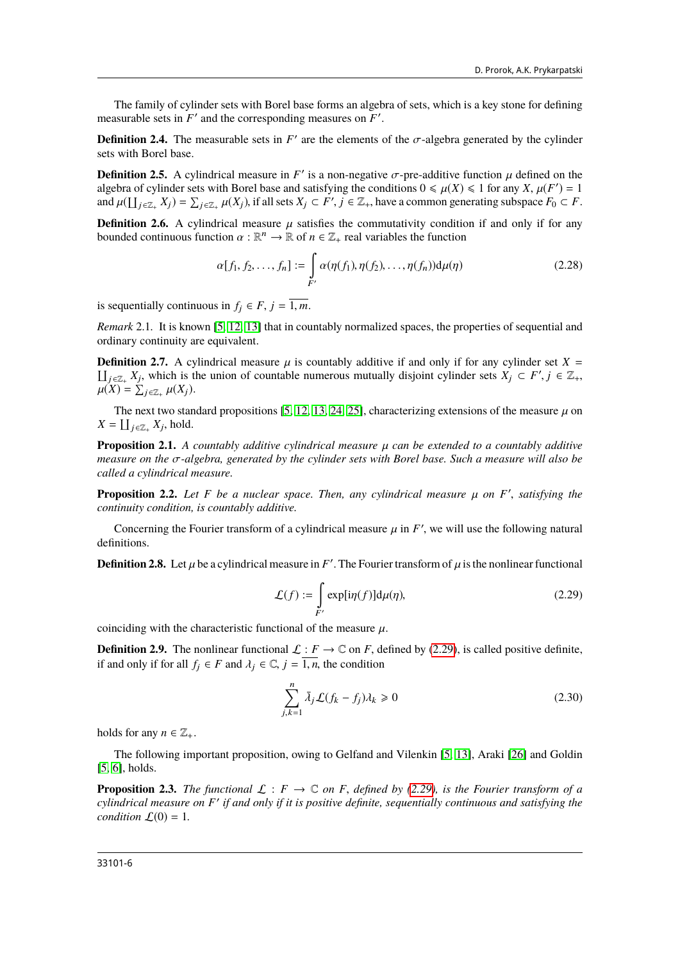The family of cylinder sets with Borel base forms an algebra of sets, which is a key stone for defining measurable sets in  $F'$  and the corresponding measures on  $F'$ 

**Definition 2.4.** The measurable sets in *F*<sup> $\prime$ </sup> are the elements of the  $\sigma$ -algebra generated by the cylinder sets with Borel base sets with Borel base.

**Definition 2.5.** A cylindrical measure in *F'* is a non-negative  $\sigma$ -pre-additive function  $\mu$  defined on the algebra of cylinder sets with Borel base and satisfying the conditions  $0 \le \mu(X) \le 1$  for any  $X, \mu(F') = 1$ algebra of cylinder sets with Borel base and satisfying the conditions  $0 \le \mu(X) \le 1$  for any *X*,  $\mu(F') = 1$ <br>and  $\mu(1 \log X_i) = \sum_{x \in \mathcal{F}} \mu(X_i)$  if all sets  $X_i \subset F'$  i.e.  $\mathbb{Z}_i$ , have a common generating subspace  $F_0 \subset F$ and  $\mu(\prod_{j\in \mathbb{Z}_+} X_j) = \sum_{j\in \mathbb{Z}_+} \mu(X_j)$ , if all sets  $X_j \subset F'$ ,  $j \in \mathbb{Z}_+$ , have a common generating subspace  $F_0 \subset F$ .

**Definition 2.6.** A cylindrical measure  $\mu$  satisfies the commutativity condition if and only if for any bounded continuous function  $\alpha : \mathbb{R}^n \to \mathbb{R}$  of  $n \in \mathbb{Z}_+$  real variables the function

$$
\alpha[f_1, f_2, \dots, f_n] := \int\limits_{F'} \alpha(\eta(f_1), \eta(f_2), \dots, \eta(f_n)) \mathrm{d}\mu(\eta) \tag{2.28}
$$

is sequentially continuous in  $f_i \in F$ ,  $j = \overline{1, m}$ .

*Remark* 2.1*.* It is known [\[5,](#page-28-7) [12,](#page-28-9) [13\]](#page-28-6) that in countably normalized spaces, the properties of sequential and ordinary continuity are equivalent.

 $\iint_{j\in\mathbb{Z}_+} X_j$ , which is the union of countable numerous mutually disjoint cylinder sets  $X_j \subset F', j \in \mathbb{Z}_+$ ,  $y(X) = \sum_{j\in\mathbb{Z}_+} y_j(X_j)$ **Definition 2.7.** A cylindrical measure  $\mu$  is countably additive if and only if for any cylinder set *X* =  $\mu(X) = \sum_{j \in \mathbb{Z}_+} \mu(X_j).$ 

The next two standard propositions [\[5,](#page-28-7) [12,](#page-28-9) [13,](#page-28-6) [24,](#page-28-16) [25\]](#page-28-17), characterizing extensions of the measure  $\mu$  on  $X = \coprod_{j \in \mathbb{Z}_+} X_j$ , hold.

**Proposition 2.1.** *A countably additive cylindrical measure*  $\mu$  *can be extended to a countably additive measure on the* σ*-algebra, generated by the cylinder sets with Borel base. Such a measure will also be called a cylindrical measure.*

**Proposition 2.2.** *Let*  $F$  *be a nuclear space. Then, any cylindrical measure*  $\mu$  *on*  $F'$ , *satisfying the continuity condition is countably additive continuity condition, is countably additive.*

Concerning the Fourier transform of a cylindrical measure  $\mu$  in  $F'$ , we will use the following natural nitions definitions.

<span id="page-5-0"></span>**Definition 2.8.** Let  $\mu$  be a cylindrical measure in  $F'$ . The Fourier transform of  $\mu$  is the nonlinear functional

$$
\mathcal{L}(f) := \int_{F'} \exp[i\eta(f)] d\mu(\eta),\tag{2.29}
$$

coinciding with the characteristic functional of the measure  $\mu$ .

**Definition 2.9.** The nonlinear functional  $\mathcal{L}: F \to \mathbb{C}$  on *F*, defined by [\(2.29\)](#page-5-0), is called positive definite, if and only if for all  $f_i \in F$  and  $\lambda_i \in \mathbb{C}$ ,  $j = \overline{1, n}$ , the condition

$$
\sum_{j,k=1}^{n} \bar{\lambda}_j \mathcal{L}(f_k - f_j) \lambda_k \ge 0
$$
\n(2.30)

holds for any  $n \in \mathbb{Z}_+$ .

The following important proposition, owing to Gelfand and Vilenkin [\[5,](#page-28-7) [13\]](#page-28-6), Araki [\[26\]](#page-28-18) and Goldin [\[5,](#page-28-7) [6\]](#page-28-19), holds.

**Proposition 2.3.** *The functional*  $\mathcal{L}: F \to \mathbb{C}$  *on F*, *defined by [\(2.29\)](#page-5-0), is the Fourier transform of a* cylindrical measure on *F'* if and only if it is positive definite, sequentially continuous and satisfying the *condition*  $\mathcal{L}(0) = 1$ *.*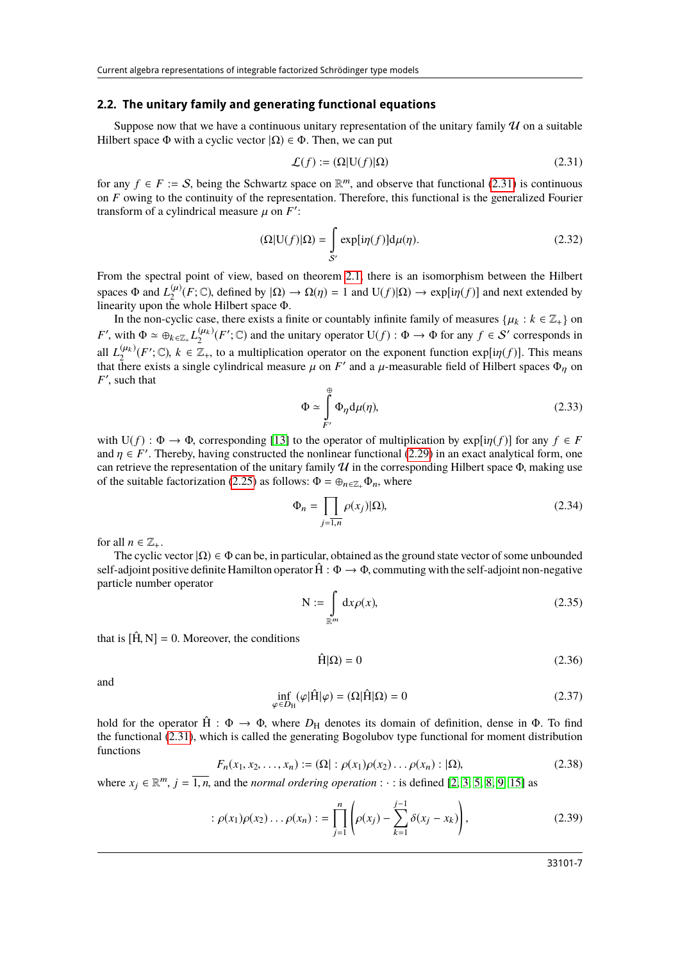#### **2.2. The unitary family and generating functional equations**

Suppose now that we have a continuous unitary representation of the unitary family  $\mathcal U$  on a suitable Hilbert space  $\Phi$  with a cyclic vector  $|\Omega\rangle \in \Phi$ . Then, we can put

<span id="page-6-4"></span><span id="page-6-0"></span>
$$
\mathcal{L}(f) := (\Omega | \mathbf{U}(f) | \Omega) \tag{2.31}
$$

for any *f* ∈ *F* := *S*, being the Schwartz space on  $\mathbb{R}^m$ , and observe that functional [\(2.31\)](#page-6-0) is continuous on *F* owing to the continuity of the representation. Therefore, this functional is the generalized Fouri on *F* owing to the continuity of the representation. Therefore, this functional is the generalized Fourier transform of a cylindrical measure  $\mu$  on  $F'$ :

$$
(\Omega|\mathbf{U}(f)|\Omega) = \int_{\mathcal{S}'} \exp[i\eta(f)]d\mu(\eta). \tag{2.32}
$$

From the spectral point of view, based on theorem [2.1,](#page-1-1) there is an isomorphism between the Hilbert spaces  $\Phi$  and  $L_2^{(\mu)}(F; \mathbb{C})$ , defined by  $|\Omega| \to \Omega(\eta) = 1$  and  $U(f)|\Omega| \to \exp[i\eta(f)]$  and next extended by linearity upon the whole Hilbert space  $\Phi$ linearity upon the whole Hilbert space Φ.

<span id="page-6-3"></span>In the non-cyclic case, there exists a finite or countably infinite family of measures  $\{\mu_k : k \in \mathbb{Z}_+\}$  on *F'*, with  $\Phi \simeq \bigoplus_{k \in \mathbb{Z}_+} L_2^{(\mu_k)}(F'; \mathbb{C})$  and the unitary operator  $U(f) : \Phi \to \Phi$  for any  $f \in S'$  corresponds in all  $L_2^{(\mu_k)}(F'; \mathbb{C})$ ,  $k \in \mathbb{Z}_+$ , to a multiplication operator on the exponent function  $\exp[i\eta(f)]$ . This means that there exists a single cylindrical measure  $\mu$  on *F'* and a  $\mu$ -measurable field of Hilbert spaces  $\Phi_{\eta}$  on *F'* such that  $F'$ , such that

$$
\Phi \simeq \int_{F'}^{\oplus} \Phi_{\eta} d\mu(\eta), \tag{2.33}
$$

with  $U(f)$ :  $\Phi \to \Phi$ , corresponding [\[13\]](#page-28-6) to the operator of multiplication by  $\exp[i\eta(f)]$  for any  $f \in F$ and  $\eta \in F'$ . Thereby, having constructed the nonlinear functional [\(2.29\)](#page-5-0) in an exact analytical form, one can retrieve the representation of the unitary family  $\eta I$  in the corresponding Hilbert space  $\Phi$  making use can retrieve the representation of the unitary family  $U$  in the corresponding Hilbert space  $\Phi$ , making use of the suitable factorization [\(2.25\)](#page-4-1) as follows:  $\Phi = \bigoplus_{n \in \mathbb{Z}_+} \Phi_n$ , where

$$
\Phi_n = \prod_{j=1,n} \rho(x_j) | \Omega),\tag{2.34}
$$

for all  $n \in \mathbb{Z}_+$ .

The cyclic vector  $|\Omega\rangle \in \Phi$  can be, in particular, obtained as the ground state vector of some unbounded self-adjoint positive definite Hamilton operator  $\hat{H}$  :  $\Phi \to \Phi$ , commuting with the self-adjoint non-negative particle number operator

$$
N := \int_{\mathbb{R}^m} dx \rho(x),\tag{2.35}
$$

that is  $[\hat{H}, N] = 0$ . Moreover, the conditions

<span id="page-6-1"></span>
$$
\hat{H}|\Omega\rangle = 0\tag{2.36}
$$

<span id="page-6-2"></span>and

$$
\inf_{\varphi \in D_{\mathcal{H}}} (\varphi | \hat{\mathcal{H}} | \varphi) = (\Omega | \hat{\mathcal{H}} | \Omega) = 0 \tag{2.37}
$$

hold for the operator  $\hat{H}$  :  $\Phi \to \Phi$ , where  $D_H$  denotes its domain of definition, dense in  $\Phi$ . To find the functional [\(2.31\)](#page-6-0), which is called the generating Bogolubov type functional for moment distribution functions

$$
F_n(x_1, x_2, \dots, x_n) := (\Omega | : \rho(x_1)\rho(x_2) \dots \rho(x_n) : |\Omega|),
$$
\n(2.38)

where  $x_j \in \mathbb{R}^m$ ,  $j = \overline{1, n}$ , and the *normal ordering operation* :  $\cdot$  : is defined [\[2,](#page-28-1) [3,](#page-28-2) [5,](#page-28-7) [8,](#page-28-20) [9,](#page-28-21) [15\]](#page-28-22) as

$$
: \rho(x_1)\rho(x_2)\dots\rho(x_n): = \prod_{j=1}^n \left(\rho(x_j) - \sum_{k=1}^{j-1} \delta(x_j - x_k)\right), \tag{2.39}
$$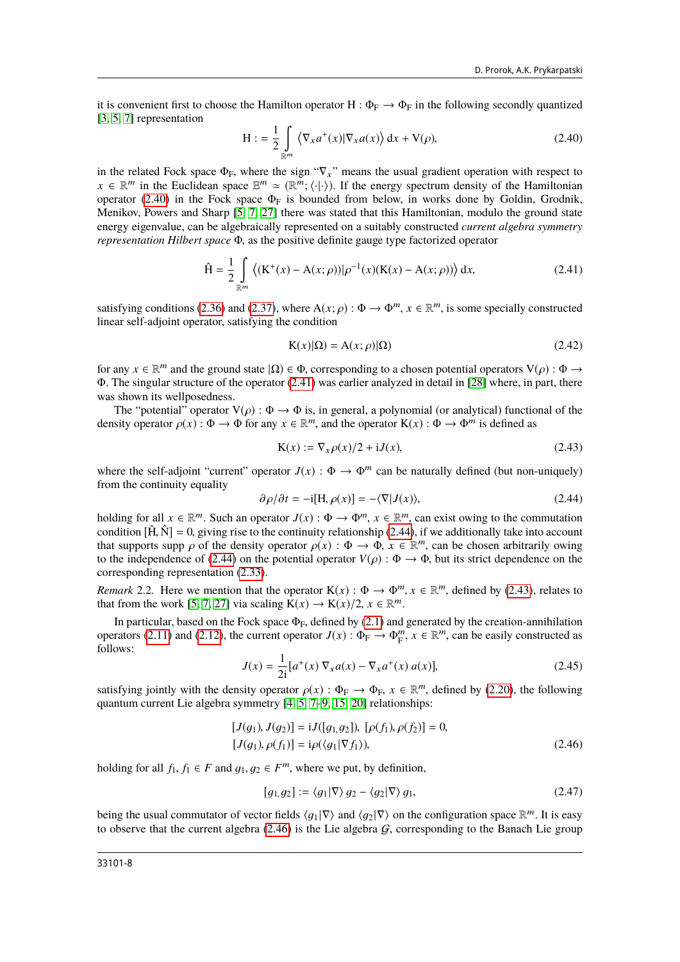it is convenient first to choose the Hamilton operator H :  $\Phi_F \to \Phi_F$  in the following secondly quantized [\[3,](#page-28-2) [5,](#page-28-7) [7\]](#page-28-8) representation

<span id="page-7-0"></span>
$$
H := \frac{1}{2} \int_{\mathbb{R}^m} \left\langle \nabla_x a^+(x) | \nabla_x a(x) \right\rangle dx + V(\rho), \tag{2.40}
$$

in the related Fock space  $\Phi_F$ , where the sign " $\nabla_x$ " means the usual gradient operation with respect to  $x \in \mathbb{R}^m$  in the Euclidean space  $\mathbb{E}^m \cong (\mathbb{R}^m; \langle \cdot | \cdot \rangle)$ . If the energy spectrum density of the Hamiltonian contractor (2.40) in the Fock space  $\Phi_{\Gamma}$  is bounded from below in works done by Goldin Grodnik operator [\(2.40\)](#page-7-0) in the Fock space  $\Phi_F$  is bounded from below, in works done by Goldin, Grodnik, Menikov, Powers and Sharp [\[5,](#page-28-7) [7,](#page-28-8) [27\]](#page-28-23) there was stated that this Hamiltonian, modulo the ground state energy eigenvalue, can be algebraically represented on a suitably constructed *current algebra symmetry representation Hilbert space* <sup>Φ</sup>, as the positive definite gauge type factorized operator

$$
\hat{H} = \frac{1}{2} \int_{\mathbb{R}^m} \left( (K^+(x) - A(x; \rho)) |\rho^{-1}(x)(K(x) - A(x; \rho)) \right) dx,
$$
\n(2.41)

satisfying conditions [\(2.36\)](#page-6-1) and [\(2.37\)](#page-6-2), where  $A(x; \rho) : \Phi \to \Phi^m$ ,  $x \in \mathbb{R}^m$ , is some specially constructed linear self-adjoint operator, satisfying the condition linear self-adjoint operator, satisfying the condition

<span id="page-7-5"></span><span id="page-7-3"></span><span id="page-7-1"></span>
$$
K(x)|\Omega = A(x;\rho)|\Omega)
$$
\n(2.42)

for any  $x \in \mathbb{R}^m$  and the ground state  $|\Omega\rangle \in \Phi$ , corresponding to a chosen potential operators  $V(\rho): \Phi \to \Phi$ .<br>The singular structure of the operator (2.41) was earlier analyzed in detail in [28] where in part, there <sup>Φ</sup>. The singular structure of the operator [\(2.41\)](#page-7-1) was earlier analyzed in detail in [\[28\]](#page-28-24) where, in part, there was shown its wellposedness.

The "potential" operator  $V(\rho)$ :  $\Phi \to \Phi$  is, in general, a polynomial (or analytical) functional of the density operator  $\rho(x)$ :  $\Phi \to \Phi$  for any  $x \in \mathbb{R}^m$ , and the operator  $K(x)$ :  $\Phi \to \Phi^m$  is defined as

$$
\mathbf{K}(x) := \nabla_x \rho(x)/2 + \mathbf{i} J(x),\tag{2.43}
$$

where the self-adjoint "current" operator  $J(x)$ :  $\Phi \to \Phi^m$  can be naturally defined (but non-uniquely) from the continuity equality

<span id="page-7-2"></span>
$$
\partial \rho / \partial t = -i[H, \rho(x)] = -\langle \nabla | J(x) \rangle, \tag{2.44}
$$

holding for all  $x \in \mathbb{R}^m$ . Such an operator  $J(x)$ :  $\Phi \to \Phi^m$ ,  $x \in \mathbb{R}^m$ , can exist owing to the commutation condition  $\hat{H}(\hat{M})$  = 0 giving rise to the continuity relationship (2.44) if we additionally take int condition  $[\hat{H}, \hat{N}] = 0$ , giving rise to the continuity relationship [\(2.44\)](#page-7-2), if we additionally take into account that supports supp  $\rho$  of the density operator  $\rho(x)$ :  $\Phi \to \Phi$ ,  $x \in \mathbb{R}^m$ , can be chosen arbitrarily owing to the independence of (2.44) on the potential operator  $V(\rho)$ :  $\Phi \to \Phi$  but its strict dependence on the to the independence of [\(2.44\)](#page-7-2) on the potential operator  $V(\rho)$ :  $\Phi \to \Phi$ , but its strict dependence on the corresponding representation [\(2.33\)](#page-6-3).

*Remark* 2.2. Here we mention that the operator  $K(x) : \Phi \to \Phi^m$ ,  $x \in \mathbb{R}^m$ , defined by [\(2.43\)](#page-7-3), relates to that from the work [5, 7, 27] via scaling  $K(x) \to K(x)/2$ ,  $x \in \mathbb{R}^m$ that from the work [\[5,](#page-28-7) [7,](#page-28-8) [27\]](#page-28-23) via scaling  $\hat{K}(x) \rightarrow K(x)/2, x \in \mathbb{R}^m$ 

In particular, based on the Fock space  $\Phi_F$ , defined by [\(2.1\)](#page-1-0) and generated by the creation-annihilation<br>rators (2.11) and (2.12), the current operator  $I(x) : \Phi_F \to \Phi^m$ ,  $x \in \mathbb{R}^m$  can be easily constructed as operators [\(2.11\)](#page-3-2) and [\(2.12\)](#page-3-3), the current operator  $J(x)$ :  $\Phi_F \to \Phi_F^m$ ,  $x \in \mathbb{R}^m$ , can be easily constructed as follows: follows:

$$
J(x) = \frac{1}{2i} [a^+(x) \nabla_x a(x) - \nabla_x a^+(x) a(x)],
$$
\n(2.45)

satisfying jointly with the density operator  $\rho(x)$ :  $\Phi_F \to \Phi_F$ ,  $x \in \mathbb{R}^m$ , defined by [\(2.20\)](#page-3-4), the following quantum current Lie algebra symmetry [4, 5, 7–9, 15, 20] relationships: quantum current Lie algebra symmetry [\[4,](#page-28-3) [5,](#page-28-7) [7](#page-28-8)[–9,](#page-28-21) [15,](#page-28-22) [20\]](#page-28-13) relationships:

$$
[J(g_1), J(g_2)] = iJ([g_1, g_2]), [\rho(f_1), \rho(f_2)] = 0,
$$
  

$$
[J(g_1), \rho(f_1)] = i\rho(\langle g_1 | \nabla f_1 \rangle),
$$
 (2.46)

holding for all  $f_1, f_1 \in F$  and  $g_1, g_2 \in F^m$ , where we put, by definition,

<span id="page-7-4"></span>
$$
[g_1, g_2] := \langle g_1 | \nabla \rangle g_2 - \langle g_2 | \nabla \rangle g_1,\tag{2.47}
$$

being the usual commutator of vector fields  $\langle g_1 | \nabla \rangle$  and  $\langle g_2 | \nabla \rangle$  on the configuration space  $\mathbb{R}^m$ . It is easy to observe that the current algebra (2.46) is the Lie algebra G corresponding to the Banach L to observe that the current algebra  $(2.46)$  is the Lie algebra  $G$ , corresponding to the Banach Lie group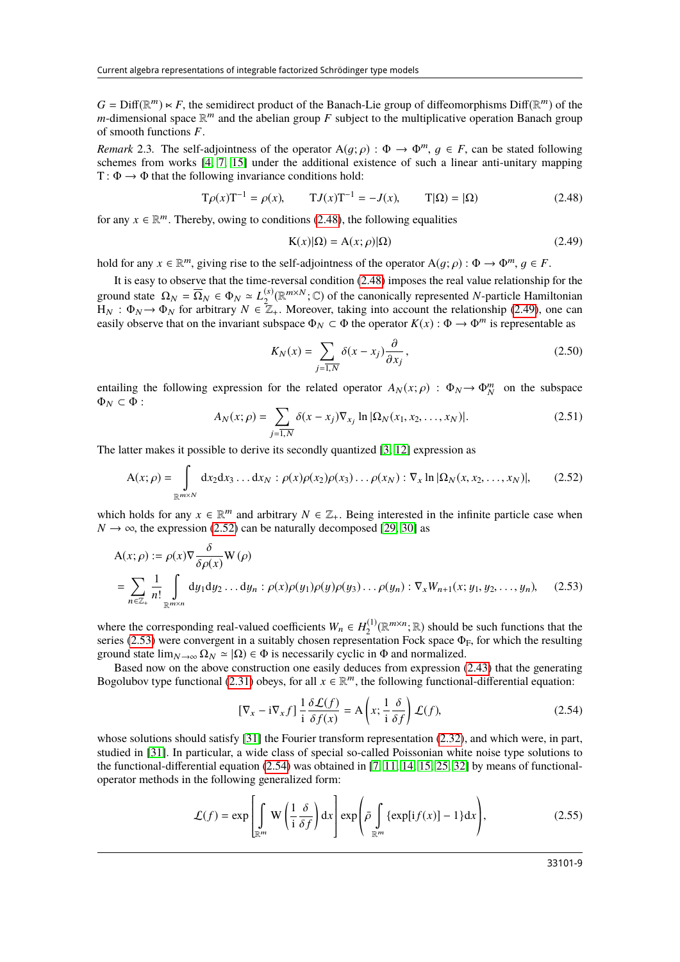$G = \text{Diff}(\mathbb{R}^m) \ltimes F$ , the semidirect product of the Banach-Lie group of diffeomorphisms  $\text{Diff}(\mathbb{R}^m)$  of the m-dimensional space  $\mathbb{R}^m$  and the abelian group *F* subject to the multiplicative operation Banach gro *m*-dimensional space  $\mathbb{R}^m$  and the abelian group *F* subject to the multiplicative operation Banach group of smooth functions *<sup>F</sup>*.

*Remark* 2.3. The self-adjointness of the operator  $A(q; \rho) : \Phi \to \Phi^m$ ,  $q \in F$ , can be stated following schemes from works [\[4,](#page-28-3) [7,](#page-28-8) [15\]](#page-28-22) under the additional existence of such a linear anti-unitary mapping  $T: \Phi \to \Phi$  that the following invariance conditions hold:

$$
T\rho(x)T^{-1} = \rho(x), \qquad TJ(x)T^{-1} = -J(x), \qquad T|\Omega) = |\Omega)
$$
 (2.48)

for any  $x \in \mathbb{R}^m$ . Thereby, owing to conditions [\(2.48\)](#page-8-0), the following equalities

<span id="page-8-1"></span><span id="page-8-0"></span>
$$
K(x)|\Omega = A(x;\rho)|\Omega)
$$
\n(2.49)

hold for any  $x \in \mathbb{R}^m$ , giving rise to the self-adjointness of the operator  $A(g; \rho) : \Phi \to \Phi^m, g \in F$ .

It is easy to observe that the time-reversal condition [\(2.48\)](#page-8-0) imposes the real value relationship for the ground state  $\Omega_N = \overline{\Omega}_N \in \Phi_N \simeq L_2^{(s)}(\mathbb{R}^{m \times N}; \mathbb{C})$  of the canonically represented *N*-particle Hamiltonian  $H_N$ :  $\Phi_N \to \Phi_N$  for arbitrary  $N \in \mathbb{Z}_+$ . Moreover, taking into account the relationship [\(2.49\)](#page-8-1), one can easily observe that on the invariant subspace  $\Phi_N \subset \Phi$  the operator  $K(x) : \Phi \to \Phi^m$  is representable as easily observe that on the invariant subspace  $\Phi_N \subset \Phi$  the operator  $K(x) : \Phi \to \Phi^m$  is representable as

$$
K_N(x) = \sum_{j=\overline{1,N}} \delta(x - x_j) \frac{\partial}{\partial x_j},
$$
\n(2.50)

entailing the following expression for the related operator  $A_N(x; \rho)$  :  $\Phi_N \to \Phi_N^m$  on the subspace  $\Phi_N \subset \Phi$ .  $\Phi_N \subset \Phi$ :

$$
A_N(x; \rho) = \sum_{j=\overline{1,N}} \delta(x - x_j) \nabla_{x_j} \ln |\Omega_N(x_1, x_2, \dots, x_N)|. \tag{2.51}
$$

The latter makes it possible to derive its secondly quantized [\[3,](#page-28-2) [12\]](#page-28-9) expression as

<span id="page-8-2"></span>
$$
A(x; \rho) = \int_{\mathbb{R}^{m \times N}} dx_2 dx_3 \dots dx_N : \rho(x)\rho(x_2)\rho(x_3)\dots\rho(x_N) : \nabla_x \ln |\Omega_N(x, x_2,\dots, x_N)|, \qquad (2.52)
$$

which holds for any  $x \in \mathbb{R}^m$  and arbitrary  $N \in \mathbb{Z}_+$ . Being interested in the infinite particle case when  $N \to \infty$  the expression (2.52) can be naturally decomposed [29, 30] as  $N \rightarrow \infty$ , the expression [\(2.52\)](#page-8-2) can be naturally decomposed [\[29,](#page-28-25) [30\]](#page-28-26) as

$$
A(x; \rho) := \rho(x)\nabla \frac{\delta}{\delta \rho(x)} W(\rho)
$$
  
= 
$$
\sum_{n \in \mathbb{Z}_+} \frac{1}{n!} \int_{\mathbb{R}^{m \times n}} dy_1 dy_2 \dots dy_n : \rho(x)\rho(y_1)\rho(y)\rho(y_3) \dots \rho(y_n) : \nabla_x W_{n+1}(x; y_1, y_2, \dots, y_n),
$$
 (2.53)

where the corresponding real-valued coefficients  $W_n \in H_2^{(1)}$  $\mathbb{R}^{(1)}(\mathbb{R}^{m \times n}; \mathbb{R})$  should be such functions that the series [\(2.53\)](#page-8-3) were convergent in a suitably chosen representation Fock space  $\Phi_F$ , for which the resulting ground state  $\lim_{N\to\infty} \Omega_N \simeq |\Omega\rangle \in \Phi$  is necessarily cyclic in  $\Phi$  and normalized.

Based now on the above construction one easily deduces from expression [\(2.43\)](#page-7-3) that the generating Bogolubov type functional [\(2.31\)](#page-6-0) obeys, for all  $x \in \mathbb{R}^m$ , the following functional-differential equation:

<span id="page-8-5"></span><span id="page-8-4"></span><span id="page-8-3"></span>
$$
\left[\nabla_x - \mathbf{i}\nabla_x f\right] \frac{1}{\mathbf{i}} \frac{\delta \mathcal{L}(f)}{\delta f(x)} = \mathbf{A} \left(x; \frac{1}{\mathbf{i}} \frac{\delta}{\delta f}\right) \mathcal{L}(f),\tag{2.54}
$$

whose solutions should satisfy [\[31\]](#page-28-27) the Fourier transform representation [\(2.32\)](#page-6-4), and which were, in part, studied in [\[31\]](#page-28-27). In particular, a wide class of special so-called Poissonian white noise type solutions to the functional-differential equation [\(2.54\)](#page-8-4) was obtained in [\[7,](#page-28-8) [11,](#page-28-5) [14,](#page-28-10) [15,](#page-28-22) [25,](#page-28-17) [32\]](#page-28-28) by means of functionaloperator methods in the following generalized form:

$$
\mathcal{L}(f) = \exp\left[\int_{\mathbb{R}^m} W\left(\frac{1}{i}\frac{\delta}{\delta f}\right) dx\right] \exp\left(\bar{\rho} \int_{\mathbb{R}^m} \{\exp[i f(x)] - 1\} dx\right),\tag{2.55}
$$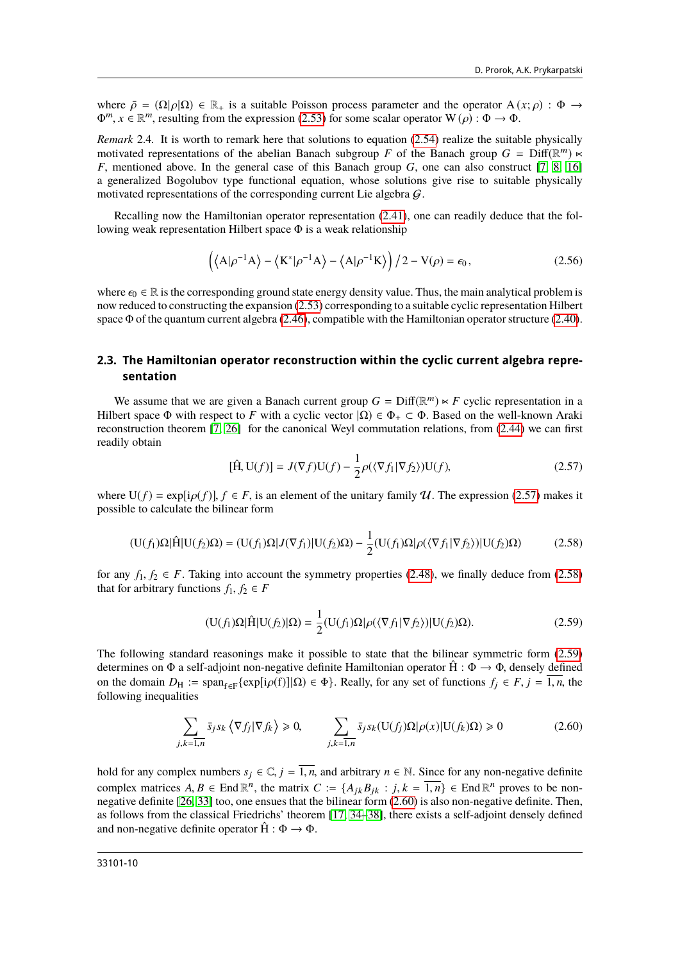where  $\bar{\rho} = (\Omega | \rho | \Omega) \in \mathbb{R}_+$  is a suitable Poisson process parameter and the operator  $A(x; \rho) : \Phi \to$  $\Phi^m, x \in \mathbb{R}^m$ , resulting from the expression [\(2.53\)](#page-8-3) for some scalar operator  $W(\rho) : \Phi \to \Phi$ .

*Remark* 2.4. It is worth to remark here that solutions to equation [\(2.54\)](#page-8-4) realize the suitable physically motivated representations of the abelian Banach subgroup *F* of the Banach group  $G = Diff(\mathbb{R}^m) \times$ *<sup>F</sup>*, mentioned above. In the general case of this Banach group *<sup>G</sup>*, one can also construct [\[7,](#page-28-8) [8,](#page-28-20) [16\]](#page-28-29) a generalized Bogolubov type functional equation, whose solutions give rise to suitable physically motivated representations of the corresponding current Lie algebra  $G$ .

Recalling now the Hamiltonian operator representation [\(2.41\)](#page-7-1), one can readily deduce that the following weak representation Hilbert space Φ is a weak relationship

$$
\left(\langle A|\rho^{-1}A\rangle - \langle K^*|\rho^{-1}A\rangle - \langle A|\rho^{-1}K\rangle\right)/2 - V(\rho) = \epsilon_0,\tag{2.56}
$$

where  $\epsilon_0 \in \mathbb{R}$  is the corresponding ground state energy density value. Thus, the main analytical problem is now reduced to constructing the expansion [\(2.53\)](#page-8-3) corresponding to a suitable cyclic representation Hilbert space Φ of the quantum current algebra [\(2.46\)](#page-7-4), compatible with the Hamiltonian operator structure [\(2.40\)](#page-7-0).

#### **2.3. The Hamiltonian operator reconstruction within the cyclic current algebra representation**

We assume that we are given a Banach current group  $G = \text{Diff}(\mathbb{R}^m) \times F$  cyclic representation in a Hilbert space  $\Phi$  with respect to *F* with a cyclic vector  $|\Omega\rangle \in \Phi_+ \subset \Phi$ . Based on the well-known Araki reconstruction theorem [\[7,](#page-28-8) [26\]](#page-28-18) for the canonical Weyl commutation relations, from [\(2.44\)](#page-7-2) we can first readily obtain

<span id="page-9-1"></span><span id="page-9-0"></span>
$$
[\hat{H}, U(f)] = J(\nabla f)U(f) - \frac{1}{2}\rho(\langle \nabla f_1 | \nabla f_2 \rangle)U(f),
$$
\n(2.57)

where  $U(f) = \exp[i\rho(f)]$ ,  $f \in F$ , is an element of the unitary family U. The expression [\(2.57\)](#page-9-0) makes it possible to calculate the bilinear form

$$
(\mathbf{U}(f_1)\Omega|\hat{\mathbf{H}}|\mathbf{U}(f_2)\Omega) = (\mathbf{U}(f_1)\Omega|J(\nabla f_1)|\mathbf{U}(f_2)\Omega) - \frac{1}{2}(\mathbf{U}(f_1)\Omega|\rho(\langle\nabla f_1|\nabla f_2\rangle)|\mathbf{U}(f_2)\Omega) \tag{2.58}
$$

for any  $f_1, f_2 \in F$ . Taking into account the symmetry properties [\(2.48\)](#page-8-0), we finally deduce from [\(2.58\)](#page-9-1) that for arbitrary functions  $f_1, f_2 \in F$ 

<span id="page-9-2"></span>
$$
(\mathbf{U}(f_1)\Omega|\hat{\mathbf{H}}|\mathbf{U}(f_2)|\Omega) = \frac{1}{2}(\mathbf{U}(f_1)\Omega|\rho(\langle \nabla f_1 | \nabla f_2 \rangle)|\mathbf{U}(f_2)\Omega).
$$
\n(2.59)

The following standard reasonings make it possible to state that the bilinear symmetric form [\(2.59\)](#page-9-2) determines on  $\Phi$  a self-adjoint non-negative definite Hamiltonian operator  $\hat{H}$  :  $\Phi \to \Phi$ , densely defined on the domain *D*<sub>H</sub> := span<sub>f∈F</sub>{exp[i*ρ*(f)]|Ω) ∈ Φ}. Really, for any set of functions *f<sub>j</sub>* ∈ *F*, *j* = 1, *n*, the following inequalities following inequalities

<span id="page-9-3"></span>
$$
\sum_{j,k=\overline{1,n}} \bar{s}_j s_k \left\langle \nabla f_j | \nabla f_k \right\rangle \ge 0, \qquad \sum_{j,k=\overline{1,n}} \bar{s}_j s_k (U(f_j) \Omega | \rho(x) | U(f_k) \Omega) \ge 0 \tag{2.60}
$$

hold for any complex numbers  $s_j \in \mathbb{C}$ ,  $j = \overline{1, n}$ , and arbitrary  $n \in \mathbb{N}$ . Since for any non-negative definite complex matrices  $A, B \in \text{End } \mathbb{R}^n$ , the matrix  $C := \{A_{jk}B_{jk} : j, k = \overline{1,n}\} \in \text{End } \mathbb{R}^n$  proves to be non-<br>negative definite [26, 33] too, one ensues that the bilinear form (2.60) is also non-negative definite. Then negative definite [\[26,](#page-28-18) [33\]](#page-28-30) too, one ensues that the bilinear form [\(2.60\)](#page-9-3) is also non-negative definite. Then, as follows from the classical Friedrichs' theorem [\[17,](#page-28-11) [34–](#page-29-1)[38\]](#page-29-2), there exists a self-adjoint densely defined and non-negative definite operator  $\hat{H} : \Phi \to \Phi$ .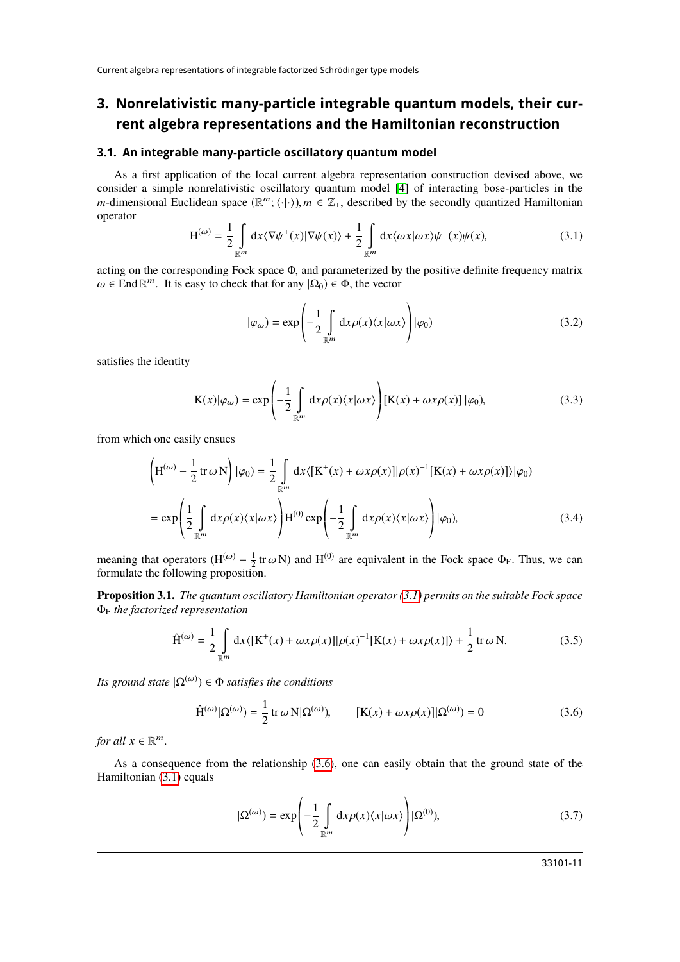# **3. Nonrelativistic many-particle integrable quantum models, their current algebra representations and the Hamiltonian reconstruction**

#### **3.1. An integrable many-particle oscillatory quantum model**

As a first application of the local current algebra representation construction devised above, we consider a simple nonrelativistic oscillatory quantum model [\[4\]](#page-28-3) of interacting bose-particles in the *m*-dimensional Euclidean space  $(\mathbb{R}^m; \langle \cdot | \cdot \rangle)$ ,  $m \in \mathbb{Z}_+$ , described by the secondly quantized Hamiltonian operator operator

<span id="page-10-0"></span>
$$
H^{(\omega)} = \frac{1}{2} \int_{\mathbb{R}^m} dx \langle \nabla \psi^+(x) | \nabla \psi(x) \rangle + \frac{1}{2} \int_{\mathbb{R}^m} dx \langle \omega x | \omega x \rangle \psi^+(x) \psi(x), \tag{3.1}
$$

acting on the corresponding Fock space <sup>Φ</sup>, and parameterized by the positive definite frequency matrix  $\omega \in \text{End } \mathbb{R}^m$ . It is easy to check that for any  $|\Omega_0\rangle \in \Phi$ , the vector

$$
|\varphi_{\omega}) = \exp\left(-\frac{1}{2} \int_{\mathbb{R}^m} dx \rho(x) \langle x | \omega x \rangle \right) |\varphi_0)
$$
 (3.2)

satisfies the identity

$$
K(x)|\varphi_{\omega}\rangle = \exp\left(-\frac{1}{2}\int_{\mathbb{R}^m} dx \rho(x)\langle x|\omega x\rangle\right)[K(x) + \omega x \rho(x)] |\varphi_0\rangle, \tag{3.3}
$$

from which one easily ensues

$$
\left(H^{(\omega)} - \frac{1}{2} \operatorname{tr} \omega N\right) |\varphi_0\rangle = \frac{1}{2} \int_{\mathbb{R}^m} dx \langle [K^+(x) + \omega x \rho(x)] | \rho(x)^{-1} [K(x) + \omega x \rho(x)] \rangle |\varphi_0\rangle
$$
  

$$
= \exp\left(\frac{1}{2} \int_{\mathbb{R}^m} dx \rho(x) \langle x | \omega x \rangle \right) H^{(0)} \exp\left(-\frac{1}{2} \int_{\mathbb{R}^m} dx \rho(x) \langle x | \omega x \rangle \right) |\varphi_0\rangle, \tag{3.4}
$$

meaning that operators  $(H^{(\omega)} - \frac{1}{2}tr\omega N)$  and  $H^{(0)}$  are equivalent in the Fock space  $\Phi_F$ . Thus, we can formulate the following proposition formulate the following proposition.

**Proposition 3.1.** *The quantum oscillatory Hamiltonian operator [\(3.1\)](#page-10-0) permits on the suitable Fock space* Φ<sup>F</sup> *the factorized representation*

<span id="page-10-2"></span>
$$
\hat{H}^{(\omega)} = \frac{1}{2} \int_{\mathbb{R}^m} dx \langle [K^+(x) + \omega x \rho(x)] | \rho(x)^{-1} [K(x) + \omega x \rho(x)] \rangle + \frac{1}{2} \operatorname{tr} \omega N. \tag{3.5}
$$

*Its ground state*  $| \Omega^{(\omega)} \rangle \in \Phi$  *satisfies the conditions* 

$$
\hat{H}^{(\omega)}|\Omega^{(\omega)}\rangle = \frac{1}{2} \operatorname{tr} \omega \, N|\Omega^{(\omega)}\rangle, \qquad [K(x) + \omega x \rho(x)]|\Omega^{(\omega)}\rangle = 0 \tag{3.6}
$$

*for all*  $x \in \mathbb{R}^m$ 

As a consequence from the relationship [\(3.6\)](#page-10-1), one can easily obtain that the ground state of the Hamiltonian [\(3.1\)](#page-10-0) equals

<span id="page-10-1"></span> $\overline{1}$ 

$$
|\Omega^{(\omega)}\rangle = \exp\left(-\frac{1}{2}\int_{\mathbb{R}^m} dx \rho(x) \langle x | \omega x \rangle\right) |\Omega^{(0)}\rangle, \tag{3.7}
$$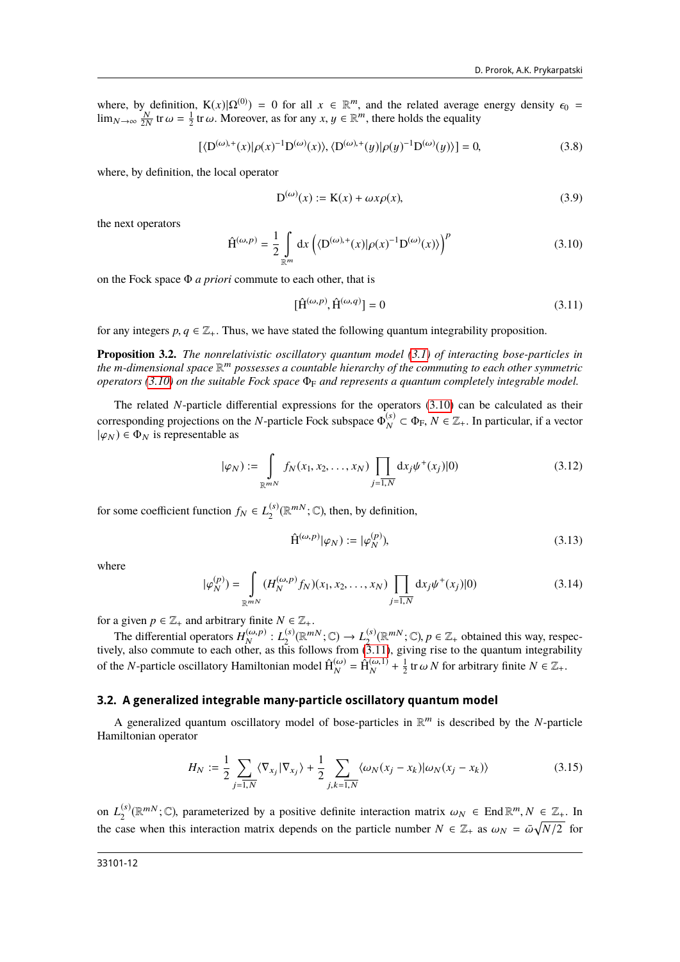where, by definition,  $K(x)|\Omega^{(0)} = 0$  for all  $x \in \mathbb{R}^m$ , and the related average energy density  $\epsilon_0 = \lim_{N \to \infty} \frac{N}{2N}$  tr $\omega = \frac{1}{2}$  tr $\omega$ . Moreover, as for any  $x, y \in \mathbb{R}^m$ , there holds the equality

$$
[\langle D^{(\omega),+}(x)|\rho(x)^{-1}D^{(\omega)}(x)\rangle, \langle D^{(\omega),+}(y)|\rho(y)^{-1}D^{(\omega)}(y)\rangle] = 0,
$$
\n(3.8)

where, by definition, the local operator

$$
D^{(\omega)}(x) := K(x) + \omega x \rho(x),\tag{3.9}
$$

the next operators

<span id="page-11-0"></span>
$$
\hat{\mathbf{H}}^{(\omega,p)} = \frac{1}{2} \int_{\mathbb{R}^m} dx \left( \langle \mathbf{D}^{(\omega),+}(x) | \rho(x)^{-1} \mathbf{D}^{(\omega)}(x) \rangle \right)^p \tag{3.10}
$$

on the Fock space Φ *a priori* commute to each other, that is

<span id="page-11-1"></span>
$$
[\hat{\mathbf{H}}^{(\omega,p)}, \hat{\mathbf{H}}^{(\omega,q)}] = 0 \tag{3.11}
$$

for any integers  $p, q \in \mathbb{Z}_+$ . Thus, we have stated the following quantum integrability proposition.

**Proposition 3.2.** *The nonrelativistic oscillatory quantum model [\(3.1\)](#page-10-0) of interacting bose-particles in* the m-dimensional space  $\mathbb{R}^m$  possesses a countable hierarchy of the commuting to each other symmetric *operators [\(3.10\)](#page-11-0) on the suitable Fock space*  $\Phi_F$  *and represents a quantum completely integrable model.* 

The related *N*-particle differential expressions for the operators [\(3.10\)](#page-11-0) can be calculated as their corresponding projections on the *N*-particle Fock subspace  $\Phi_N^{(s)}$  $\mathcal{L}_{N}^{(s)} \subset \Phi_{\mathrm{F}}, N \in \mathbb{Z}_{+}.$  In particular, if a vector  $|\varphi_N\rangle \in \Phi_N$  is representable as

$$
|\varphi_N) := \int_{\mathbb{R}^{mN}} f_N(x_1, x_2, \dots, x_N) \prod_{j=1, N} dx_j \psi^+(x_j)|0)
$$
 (3.12)

for some coefficient function  $f_N \in L_2^{(s)}$  $\mathbb{R}^{(s)}_{2}(\mathbb{R}^{mN};\mathbb{C})$ , then, by definition,

$$
\hat{\mathbf{H}}^{(\omega,p)}|\varphi_N\rangle := |\varphi_N^{(p)}\rangle,\tag{3.13}
$$

where

$$
|\varphi_N^{(p)}\rangle = \int_{\mathbb{R}^{mN}} (H_N^{(\omega, p)} f_N)(x_1, x_2, \dots, x_N) \prod_{j=1, N} dx_j \psi^+(x_j)|0)
$$
(3.14)

for a given  $p \in \mathbb{Z}_+$  and arbitrary finite  $N \in \mathbb{Z}_+$ .<br>The differential operators  $H_N^{(\omega, p)}: L_2^{(s)}(\mathbb{R}^m)$  $L_2^{(s)}(\mathbb{R}^{mN}; \mathbb{C}) \to L_2^{(s)}$ The differential operators  $H_N^{(\omega,p)}: L_2^{(s)}(\mathbb{R}^{mN}; \mathbb{C}) \to L_2^{(s)}(\mathbb{R}^{mN}; \mathbb{C}), p \in \mathbb{Z}_+$  obtained this way, respectively, also commute to each other, as this follows from [\(3.11\)](#page-11-1), giving rise to the quantum integrab of the *N*-particle oscillatory Hamiltonian model  $\hat{H}_{N}^{(\omega)} = \hat{H}_{N}^{(\omega,1)} + \frac{1}{2}$  tr  $\omega N$  for arbitrary finite  $N \in \mathbb{Z}_{+}$ .

#### **3.2. A generalized integrable many-particle oscillatory quantum model**

A generalized quantum oscillatory model of bose-particles in  $\mathbb{R}^m$  is described by the *N*-particle Hamiltonian operator

<span id="page-11-2"></span>
$$
H_N := \frac{1}{2} \sum_{j=\overline{1,N}} \langle \nabla_{x_j} | \nabla_{x_j} \rangle + \frac{1}{2} \sum_{j,k=\overline{1,N}} \langle \omega_N (x_j - x_k) | \omega_N (x_j - x_k) \rangle \tag{3.15}
$$

on  $L_2^{(s)}$ <sup>(s)</sup>( $\mathbb{R}^{m}$ ; C), parameterized by a positive definite interaction matrix  $\omega_N \in \text{End } \mathbb{R}^m$ ,  $N \in \mathbb{Z}_+$ . In the case when this interaction matrix depends on the particle number  $N \in \mathbb{Z}_+$  as  $\omega_N = \bar{\omega}\sqrt{N/2}$  for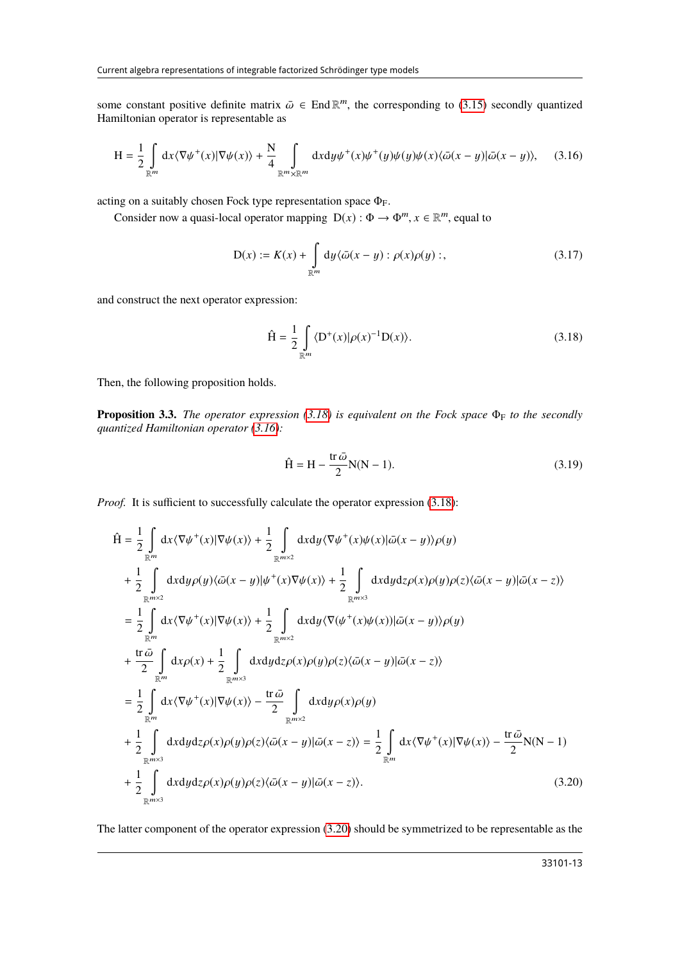some constant positive definite matrix  $\bar{\omega} \in \text{End } \mathbb{R}^m$ , the corresponding to [\(3.15\)](#page-11-2) secondly quantized Hamiltonian operator is representable as Hamiltonian operator is representable as

$$
H = \frac{1}{2} \int_{\mathbb{R}^m} dx \langle \nabla \psi^+(x) | \nabla \psi(x) \rangle + \frac{N}{4} \int_{\mathbb{R}^m \times \mathbb{R}^m} dx dy \psi^+(x) \psi^+(y) \psi(y) \psi(x) \langle \bar{\omega}(x - y) | \bar{\omega}(x - y) \rangle, \tag{3.16}
$$

acting on a suitably chosen Fock type representation space  $\Phi_F$ .

Consider now a quasi-local operator mapping  $D(x) : \Phi \to \Phi^m$ ,  $x \in \mathbb{R}^m$ , equal to

<span id="page-12-1"></span>
$$
D(x) := K(x) + \int_{\mathbb{R}^m} dy \langle \bar{\omega}(x - y) : \rho(x)\rho(y) :,\tag{3.17}
$$

and construct the next operator expression:

<span id="page-12-0"></span>
$$
\hat{H} = \frac{1}{2} \int_{\mathbb{R}^m} \langle D^+(x) | \rho(x)^{-1} D(x) \rangle.
$$
 (3.18)

Then, the following proposition holds.

**Proposition 3.3.** *The operator expression* [\(3.18\)](#page-12-0) *is equivalent on the Fock space*  $\Phi_F$  *to the secondly quantized Hamiltonian operator [\(3.16\)](#page-12-1):*

<span id="page-12-3"></span><span id="page-12-2"></span>
$$
\hat{H} = H - \frac{\text{tr}\,\bar{\omega}}{2}N(N-1). \tag{3.19}
$$

*Proof.* It is sufficient to successfully calculate the operator expression [\(3.18\)](#page-12-0):

$$
\hat{H} = \frac{1}{2} \int_{\mathbb{R}^m} dx \langle \nabla \psi^+(x) | \nabla \psi(x) \rangle + \frac{1}{2} \int_{\mathbb{R}^{m \times 2}} dx dy \langle \nabla \psi^+(x) \psi(x) | \bar{\omega}(x - y) \rangle \rho(y) \n+ \frac{1}{2} \int_{\mathbb{R}^{m \times 2}} dx dy \rho(y) \langle \bar{\omega}(x - y) | \psi^+(x) \nabla \psi(x) \rangle + \frac{1}{2} \int_{\mathbb{R}^{m \times 3}} dx dy dz \rho(x) \rho(y) \rho(z) \langle \bar{\omega}(x - y) | \bar{\omega}(x - z) \rangle \n= \frac{1}{2} \int_{\mathbb{R}^m} dx \langle \nabla \psi^+(x) | \nabla \psi(x) \rangle + \frac{1}{2} \int_{\mathbb{R}^{m \times 2}} dx dy \langle \nabla (\psi^+(x) \psi(x)) | \bar{\omega}(x - y) \rangle \rho(y) \n+ \frac{\text{tr } \bar{\omega}}{2} \int_{\mathbb{R}^m} dx \rho(x) + \frac{1}{2} \int_{\mathbb{R}^{m \times 3}} dx dy dz \rho(x) \rho(y) \rho(z) \langle \bar{\omega}(x - y) | \bar{\omega}(x - z) \rangle \n= \frac{1}{2} \int_{\mathbb{R}^m} dx \langle \nabla \psi^+(x) | \nabla \psi(x) \rangle - \frac{\text{tr } \bar{\omega}}{2} \int_{\mathbb{R}^{m \times 2}} dx dy \rho(x) \rho(y) \n+ \frac{1}{2} \int_{\mathbb{R}^{m \times 3}} dx dy dz \rho(x) \rho(y) \rho(z) \langle \bar{\omega}(x - y) | \bar{\omega}(x - z) \rangle = \frac{1}{2} \int_{\mathbb{R}^m} dx \langle \nabla \psi^+(x) | \nabla \psi(x) \rangle - \frac{\text{tr } \bar{\omega}}{2} N(N - 1) \n+ \frac{1}{2} \int_{\mathbb{R}^{m \times 3}} dx dy dz \rho(x) \rho(y) \rho(z) \langle \bar{\omega}(x - y) | \bar{\omega}(x - z) \rangle.
$$
\n(3.20)

The latter component of the operator expression [\(3.20\)](#page-12-2) should be symmetrized to be representable as the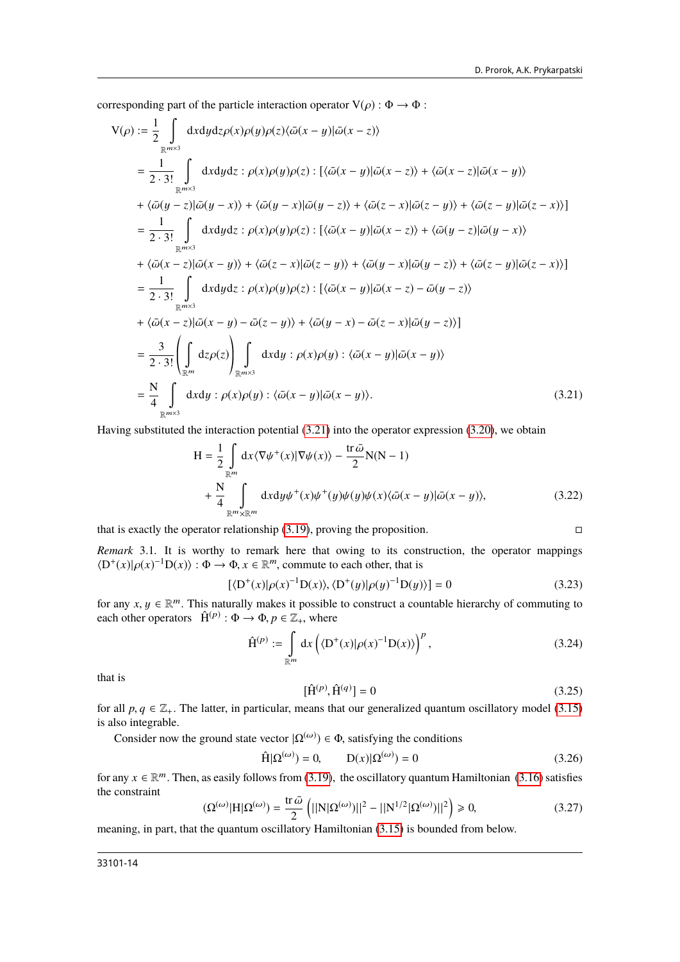corresponding part of the particle interaction operator  $V(\rho) : \Phi \to \Phi$ :

$$
V(\rho) := \frac{1}{2} \int_{\mathbb{R}^{m \times 3}} dxdydz \rho(x)\rho(y)\rho(z)\langle \bar{\omega}(x-y)|\bar{\omega}(x-z)\rangle
$$
  
\n
$$
= \frac{1}{2 \cdot 3!} \int_{\mathbb{R}^{m \times 3}} dxdydz : \rho(x)\rho(y)\rho(z) : [\langle \bar{\omega}(x-y)|\bar{\omega}(x-z)\rangle + \langle \bar{\omega}(x-z)|\bar{\omega}(x-y)\rangle
$$
  
\n
$$
+ \langle \bar{\omega}(y-z)|\bar{\omega}(y-x)\rangle + \langle \bar{\omega}(y-x)|\bar{\omega}(y-z)\rangle + \langle \bar{\omega}(z-x)|\bar{\omega}(z-y)\rangle + \langle \bar{\omega}(z-y)|\bar{\omega}(z-x)\rangle]
$$
  
\n
$$
= \frac{1}{2 \cdot 3!} \int_{\mathbb{R}^{m \times 3}} dxdydz : \rho(x)\rho(y)\rho(z) : [\langle \bar{\omega}(x-y)|\bar{\omega}(x-z)\rangle + \langle \bar{\omega}(y-z)|\bar{\omega}(y-x)\rangle
$$
  
\n
$$
+ \langle \bar{\omega}(x-z)|\bar{\omega}(x-y)\rangle + \langle \bar{\omega}(z-x)|\bar{\omega}(z-y)\rangle + \langle \bar{\omega}(y-x)|\bar{\omega}(y-z)\rangle + \langle \bar{\omega}(z-y)|\bar{\omega}(z-x)\rangle]
$$
  
\n
$$
= \frac{1}{2 \cdot 3!} \int_{\mathbb{R}^{m \times 3}} dxdydz : \rho(x)\rho(y)\rho(z) : [\langle \bar{\omega}(x-y)|\bar{\omega}(x-z) - \bar{\omega}(y-z)\rangle]
$$
  
\n
$$
+ \langle \bar{\omega}(x-z)|\bar{\omega}(x-y) - \bar{\omega}(z-y)\rangle + \langle \bar{\omega}(y-x) - \bar{\omega}(z-x)|\bar{\omega}(y-z)\rangle]
$$
  
\n
$$
= \frac{3}{2 \cdot 3!} \left(\int_{\mathbb{R}^{m}} d\sigma(z)\right) \int_{\mathbb{R}^{m \times 3}} dxdy : \rho(x)\rho(y) : \langle \bar{\omega}(x-y)|\bar{\omega}(x-y)\rangle
$$
  
\n
$$
= \frac{N}{4} \int_{\mathbb{R}^{m \times 3}} dxdy : \rho(x)\rho(y) : \langle \bar{\omega}(x-y)|\bar{\omega}(x-y)\rangle.
$$
 (3.21

Having substituted the interaction potential [\(3.21\)](#page-13-0) into the operator expression [\(3.20\)](#page-12-2), we obtain

<span id="page-13-0"></span>
$$
H = \frac{1}{2} \int_{\mathbb{R}^m} dx \langle \nabla \psi^+(x) | \nabla \psi(x) \rangle - \frac{\text{tr}\,\bar{\omega}}{2} N(N-1) + \frac{N}{4} \int_{\mathbb{R}^m \times \mathbb{R}^m} dx dy \psi^+(x) \psi^+(y) \psi(y) \psi(x) \langle \bar{\omega}(x-y) | \bar{\omega}(x-y) \rangle, \tag{3.22}
$$

that is exactly the operator relationship  $(3.19)$ , proving the proposition.

*Remark* 3.1*.* It is worthy to remark here that owing to its construction, the operator mappings  $\langle D^+(x)|\rho(x)^{-1}D(x)\rangle$ :  $\Phi \to \Phi$ ,  $x \in \mathbb{R}^m$ , commute to each other, that is

$$
[\langle D^{+}(x)|\rho(x)^{-1}D(x)\rangle, \langle D^{+}(y)|\rho(y)^{-1}D(y)\rangle] = 0
$$
\n(3.23)

for any *x*,  $y \in \mathbb{R}^m$ . This naturally makes it possible to construct a countable hierarchy of commuting to each other operators  $\hat{H}^{(p)} \cdot \Phi \rightarrow \Phi$   $p \in \mathbb{Z}$ , where each other operators  $\hat{H}^{(p)}$ :  $\Phi \rightarrow \Phi$ ,  $p \in \mathbb{Z}_+$ , where

$$
\hat{\mathbf{H}}^{(p)} := \int_{\mathbb{R}^m} dx \left( \langle \mathbf{D}^+(x) | \rho(x)^{-1} \mathbf{D}(x) \rangle \right)^p, \tag{3.24}
$$

that is

$$
[\hat{H}^{(p)}, \hat{H}^{(q)}] = 0
$$
\n(3.25)

for all *p*,  $q \in \mathbb{Z}_+$ . The latter, in particular, means that our generalized quantum oscillatory model [\(3.15\)](#page-11-2) is also integrable is also integrable.

Consider now the ground state vector  $|\Omega^{(\omega)}\rangle \in \Phi$ , satisfying the conditions

$$
\hat{H}|\Omega^{(\omega)}\rangle = 0, \qquad D(x)|\Omega^{(\omega)}\rangle = 0 \tag{3.26}
$$

for any  $x \in \mathbb{R}^m$ . Then, as easily follows from [\(3.19\)](#page-12-3), the oscillatory quantum Hamiltonian [\(3.16\)](#page-12-1) satisfies the constraint the constraint

$$
(\Omega^{(\omega)}|H|\Omega^{(\omega)}) = \frac{\text{tr}\,\bar{\omega}}{2} \left( ||N|\Omega^{(\omega)})||^2 - ||N^{1/2}|\Omega^{(\omega)})||^2 \right) \ge 0,
$$
\n(3.27)

meaning, in part, that the quantum oscillatory Hamiltonian [\(3.15\)](#page-11-2) is bounded from below.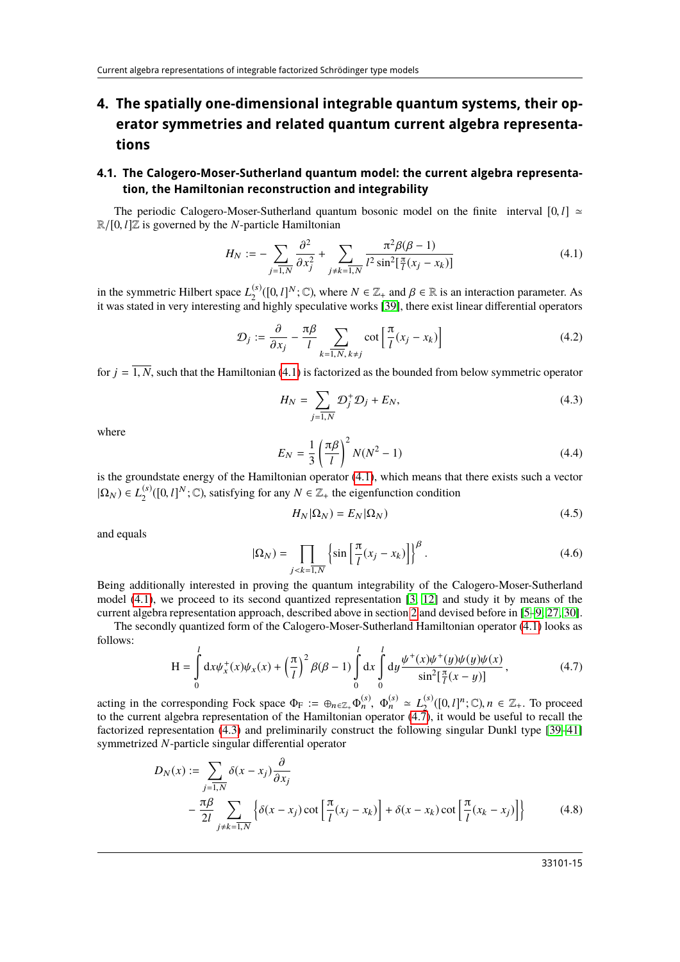# **4. The spatially one-dimensional integrable quantum systems, their operator symmetries and related quantum current algebra representations**

### **4.1. The Calogero-Moser-Sutherland quantum model: the current algebra representation, the Hamiltonian reconstruction and integrability**

The periodic Calogero-Moser-Sutherland quantum bosonic model on the finite interval  $[0, l] \approx$  $\mathbb{R}/[0, l]\mathbb{Z}$  is governed by the *N*-particle Hamiltonian

<span id="page-14-0"></span>
$$
H_N := -\sum_{j=1,N} \frac{\partial^2}{\partial x_j^2} + \sum_{j \neq k=1,N} \frac{\pi^2 \beta(\beta - 1)}{l^2 \sin^2[\frac{\pi}{l}(x_j - x_k)]}
$$
(4.1)

in the symmetric Hilbert space  $L_2^{(s)}$ (s)([0, *l*]<sup>N</sup>; ℂ), where  $N \in \mathbb{Z}_+$  and  $\beta \in \mathbb{R}$  is an interaction parameter. As  $\alpha$  highly speculative works [39] there exist linear differential operators it was stated in very interesting and highly speculative works [\[39\]](#page-29-3), there exist linear differential operators

$$
\mathcal{D}_j := \frac{\partial}{\partial x_j} - \frac{\pi \beta}{l} \sum_{k=1, N, k \neq j} \cot \left[ \frac{\pi}{l} (x_j - x_k) \right] \tag{4.2}
$$

<span id="page-14-2"></span>for  $j = \overline{1, N}$ , such that the Hamiltonian [\(4.1\)](#page-14-0) is factorized as the bounded from below symmetric operator

$$
H_N = \sum_{j=\overline{1,N}} \mathcal{D}_j^+ \mathcal{D}_j + E_N,\tag{4.3}
$$

<span id="page-14-4"></span>where

$$
E_N = \frac{1}{3} \left(\frac{\pi \beta}{l}\right)^2 N(N^2 - 1) \tag{4.4}
$$

is the groundstate energy of the Hamiltonian operator [\(4.1\)](#page-14-0), which means that there exists such a vector  $|\Omega_N) \in L_2^{(s)}$ <sup>(s)</sup>([0, *l*]<sup>*N*</sup>; ℂ), satisfying for any *N* ∈  $\mathbb{Z}_+$  the eigenfunction condition

<span id="page-14-3"></span>
$$
H_N|\Omega_N) = E_N|\Omega_N\rangle\tag{4.5}
$$

and equals

$$
|\Omega_N) = \prod_{j < k = 1, N} \left\{ \sin \left[ \frac{\pi}{l} (x_j - x_k) \right] \right\}^{\beta} . \tag{4.6}
$$

Being additionally interested in proving the quantum integrability of the Calogero-Moser-Sutherland model [\(4.1\)](#page-14-0), we proceed to its second quantized representation [\[3,](#page-28-2) [12\]](#page-28-9) and study it by means of the current algebra representation approach, described above in section [2](#page-1-2) and devised before in [\[5](#page-28-7)[–9,](#page-28-21) [27,](#page-28-23) [30\]](#page-28-26).

The secondly quantized form of the Calogero-Moser-Sutherland Hamiltonian operator [\(4.1\)](#page-14-0) looks as follows:

<span id="page-14-1"></span>
$$
H = \int_{0}^{l} dx \psi_x^+(x)\psi_x(x) + \left(\frac{\pi}{l}\right)^2 \beta(\beta - 1) \int_{0}^{l} dx \int_{0}^{l} dy \frac{\psi^+(x)\psi^+(y)\psi(y)\psi(x)}{\sin^2[\frac{\pi}{l}(x - y)]},
$$
(4.7)

acting in the corresponding Fock space  $\Phi_F := \oplus_{n \in \mathbb{Z}_+} \Phi_n^{(s)}$ ,  $\Phi_n^{(s)} \simeq L_2^{(s)}$ <br>to the current algebra representation of the Hamiltonian operator (4.7)  $\mathbb{Z}_2^{(s)}([0,l]^n;\mathbb{C}), n \in \mathbb{Z}_+$ . To proceed<br>7) it would be useful to recall the to the current algebra representation of the Hamiltonian operator  $(4.\overline{7})$ , it would be useful to recall the factorized representation [\(4.3\)](#page-14-2) and preliminarily construct the following singular Dunkl type [\[39–](#page-29-3)[41\]](#page-29-4) symmetrized *N*-particle singular differential operator

$$
D_N(x) := \sum_{j=\overline{1,N}} \delta(x - x_j) \frac{\partial}{\partial x_j}
$$
  
 
$$
- \frac{\pi \beta}{2l} \sum_{j \neq k=\overline{1,N}} \left\{ \delta(x - x_j) \cot \left[ \frac{\pi}{l} (x_j - x_k) \right] + \delta(x - x_k) \cot \left[ \frac{\pi}{l} (x_k - x_j) \right] \right\}
$$
(4.8)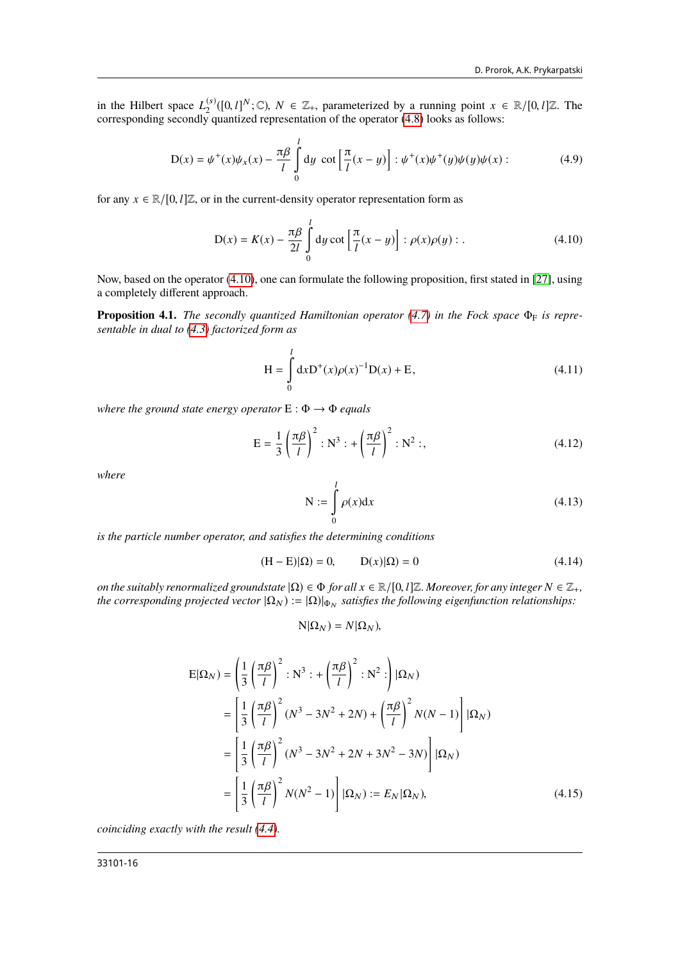in the Hilbert space  $L_2^{(s)}$ in the Hilbert space  $L_2^{(s)}([0, l]^N; \mathbb{C})$ ,  $N \in \mathbb{Z}_+$ , parameterized by a running point  $x \in \mathbb{R}/[0, l]\mathbb{Z}$ . The corresponding secondly quantized representation of the operator [\(4.8\)](#page-14-3) looks as follows:

$$
D(x) = \psi^{+}(x)\psi_{x}(x) - \frac{\pi\beta}{l} \int_{0}^{l} dy \cot\left[\frac{\pi}{l}(x-y)\right] : \psi^{+}(x)\psi^{+}(y)\psi(y)\psi(x) : \tag{4.9}
$$

for any  $x \in \mathbb{R}/[0, l]\mathbb{Z}$ , or in the current-density operator representation form as

<span id="page-15-2"></span><span id="page-15-0"></span>
$$
D(x) = K(x) - \frac{\pi \beta}{2l} \int_{0}^{l} dy \cot \left[ \frac{\pi}{l} (x - y) \right] : \rho(x)\rho(y) : .
$$
 (4.10)

Now, based on the operator [\(4.10\)](#page-15-0), one can formulate the following proposition, first stated in [\[27\]](#page-28-23), using a completely different approach.

**Proposition 4.1.** *The secondly quantized Hamiltonian operator* [\(4.7\)](#page-14-1) *in the Fock space* Φ<sub>F</sub> *is representable in dual to [\(4.3\)](#page-14-2) factorized form as*

<span id="page-15-4"></span>
$$
H = \int_{0}^{l} dx D^{+}(x)\rho(x)^{-1}D(x) + E,
$$
\n(4.11)

*where the ground state energy operator*  $E: \Phi \rightarrow \Phi$  *equals* 

$$
E = \frac{1}{3} \left( \frac{\pi \beta}{l} \right)^2 : N^3 : + \left( \frac{\pi \beta}{l} \right)^2 : N^2 : , \tag{4.12}
$$

*where*

<span id="page-15-3"></span>
$$
N := \int_{0}^{l} \rho(x) dx
$$
 (4.13)

*is the particle number operator, and satisfies the determining conditions*

$$
(\mathbf{H} - \mathbf{E})|\Omega = 0, \qquad \mathbf{D}(x)|\Omega = 0 \tag{4.14}
$$

*on the suitably renormalized groundstate*  $|\Omega\rangle \in \Phi$  *for all*  $x \in \mathbb{R}/[0, l]\mathbb{Z}$ *. Moreover, for any integer*  $N \in \mathbb{Z}_+$ *, the corresponding projected vector*  $|\Omega_N) := |\Omega)|_{\Phi_N}$  satisfies the following eigenfunction relationships:

<span id="page-15-1"></span>
$$
N|\Omega_N) = N|\Omega_N),
$$

$$
E|\Omega_N) = \left(\frac{1}{3}\left(\frac{\pi\beta}{l}\right)^2 : N^3 : + \left(\frac{\pi\beta}{l}\right)^2 : N^2 : \right)|\Omega_N)
$$
  
\n
$$
= \left[\frac{1}{3}\left(\frac{\pi\beta}{l}\right)^2 (N^3 - 3N^2 + 2N) + \left(\frac{\pi\beta}{l}\right)^2 N(N - 1)\right]|\Omega_N)
$$
  
\n
$$
= \left[\frac{1}{3}\left(\frac{\pi\beta}{l}\right)^2 (N^3 - 3N^2 + 2N + 3N^2 - 3N)\right]|\Omega_N)
$$
  
\n
$$
= \left[\frac{1}{3}\left(\frac{\pi\beta}{l}\right)^2 N(N^2 - 1)\right]|\Omega_N) := E_N|\Omega_N|,
$$
 (4.15)

*coinciding exactly with the result [\(4.4\)](#page-14-4).*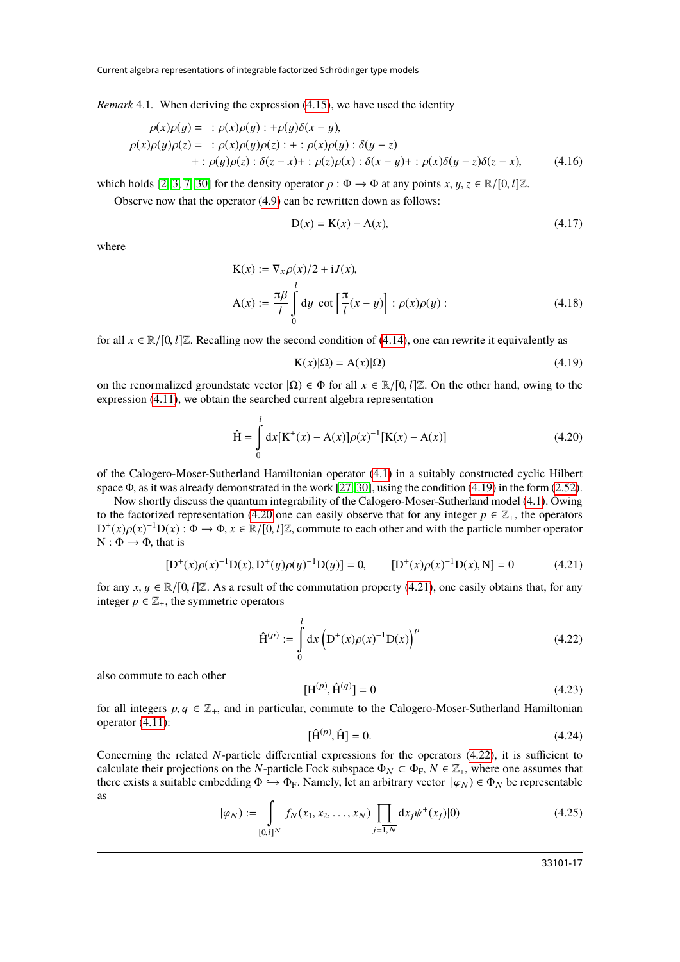*Remark* 4.1*.* When deriving the expression [\(4.15\)](#page-15-1), we have used the identity

$$
\rho(x)\rho(y) = : \rho(x)\rho(y) : +\rho(y)\delta(x-y),
$$
  
\n
$$
\rho(x)\rho(y)\rho(z) = : \rho(x)\rho(y)\rho(z) : + : \rho(x)\rho(y) : \delta(y-z)
$$
  
\n
$$
+ : \rho(y)\rho(z) : \delta(z-x) + : \rho(z)\rho(x) : \delta(x-y) + : \rho(x)\delta(y-z)\delta(z-x), \qquad (4.16)
$$

which holds [\[2,](#page-28-1) [3,](#page-28-2) [7,](#page-28-8) [30\]](#page-28-26) for the density operator  $\rho : \Phi \to \Phi$  at any points  $x, y, z \in \mathbb{R}/[0, l]\mathbb{Z}$ .

Observe now that the operator [\(4.9\)](#page-15-2) can be rewritten down as follows:

$$
D(x) = K(x) - A(x),
$$
 (4.17)

where

$$
K(x) := \nabla_x \rho(x)/2 + iJ(x),
$$
  
\n
$$
A(x) := \frac{\pi \beta}{l} \int_0^l dy \cot \left[ \frac{\pi}{l} (x - y) \right] : \rho(x)\rho(y) :
$$
\n(4.18)

for all  $x \in \mathbb{R}/[0, l]\mathbb{Z}$ . Recalling now the second condition of [\(4.14\)](#page-15-3), one can rewrite it equivalently as

<span id="page-16-1"></span><span id="page-16-0"></span>
$$
K(x)|\Omega = A(x)|\Omega)
$$
\n(4.19)

on the renormalized groundstate vector  $|\Omega\rangle \in \Phi$  for all  $x \in \mathbb{R}/[0, l]\mathbb{Z}$ . On the other hand, owing to the expression [\(4.11\)](#page-15-4), we obtain the searched current algebra representation

$$
\hat{H} = \int_{0}^{l} dx [K^{+}(x) - A(x)] \rho(x)^{-1} [K(x) - A(x)] \qquad (4.20)
$$

of the Calogero-Moser-Sutherland Hamiltonian operator [\(4.1\)](#page-14-0) in a suitably constructed cyclic Hilbert space <sup>Φ</sup>, as it was already demonstrated in the work [\[27,](#page-28-23) [30\]](#page-28-26), using the condition [\(4.19\)](#page-16-0) in the form [\(2.52\)](#page-8-2).

Now shortly discuss the quantum integrability of the Calogero-Moser-Sutherland model [\(4.1\)](#page-14-0). Owing to the factorized representation [\(4.20](#page-16-1) one can easily observe that for any integer  $p \in \mathbb{Z}_+$ , the operators  $D^+(x)\rho(x)^{-1}D(x): \Phi \to \Phi$ ,  $x \in \mathbb{R}/[0, l]\mathbb{Z}$ , commute to each other and with the particle number operator  $N : \Phi \to \Phi$  that is  $N : \Phi \rightarrow \Phi$ , that is

<span id="page-16-2"></span>
$$
[D^{+}(x)\rho(x)^{-1}D(x), D^{+}(y)\rho(y)^{-1}D(y)] = 0, \qquad [D^{+}(x)\rho(x)^{-1}D(x), N] = 0 \tag{4.21}
$$

for any  $x, y \in \mathbb{R}/[0, l]\mathbb{Z}$ . As a result of the commutation property [\(4.21\)](#page-16-2), one easily obtains that, for any integer  $p \in \mathbb{Z}_+$ , the symmetric operators

<span id="page-16-3"></span>
$$
\hat{H}^{(p)} := \int_{0}^{l} dx \left( D^{+}(x)\rho(x)^{-1}D(x) \right)^{p}
$$
\n(4.22)

also commute to each other

$$
[H^{(p)}, \hat{H}^{(q)}] = 0
$$
\n(4.23)

for all integers  $p, q \in \mathbb{Z}_+$ , and in particular, commute to the Calogero-Moser-Sutherland Hamiltonian operator  $(4.11)$ . operator [\(4.11\)](#page-15-4):

$$
[\hat{\mathbf{H}}^{(p)}, \hat{\mathbf{H}}] = 0. \tag{4.24}
$$

Concerning the related *N*-particle differential expressions for the operators [\(4.22\)](#page-16-3), it is sufficient to calculate their projections on the *N*-particle Fock subspace  $\Phi_N \subset \Phi_F$ ,  $N \in \mathbb{Z}_+$ , where one assumes that there exists a suitable embedding  $\Phi \hookrightarrow \Phi_F$ . Namely, let an arbitrary vector  $|\varphi_N\rangle \in \Phi_N$  be representable as

$$
|\varphi_N) := \int\limits_{[0,l]^N} f_N(x_1, x_2, \dots, x_N) \prod\limits_{j=1,N} dx_j \psi^+(x_j)|0)
$$
(4.25)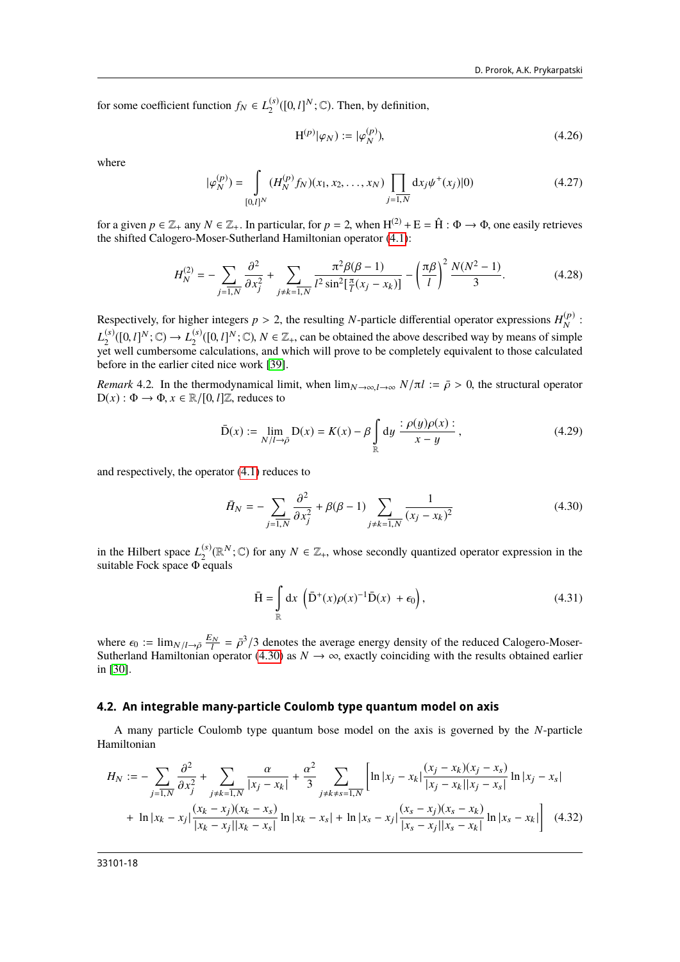for some coefficient function  $f_N \in L_2^{(s)}$  $\binom{s}{2}([0,l]^N;\mathbb{C})$ . Then, by definition,

$$
H^{(p)}|\varphi_N\rangle := |\varphi_N^{(p)}\rangle,\tag{4.26}
$$

where

$$
|\varphi_N^{(p)}\rangle = \int\limits_{[0,1]^N} (H_N^{(p)} f_N)(x_1, x_2, \dots, x_N) \prod\limits_{j=1,N} dx_j \psi^+(x_j)|0)
$$
(4.27)

for a given  $p \in \mathbb{Z}_+$  any  $N \in \mathbb{Z}_+$ . In particular, for  $p = 2$ , when  $H^{(2)} + E = \hat{H} : \Phi \to \Phi$ , one easily retrieves the shifted Calogero-Moser-Sutherland Hamiltonian operator (4.1). the shifted Calogero-Moser-Sutherland Hamiltonian operator [\(4.1\)](#page-14-0):

$$
H_N^{(2)} = -\sum_{j=\overline{1,N}} \frac{\partial^2}{\partial x_j^2} + \sum_{j \neq k=\overline{1,N}} \frac{\pi^2 \beta(\beta - 1)}{l^2 \sin^2[\frac{\pi}{l}(x_j - x_k)]} - \left(\frac{\pi \beta}{l}\right)^2 \frac{N(N^2 - 1)}{3}.
$$
 (4.28)

Respectively, for higher integers  $p > 2$ , the resulting *N*-particle differential operator expressions  $H_N^{(p)}$  $\frac{p}{N}$ :  $L_2^{(s)}$  $L_2^{(s)}([0, l]^N; \mathbb{C}) \to L_2^{(s)}$ <br>et well cumbersome  $L_2^{(s)}([0, l]^N; \mathbb{C}) \to L_2^{(s)}([0, l]^N; \mathbb{C})$ ,  $N \in \mathbb{Z}_+$ , can be obtained the above described way by means of simple yet well cumbersome calculations, and which will prove to be completely equivalent to those calculated before in the earlier cited nice work [\[39\]](#page-29-3).

*Remark* 4.2. In the thermodynamical limit, when  $\lim_{N\to\infty} I_{\tofty} \propto N/\pi l$  :=  $\bar{\rho} > 0$ , the structural operator  $D(x) : \Phi \to \Phi$ ,  $x \in \mathbb{R}/[0, l]\mathbb{Z}$ , reduces to

$$
\bar{\mathcal{D}}(x) := \lim_{N/l \to \bar{\rho}} \mathcal{D}(x) = K(x) - \beta \int_{\mathbb{R}} dy \frac{\partial(\rho(y)) \rho(x)}{\partial(x - y)} \,, \tag{4.29}
$$

and respectively, the operator [\(4.1\)](#page-14-0) reduces to

<span id="page-17-0"></span>
$$
\bar{H}_N = -\sum_{j=\overline{1,N}} \frac{\partial^2}{\partial x_j^2} + \beta(\beta - 1) \sum_{j \neq k=\overline{1,N}} \frac{1}{(x_j - x_k)^2}
$$
(4.30)

in the Hilbert space  $L_2^{(s)}$  $(2)$  ( $\mathbb{R}^N$ ; ℂ) for any  $N \in \mathbb{Z}_+$ , whose secondly quantized operator expression in the equals suitable Fock space Φ equals

<span id="page-17-1"></span>
$$
\overline{H} = \int_{\mathbb{R}} dx \, \left( \overline{D}^+(x) \rho(x)^{-1} \overline{D}(x) + \epsilon_0 \right), \tag{4.31}
$$

where  $\epsilon_0 := \lim_{N/l \to \bar{\rho}} \frac{E_N}{l} = \bar{\rho}^3/3$  denotes the average energy density of the reduced Calogero-Moser-<br>Sutherland Hamiltonian operator (4.30) as  $N \to \infty$  exactly coinciding with the results obtained earlier Sutherland Hamiltonian operator [\(4.30\)](#page-17-0) as  $N \to \infty$ , exactly coinciding with the results obtained earlier in [30] in [\[30\]](#page-28-26).

#### **4.2. An integrable many-particle Coulomb type quantum model on axis**

A many particle Coulomb type quantum bose model on the axis is governed by the *N*-particle Hamiltonian

$$
H_N := -\sum_{j=\overline{1,N}} \frac{\partial^2}{\partial x_j^2} + \sum_{j \neq k=\overline{1,N}} \frac{\alpha}{|x_j - x_k|} + \frac{\alpha^2}{3} \sum_{j \neq k \neq s=\overline{1,N}} \left[ \ln |x_j - x_k| \frac{(x_j - x_k)(x_j - x_s)}{|x_j - x_k||x_j - x_s|} \ln |x_j - x_s| \right]
$$
  
+ 
$$
\ln |x_k - x_j| \frac{(x_k - x_j)(x_k - x_s)}{|x_k - x_j||x_k - x_s|} \ln |x_k - x_s| + \ln |x_s - x_j| \frac{(x_s - x_j)(x_s - x_k)}{|x_s - x_j||x_s - x_k|} \ln |x_s - x_k| \right] \quad (4.32)
$$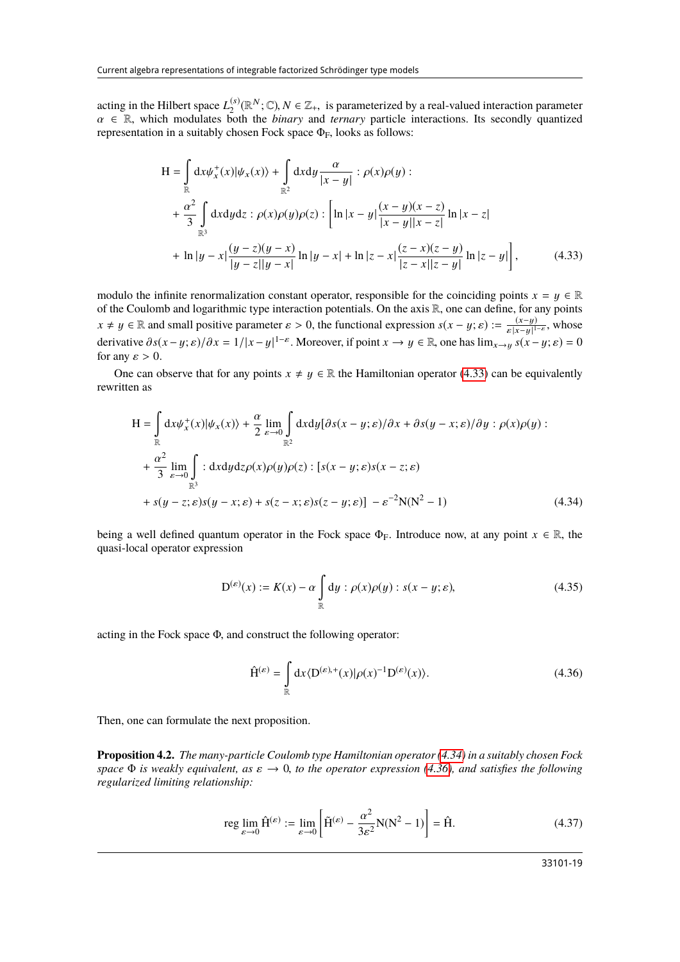acting in the Hilbert space  $L_2^{(s)}$ <sup>(s)</sup>( $\mathbb{R}^N$ ;  $\mathbb{C}$ ),  $N \in \mathbb{Z}_+$ , is parameterized by a real-valued interaction parameter  $\mathbb{R}^N$  and *ternary* particle interactions. Its secondly quantized  $\alpha \in \mathbb{R}$ , which modulates both the *binary* and *ternary* particle interactions. Its secondly quantized representation in a suitably chosen Fock space  $\Phi_F$  looks as follows: representation in a suitably chosen Fock space  $\Phi_F$ , looks as follows:

<span id="page-18-0"></span>
$$
H = \int_{\mathbb{R}} dx \psi_x^+(x) |\psi_x(x)\rangle + \int_{\mathbb{R}^2} dx dy \frac{\alpha}{|x - y|} : \rho(x)\rho(y) :
$$
  
+  $\frac{\alpha^2}{3} \int_{\mathbb{R}^3} dx dy dz : \rho(x)\rho(y)\rho(z) : \left[ \ln|x - y| \frac{(x - y)(x - z)}{|x - y||x - z|} \ln|x - z| + \ln|y - x| \frac{(y - z)(y - x)}{|y - z||y - x|} \ln|y - x| + \ln|z - x| \frac{(z - x)(z - y)}{|z - x||z - y|} \ln|z - y| \right],$  (4.33)

modulo the infinite renormalization constant operator, responsible for the coinciding points  $x = y \in \mathbb{R}$ of the Coulomb and logarithmic type interaction potentials. On the axis R, one can define, for any points  $x \neq y \in \mathbb{R}$  and small positive parameter  $\varepsilon > 0$ , the functional expression  $s(x - y; \varepsilon) := \frac{(x - y)}{\varepsilon |x - y|^1}$  $\frac{(x-y)}{\varepsilon |x-y|^{1-\varepsilon}}$ , whose derivative  $\partial s(x-y; \varepsilon)/\partial x = 1/|x-y|^{1-\varepsilon}$ . Moreover, if point  $x \to y \in \mathbb{R}$ , one has  $\lim_{x \to y} s(x-y; \varepsilon) = 0$ for any  $\varepsilon > 0$ .

One can observe that for any points  $x \neq y \in \mathbb{R}$  the Hamiltonian operator [\(4.33\)](#page-18-0) can be equivalently rewritten as

$$
H = \int_{\mathbb{R}} dx \psi_x^+(x) |\psi_x(x)\rangle + \frac{\alpha}{2} \lim_{\varepsilon \to 0} \int_{\mathbb{R}^2} dx dy [\partial s(x - y; \varepsilon) / \partial x + \partial s(y - x; \varepsilon) / \partial y : \rho(x) \rho(y) :
$$
  
+  $\frac{\alpha^2}{3} \lim_{\varepsilon \to 0} \int_{\mathbb{R}^3} : dx dy dz \rho(x) \rho(y) \rho(z) : [s(x - y; \varepsilon)s(x - z; \varepsilon) ++ s(y - z; \varepsilon)s(y - x; \varepsilon) + s(z - x; \varepsilon)s(z - y; \varepsilon)] - \varepsilon^{-2} N(N^2 - 1)$  (4.34)

being a well defined quantum operator in the Fock space  $\Phi_F$ . Introduce now, at any point  $x \in \mathbb{R}$ , the quasi-local operator expression

<span id="page-18-1"></span>
$$
D^{(\varepsilon)}(x) := K(x) - \alpha \int_{\mathbb{R}} dy : \rho(x)\rho(y) : s(x - y; \varepsilon), \tag{4.35}
$$

acting in the Fock space <sup>Φ</sup>, and construct the following operator:

<span id="page-18-2"></span>
$$
\hat{\mathbf{H}}^{(\varepsilon)} = \int_{\mathbb{R}} dx \langle \mathbf{D}^{(\varepsilon),+}(x) | \rho(x)^{-1} \mathbf{D}^{(\varepsilon)}(x) \rangle.
$$
 (4.36)

Then, one can formulate the next proposition.

**Proposition 4.2.** *The many-particle Coulomb type Hamiltonian operator [\(4.34\)](#page-18-1) in a suitably chosen Fock space*  $\Phi$  *is weakly equivalent, as*  $\varepsilon \to 0$ *, to the operator expression [\(4.36\)](#page-18-2), and satisfies the following regularized limiting relationship:*

<span id="page-18-3"></span>
$$
\operatorname{reg} \lim_{\varepsilon \to 0} \hat{H}^{(\varepsilon)} := \lim_{\varepsilon \to 0} \left[ \tilde{H}^{(\varepsilon)} - \frac{\alpha^2}{3\varepsilon^2} N(N^2 - 1) \right] = \hat{H}.
$$
 (4.37)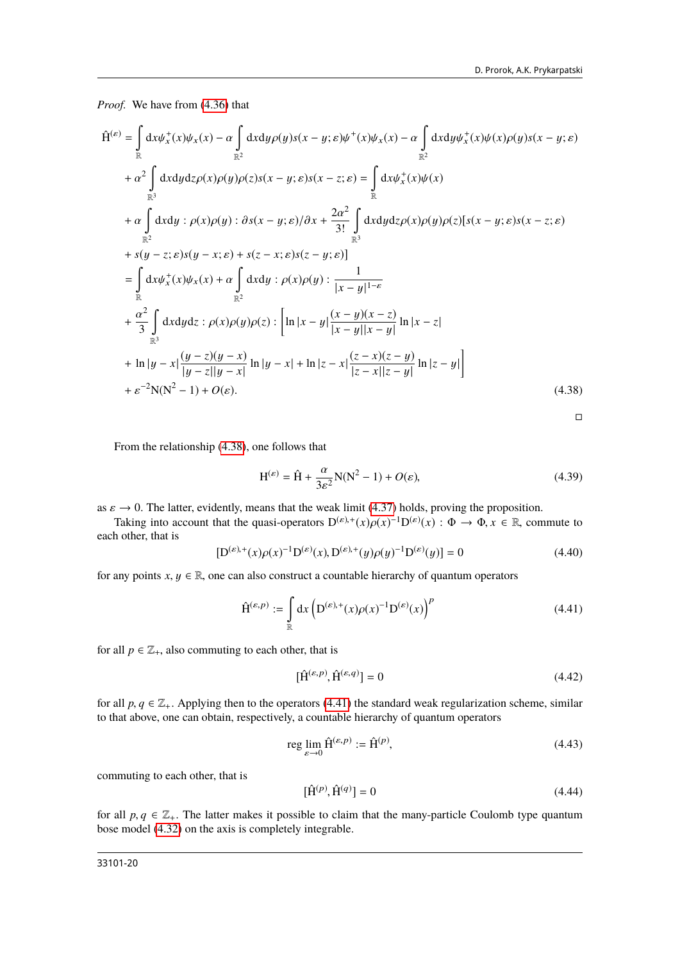*Proof.* We have from [\(4.36\)](#page-18-2) that

$$
\hat{H}^{(\varepsilon)} = \int_{\mathbb{R}} dx \psi_x^+(x) \psi_x(x) - \alpha \int_{\mathbb{R}^2} dx dy \rho(y) s(x - y; \varepsilon) \psi^+(x) \psi_x(x) - \alpha \int_{\mathbb{R}^2} dx dy \psi_x^+(x) \psi(x) \rho(y) s(x - y; \varepsilon)
$$
\n
$$
+ \alpha^2 \int_{\mathbb{R}^3} dx dy dz \rho(x) \rho(y) \rho(z) s(x - y; \varepsilon) s(x - z; \varepsilon) = \int_{\mathbb{R}} dx \psi_x^+(x) \psi(x)
$$
\n
$$
+ \alpha \int_{\mathbb{R}^2} dx dy : \rho(x) \rho(y) : \partial s(x - y; \varepsilon) / \partial x + \frac{2\alpha^2}{3!} \int_{\mathbb{R}^3} dx dy dz \rho(x) \rho(y) \rho(z) [s(x - y; \varepsilon) s(x - z; \varepsilon)
$$
\n
$$
+ s(y - z; \varepsilon) s(y - x; \varepsilon) + s(z - x; \varepsilon) s(z - y; \varepsilon)]
$$
\n
$$
= \int_{\mathbb{R}} dx \psi_x^+(x) \psi_x(x) + \alpha \int_{\mathbb{R}^2} dx dy : \rho(x) \rho(y) : \frac{1}{|x - y|^{1 - \varepsilon}}
$$
\n
$$
+ \frac{\alpha^2}{3} \int_{\mathbb{R}^3} dx dy dz : \rho(x) \rho(y) \rho(z) : \left[ \ln |x - y| \frac{(x - y)(x - z)}{|x - y| |x - y|} \ln |x - z| \right]
$$
\n
$$
+ \ln |y - x| \frac{(y - z)(y - x)}{|y - z| |y - x|} \ln |y - x| + \ln |z - x| \frac{(z - x)(z - y)}{|z - x| |z - y|} \ln |z - y| \right]
$$
\n
$$
+ \varepsilon^{-2} N(N^2 - 1) + O(\varepsilon).
$$
\n(4.38)

<span id="page-19-1"></span><span id="page-19-0"></span>
$$
\Box
$$

From the relationship [\(4.38\)](#page-19-0), one follows that

$$
H^{(\varepsilon)} = \hat{H} + \frac{\alpha}{3\varepsilon^2} N(N^2 - 1) + O(\varepsilon),\tag{4.39}
$$

as  $\varepsilon \to 0$ . The latter, evidently, means that the weak limit [\(4.37\)](#page-18-3) holds, proving the proposition.

Taking into account that the quasi-operators  $D^{(\varepsilon),+}(x)\rho(x)^{-1}D^{(\varepsilon)}(x) : \Phi \to \Phi, x \in \mathbb{R}$ , commute to b other that is each other, that is

$$
[D^{(\varepsilon),+}(x)\rho(x)^{-1}D^{(\varepsilon)}(x), D^{(\varepsilon),+}(y)\rho(y)^{-1}D^{(\varepsilon)}(y)] = 0
$$
\n(4.40)

for any points  $x, y \in \mathbb{R}$ , one can also construct a countable hierarchy of quantum operators

$$
\hat{\mathbf{H}}^{(\varepsilon,p)} := \int\limits_{\mathbb{R}} dx \left( \mathbf{D}^{(\varepsilon),+}(x)\rho(x)^{-1} \mathbf{D}^{(\varepsilon)}(x) \right)^p \tag{4.41}
$$

for all  $p \in \mathbb{Z}_+$ , also commuting to each other, that is

$$
[\hat{\mathbf{H}}^{(\varepsilon,p)}, \hat{\mathbf{H}}^{(\varepsilon,q)}] = 0 \tag{4.42}
$$

for all  $p, q \in \mathbb{Z}_+$ . Applying then to the operators [\(4.41\)](#page-19-1) the standard weak regularization scheme, similar to that above, one can obtain, respectively, a countable hierarchy of quantum operators

$$
\operatorname{reg} \lim_{\varepsilon \to 0} \hat{\mathbf{H}}^{(\varepsilon, p)} := \hat{\mathbf{H}}^{(p)},\tag{4.43}
$$

commuting to each other, that is

$$
\left[\hat{\mathbf{H}}^{(p)}, \hat{\mathbf{H}}^{(q)}\right] = 0\tag{4.44}
$$

for all  $p, q \in \mathbb{Z}_+$ . The latter makes it possible to claim that the many-particle Coulomb type quantum bose model [\(4.32\)](#page-17-1) on the axis is completely integrable.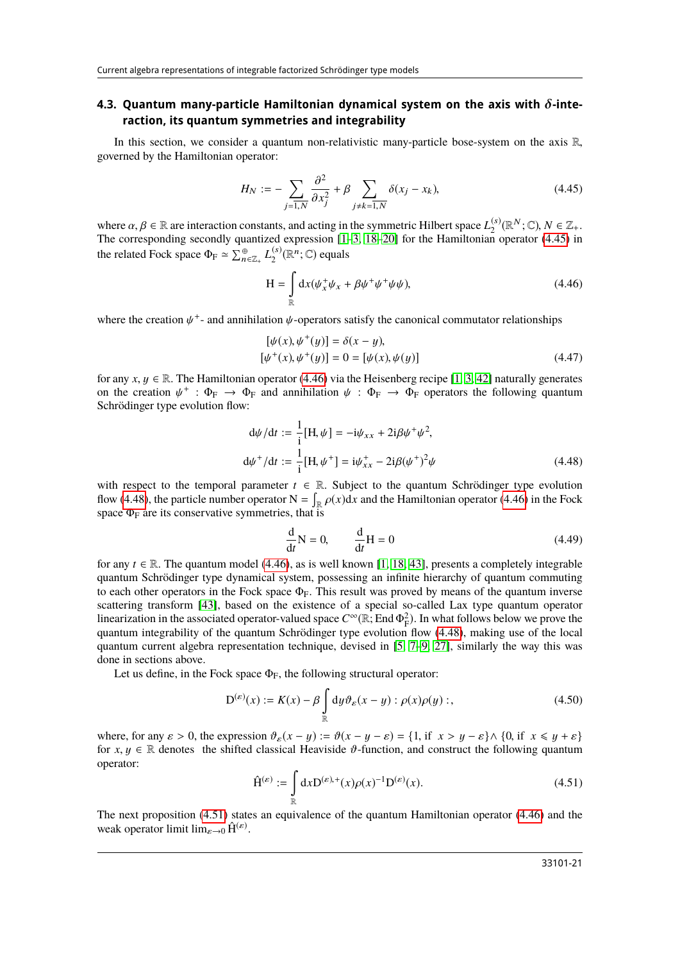#### **4.3. Quantum many-particle Hamiltonian dynamical system on the axis with** δ**-interaction, its quantum symmetries and integrability**

<span id="page-20-0"></span>In this section, we consider a quantum non-relativistic many-particle bose-system on the axis  $\mathbb{R}$ , governed by the Hamiltonian operator:

$$
H_N := -\sum_{j=\overline{1,N}} \frac{\partial^2}{\partial x_j^2} + \beta \sum_{j \neq k=\overline{1,N}} \delta(x_j - x_k),\tag{4.45}
$$

where  $\alpha, \beta \in \mathbb{R}$  are interaction constants, and acting in the symmetric Hilbert space  $L_2^{(s)}$ .<br>The corresponding secondly quantized expression [1–3, 18–20] for the Hamiltonian  $\chi_2^{(s)}(\mathbb{R}^N;\mathbb{C}), N \in \mathbb{Z}_+.$ <br>n operator (4.45) in The corresponding secondly quantized expression [\[1–](#page-28-0)[3,](#page-28-2) [18](#page-28-12)[–20\]](#page-28-13) for the Hamiltonian operator [\(4.45\)](#page-20-0) in the related Fock space  $\Phi_F \simeq \sum_{n=1}^{\oplus} L_2^{(s)}$  $_2^{(s)}(\mathbb{R}^n;\mathbb{C})$  equals

<span id="page-20-1"></span>
$$
H = \int_{\mathbb{R}} dx (\psi_x^+ \psi_x + \beta \psi^+ \psi^+ \psi \psi), \tag{4.46}
$$

where the creation  $\psi^+$ - and annihilation  $\psi$ -operators satisfy the canonical commutator relationships

$$
[\psi(x), \psi^+(y)] = \delta(x - y), [\psi^+(x), \psi^+(y)] = 0 = [\psi(x), \psi(y)]
$$
\n(4.47)

for any  $x, y \in \mathbb{R}$ . The Hamiltonian operator [\(4.46\)](#page-20-1) via the Heisenberg recipe [\[1,](#page-28-0) [3,](#page-28-2) [42\]](#page-29-5) naturally generates on the creation  $\psi^+ : \Phi_F \to \Phi_F$  and annihilation  $\psi : \Phi_F \to \Phi_F$  operators the following quantum<br>Schrödinger type evolution flow: Schrödinger type evolution flow:

$$
d\psi/dt := \frac{1}{i}[H, \psi] = -i\psi_{xx} + 2i\beta\psi^+\psi^2,
$$
  

$$
d\psi^+/dt := \frac{1}{i}[H, \psi^+] = i\psi_{xx}^+ - 2i\beta(\psi^+)^2\psi
$$
 (4.48)

with respect to the temporal parameter  $t \in \mathbb{R}$ . Subject to the quantum Schrödinger type evolution flow [\(4.48\)](#page-20-2), the particle number operator  $N = \int_{\mathbb{R}} \rho(x) dx$  and the Hamiltonian operator [\(4.46\)](#page-20-1) in the Fock space  $\Phi_F$  are its conservative symmetries, that is

<span id="page-20-2"></span>
$$
\frac{\mathrm{d}}{\mathrm{d}t}\mathbf{N} = 0, \qquad \frac{\mathrm{d}}{\mathrm{d}t}\mathbf{H} = 0 \tag{4.49}
$$

for any  $t \in \mathbb{R}$ . The quantum model [\(4.46\)](#page-20-1), as is well known [\[1,](#page-28-0) [18,](#page-28-12) [43\]](#page-29-6), presents a completely integrable quantum Schrödinger type dynamical system, possessing an infinite hierarchy of quantum commuting to each other operators in the Fock space  $\Phi_F$ . This result was proved by means of the quantum inverse scattering transform [\[43\]](#page-29-6), based on the existence of a special so-called Lax type quantum operator linearization in the associated operator-valued space  $C^{\infty}(\mathbb{R}; \text{End } \Phi_F^2)$ . In what follows below we prove the quantum integrability of the quantum Schrödinger type evolution flow (4.48), making use of the local quantum integrability of the quantum Schrödinger type evolution flow [\(4.48\)](#page-20-2), making use of the local quantum current algebra representation technique, devised in [\[5,](#page-28-7) [7](#page-28-8)[–9,](#page-28-21) [27\]](#page-28-23), similarly the way this was done in sections above.

Let us define, in the Fock space  $\Phi_F$ , the following structural operator:

$$
D^{(\varepsilon)}(x) := K(x) - \beta \int_{\mathbb{R}} dy \vartheta_{\varepsilon}(x - y) : \rho(x)\rho(y) ;,
$$
 (4.50)

<span id="page-20-3"></span>where, for any  $\varepsilon > 0$ , the expression  $\vartheta_{\varepsilon}(x - y) := \vartheta(x - y - \varepsilon) = \{1, \text{if } x > y - \varepsilon\} \wedge \{0, \text{if } x \leq y + \varepsilon\}$ for  $x, y \in \mathbb{R}$  denotes the shifted classical Heaviside  $\vartheta$ -function, and construct the following quantum operator:

$$
\hat{H}^{(\varepsilon)} := \int_{\mathbb{R}} dx D^{(\varepsilon),+}(x) \rho(x)^{-1} D^{(\varepsilon)}(x).
$$
 (4.51)

The next proposition [\(4.51\)](#page-20-3) states an equivalence of the quantum Hamiltonian operator [\(4.46\)](#page-20-1) and the weak operator limit  $\lim_{\varepsilon \to 0} \hat{H}^{(\varepsilon)}$ .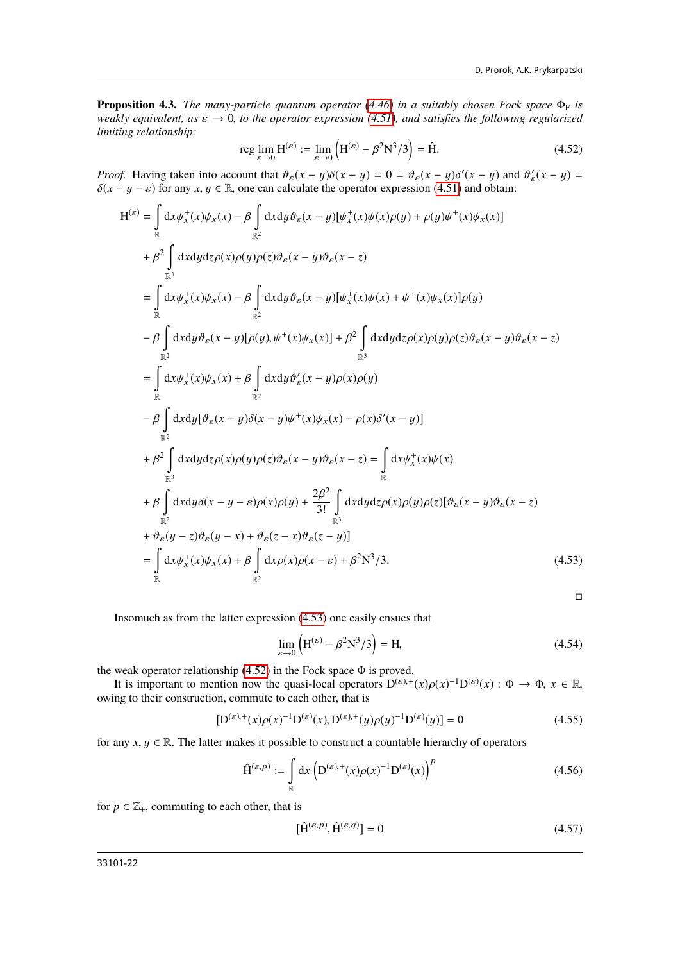**Proposition 4.3.** *The many-particle quantum operator*  $(4.46)$  *in a suitably chosen Fock space*  $\Phi_F$  *is weakly equivalent, as*  $\varepsilon \to 0$ *, to the operator expression [\(4.51\)](#page-20-3), and satisfies the following regularized limiting relationship:*

<span id="page-21-1"></span>reg 
$$
\lim_{\varepsilon \to 0} H^{(\varepsilon)} := \lim_{\varepsilon \to 0} (H^{(\varepsilon)} - \beta^2 N^3 / 3) = \hat{H}.
$$
 (4.52)

*Proof.* Having taken into account that  $\vartheta_{\varepsilon}(x - y)\delta(x - y) = 0 = \vartheta_{\varepsilon}(x - y)\delta'(x - y)$  and  $\vartheta'_{\varepsilon}(x - y) = \delta(x - y)$  for any  $x, y \in \mathbb{R}$  one can calculate the operator expression (4.51) and obtain:  $\delta(x - y - \varepsilon)$  for any  $x, y \in \mathbb{R}$ , one can calculate the operator expression [\(4.51\)](#page-20-3) and obtain:

$$
H^{(\varepsilon)} = \int_{\mathbb{R}} dx \psi_x^+(x) \psi_x(x) - \beta \int_{\mathbb{R}^2} dx dy \vartheta_{\varepsilon}(x - y) [\psi_x^+(x) \psi(x) \rho(y) + \rho(y) \psi^+(x) \psi_x(x)]
$$
  
\n+  $\beta^2 \int_{\mathbb{R}^3} dx dy dz \rho(x) \rho(y) \rho(z) \vartheta_{\varepsilon}(x - y) \vartheta_{\varepsilon}(x - z)$   
\n=  $\int_{\mathbb{R}^3} dx \psi_x^+(x) \psi_x(x) - \beta \int_{\mathbb{R}^2} dx dy \vartheta_{\varepsilon}(x - y) [\psi_x^+(x) \psi(x) + \psi^+(x) \psi_x(x)] \rho(y)$   
\n-  $\beta \int_{\mathbb{R}^2} dx dy \vartheta_{\varepsilon}(x - y) [\rho(y), \psi^+(x) \psi_x(x)] + \beta^2 \int_{\mathbb{R}^3} dx dy dz \rho(x) \rho(y) \rho(z) \vartheta_{\varepsilon}(x - y) \vartheta_{\varepsilon}(x - z)$   
\n=  $\int_{\mathbb{R}^2} dx \psi_x^+(x) \psi_x(x) + \beta \int_{\mathbb{R}^2} dx dy \vartheta_x'(x - y) \rho(x) \rho(y)$   
\n-  $\beta \int_{\mathbb{R}^2} dx dy [\vartheta_{\varepsilon}(x - y) \delta(x - y) \psi^+(x) \psi_x(x) - \rho(x) \delta'(x - y)]$   
\n+  $\beta^2 \int_{\mathbb{R}^3} dx dy dz \rho(x) \rho(y) \rho(z) \vartheta_{\varepsilon}(x - y) \vartheta_{\varepsilon}(x - z) = \int_{\mathbb{R}^3} dx \psi_x^+(x) \psi(x)$   
\n+  $\beta \int_{\mathbb{R}^3} dx dy \delta(x - y - \varepsilon) \rho(x) \rho(y) + \frac{2\beta^2}{3!} \int_{\mathbb{R}^3} dx dy dz \rho(x) \rho(y) \rho(z) [\vartheta_{\varepsilon}(x - y) \vartheta_{\varepsilon}(x - z)$   
\n+  $\vartheta_{\varepsilon}(y - z) \vartheta_{\varepsilon}(y - x) + \vartheta_{\varepsilon}(z - x) \vartheta_{\varepsilon}(z - y)]$   
\n= <

<span id="page-21-2"></span><span id="page-21-0"></span> $\Box$ 

Insomuch as from the latter expression [\(4.53\)](#page-21-0) one easily ensues that

$$
\lim_{\varepsilon \to 0} \left( \mathbf{H}^{(\varepsilon)} - \beta^2 \mathbf{N}^3 / 3 \right) = \mathbf{H},\tag{4.54}
$$

the weak operator relationship  $(4.52)$  in the Fock space  $\Phi$  is proved.

It is important to mention now the quasi-local operators  $D^{(\varepsilon),+}(x)\rho(x)^{-1}D^{(\varepsilon)}(x): \Phi \to \Phi$ ,  $x \in \mathbb{R}$ , no to their construction, commute to each other that is owing to their construction, commute to each other, that is

$$
[D^{(\varepsilon),+}(x)\rho(x)^{-1}D^{(\varepsilon)}(x), D^{(\varepsilon),+}(y)\rho(y)^{-1}D^{(\varepsilon)}(y)] = 0
$$
\n(4.55)

for any  $x, y \in \mathbb{R}$ . The latter makes it possible to construct a countable hierarchy of operators

$$
\hat{\mathbf{H}}^{(\varepsilon,p)} := \int\limits_{\mathbb{R}} dx \left( \mathbf{D}^{(\varepsilon)+}(x) \rho(x)^{-1} \mathbf{D}^{(\varepsilon)}(x) \right)^p \tag{4.56}
$$

for  $p \in \mathbb{Z}_+$ , commuting to each other, that is

<span id="page-21-3"></span>
$$
[\hat{\mathbf{H}}^{(\varepsilon,p)}, \hat{\mathbf{H}}^{(\varepsilon,q)}] = 0 \tag{4.57}
$$

33101-22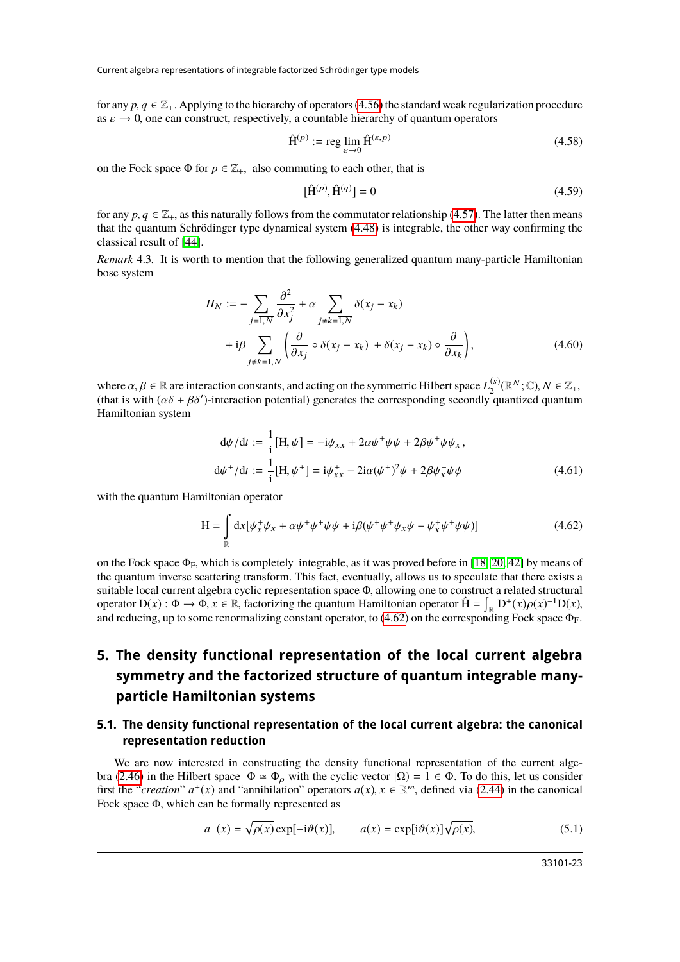for any  $p, q \in \mathbb{Z}_+$ . Applying to the hierarchy of operators [\(4.56\)](#page-21-2) the standard weak regularization procedure as  $\varepsilon \to 0$ , one can construct, respectively, a countable hierarchy of quantum operators

$$
\hat{\mathbf{H}}^{(p)} := \operatorname{reg} \lim_{\varepsilon \to 0} \hat{\mathbf{H}}^{(\varepsilon, p)} \tag{4.58}
$$

on the Fock space  $\Phi$  for  $p \in \mathbb{Z}_+$ , also commuting to each other, that is

$$
[\hat{\mathbf{H}}^{(p)}, \hat{\mathbf{H}}^{(q)}] = 0 \tag{4.59}
$$

for any  $p, q \in \mathbb{Z}_+$ , as this naturally follows from the commutator relationship [\(4.57\)](#page-21-3). The latter then means that the quantum Schrödinger type dynamical system [\(4.48\)](#page-20-2) is integrable, the other way confirming the classical result of [\[44\]](#page-29-7).

*Remark* 4.3*.* It is worth to mention that the following generalized quantum many-particle Hamiltonian bose system

$$
H_N := -\sum_{j=\overline{1,N}} \frac{\partial^2}{\partial x_j^2} + \alpha \sum_{j \neq k=\overline{1,N}} \delta(x_j - x_k)
$$
  
+  $i\beta \sum_{j \neq k=\overline{1,N}} \left( \frac{\partial}{\partial x_j} \circ \delta(x_j - x_k) + \delta(x_j - x_k) \circ \frac{\partial}{\partial x_k} \right),$  (4.60)

where  $\alpha, \beta \in \mathbb{R}$  are interaction constants, and acting on the symmetric Hilbert space  $L_2^{(s)}$ <br>(that is with  $(\alpha\delta + \beta\delta')$ -interaction potential) generates the corresponding secondly or  $\chi_2^{(s)}(\mathbb{R}^N;\mathbb{C}), N \in \mathbb{Z}_+,$ <br>couantized quantum (that is with  $(\alpha \delta + \beta \delta')$ -interaction potential) generates the corresponding secondly quantized quantum<br>Hamiltonian system Hamiltonian system

$$
d\psi/dt := \frac{1}{i}[H, \psi] = -i\psi_{xx} + 2\alpha\psi^+\psi\psi + 2\beta\psi^+\psi\psi_x,
$$
  

$$
d\psi^+/dt := \frac{1}{i}[H, \psi^+] = i\psi_{xx}^+ - 2i\alpha(\psi^+)^2\psi + 2\beta\psi_x^+\psi\psi
$$
(4.61)

with the quantum Hamiltonian operator

<span id="page-22-0"></span>
$$
H = \int_{\mathbb{R}} dx [\psi_x^+ \psi_x + \alpha \psi^+ \psi^+ \psi \psi + i \beta (\psi^+ \psi^+ \psi_x \psi - \psi_x^+ \psi^+ \psi \psi)] \tag{4.62}
$$

on the Fock space  $\Phi_F$ , which is completely integrable, as it was proved before in [\[18,](#page-28-12) [20,](#page-28-13) [42\]](#page-29-5) by means of the quantum inverse scattering transform. This fact, eventually, allows us to speculate that there exists a suitable local current algebra cyclic representation space <sup>Φ</sup>, allowing one to construct a related structural operator  $D(x) : \Phi \to \Phi$ ,  $x \in \mathbb{R}$ , factorizing the quantum Hamiltonian operator  $\hat{H} = \int_{\mathbb{R}} D^+(x) \rho(x)^{-1} D(x)$ , and reducing up to some renormalizing constant operator to (4.62) on the corresponding Eock space  $\Phi_{\Gamma}$ and reducing, up to some renormalizing constant operator, to [\(4.62\)](#page-22-0) on the corresponding Fock space  $\Phi_F$ .

# **5. The density functional representation of the local current algebra symmetry and the factorized structure of quantum integrable manyparticle Hamiltonian systems**

### **5.1. The density functional representation of the local current algebra: the canonical representation reduction**

We are now interested in constructing the density functional representation of the current alge-bra [\(2.46\)](#page-7-4) in the Hilbert space  $\Phi \simeq \Phi_{\rho}$  with the cyclic vector  $|\Omega| = 1 \in \Phi$ . To do this, let us consider first the "*creation*"  $a^+(x)$  and "annihilation" operators  $a(x)$ ,  $x \in \mathbb{R}^m$ , defined via [\(2.44\)](#page-7-2) in the canonical Fock space  $\Phi$ , which can be formally represented as Fock space Φ, which can be formally represented as

$$
a^{+}(x) = \sqrt{\rho(x)} \exp[-i\theta(x)], \qquad a(x) = \exp[i\theta(x)]\sqrt{\rho(x)}, \tag{5.1}
$$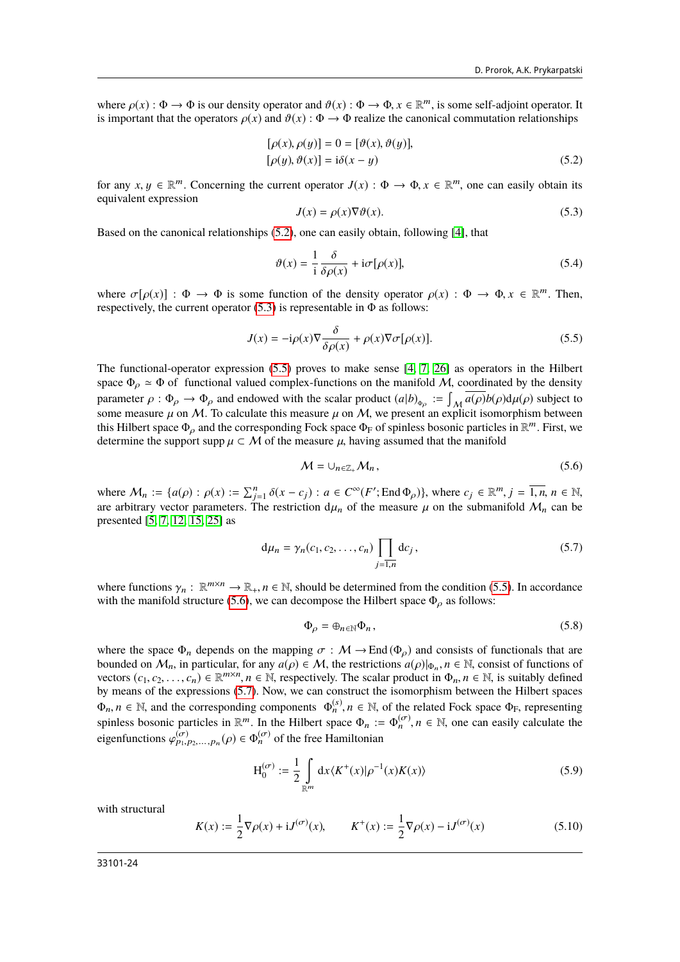where  $\rho(x) : \Phi \to \Phi$  is our density operator and  $\vartheta(x) : \Phi \to \Phi$ ,  $x \in \mathbb{R}^m$ , is some self-adjoint operator. It is important that the operators  $\rho(x)$  and  $\vartheta(x) : \Phi \to \Phi$  realize the canonical commutation relationships is important that the operators  $\rho(x)$  and  $\vartheta(x)$ :  $\Phi \to \Phi$  realize the canonical commutation relationships

<span id="page-23-1"></span>
$$
[\rho(x), \rho(y)] = 0 = [\vartheta(x), \vartheta(y)],
$$
  

$$
[\rho(y), \vartheta(x)] = i\delta(x - y)
$$
 (5.2)

for any  $x, y \in \mathbb{R}^m$ . Concerning the current operator  $J(x)$  :  $\Phi \to \Phi, x \in \mathbb{R}^m$ , one can easily obtain its equivalent expression equivalent expression

<span id="page-23-0"></span>
$$
J(x) = \rho(x)\nabla\vartheta(x). \tag{5.3}
$$

Based on the canonical relationships [\(5.2\)](#page-23-0), one can easily obtain, following [\[4\]](#page-28-3), that

<span id="page-23-2"></span>
$$
\vartheta(x) = \frac{1}{i} \frac{\delta}{\delta \rho(x)} + i\sigma[\rho(x)],\tag{5.4}
$$

where  $\sigma[\rho(x)] : \Phi \to \Phi$  is some function of the density operator  $\rho(x) : \Phi \to \Phi, x \in \mathbb{R}^m$ . Then, respectively the current operator (5.3) is representable in  $\Phi$  as follows: respectively, the current operator  $(5.3)$  is representable in  $\Phi$  as follows:

$$
J(x) = -i\rho(x)\nabla \frac{\delta}{\delta \rho(x)} + \rho(x)\nabla \sigma[\rho(x)].
$$
\n(5.5)

The functional-operator expression [\(5.5\)](#page-23-2) proves to make sense [\[4,](#page-28-3) [7,](#page-28-8) [26\]](#page-28-18) as operators in the Hilbert space  $\Phi_{\alpha} \simeq \Phi$  of functional valued complex-functions on the manifold M, coordinated by the density parameter  $\rho : \Phi_{\rho} \to \Phi_{\rho}$  and endowed with the scalar product  $(a|b)_{\Phi_{\rho}} := \int_{\mathcal{M}} \overline{a(\rho)} b(\rho) d\mu(\rho)$  subject to some measure  $\mu$  on  $M$ . To calculate this measure  $\mu$  on  $M$  we present an explicit isomorphism bet some measure  $\mu$  on M. To calculate this measure  $\mu$  on M, we present an explicit isomorphism between this Hilbert space  $\Phi_{\rho}$  and the corresponding Fock space  $\Phi_{\rm F}$  of spinless bosonic particles in  $\mathbb{R}^m$ . First, we determine the support supp  $\mu \subset M$  of the measure  $\mu$  having assumed that the manifold determine the support supp  $\mu \subset \mathcal{M}$  of the measure  $\mu$ , having assumed that the manifold

<span id="page-23-3"></span>
$$
\mathcal{M} = \cup_{n \in \mathbb{Z}_+} \mathcal{M}_n, \tag{5.6}
$$

where  $M_n := \{a(\rho) : \rho(x) := \sum_{j=1}^n \delta(x - c_j) : a \in C^\infty(F'; \text{End } \Phi_\rho)\}\)$ , where  $c_j \in \mathbb{R}^m, j = \overline{1, n}, n \in \mathbb{N}$ , or a parameter of the mass of the mass of the submanifold  $M$ , can be are arbitrary vector parameters. The restriction  $d\mu_n$  of the measure  $\mu$  on the submanifold  $\mathcal{M}_n$  can be presented [\[5,](#page-28-7) [7,](#page-28-8) [12,](#page-28-9) [15,](#page-28-22) [25\]](#page-28-17) as

<span id="page-23-4"></span>
$$
d\mu_n = \gamma_n(c_1, c_2, \dots, c_n) \prod_{j=1, n} dc_j,
$$
 (5.7)

where functions  $\gamma_n : \mathbb{R}^{m \times n} \to \mathbb{R}_+$ ,  $n \in \mathbb{N}$ , should be determined from the condition [\(5.5\)](#page-23-2). In accordance with the manifold structure (5.6), we can decompose the Hilbert space  $\Phi$ , as follows: with the manifold structure [\(5.6\)](#page-23-3), we can decompose the Hilbert space  $\Phi_{\rho}$  as follows:

<span id="page-23-5"></span>
$$
\Phi_{\rho} = \oplus_{n \in \mathbb{N}} \Phi_n, \tag{5.8}
$$

where the space  $\Phi_n$  depends on the mapping  $\sigma : \mathcal{M} \to \text{End}(\Phi_0)$  and consists of functionals that are bounded on  $\mathcal{M}_n$ , in particular, for any  $a(\rho) \in \mathcal{M}$ , the restrictions  $a(\rho)|_{\Phi_n}, n \in \mathbb{N}$ , consist of functions of vectors  $(c_1, c_2, \ldots, c_n) \in \mathbb{R}^{m \times n}$ ,  $n \in \mathbb{N}$  respectively. The scalar product in  $\Phi_n \in \math$ vectors  $(c_1, c_2, \ldots, c_n) \in \mathbb{R}^{m \times n}$ ,  $n \in \mathbb{N}$ , respectively. The scalar product in  $\Phi_n$ ,  $n \in \mathbb{N}$ , is suitably defined<br>by means of the expressions (5.7). Now we can construct the isomorphism between the Hilbert by means of the expressions [\(5.7\)](#page-23-4). Now, we can construct the isomorphism between the Hilbert spaces  $\Phi_n, n \in \mathbb{N}$ , and the corresponding components  $\Phi_n^{(s)}$ ,  $n \in \mathbb{N}$ , of the related Fock space  $\Phi_F$ , representing existence become positive above propositive above the strategy of the Hilbert cases  $\Phi_{\text{L}} = \Phi_{\text{L$ spinless bosonic particles in  $\mathbb{R}^m$ . In the Hilbert space  $\Phi_n := \Phi_n^{(\sigma)}$ ,  $n \in \mathbb{N}$ , one can easily calculate the eigenfunctions  $\varphi_{p_1, p_2,...,p_n}^{(\sigma)}(\rho) \in \Phi_n^{(\sigma)}$  of the free Hamiltonian

$$
H_0^{(\sigma)} := \frac{1}{2} \int_{\mathbb{R}^m} dx \langle K^+(x) | \rho^{-1}(x) K(x) \rangle
$$
 (5.9)

with structural

<span id="page-23-6"></span>
$$
K(x) := \frac{1}{2}\nabla \rho(x) + iJ^{(\sigma)}(x), \qquad K^+(x) := \frac{1}{2}\nabla \rho(x) - iJ^{(\sigma)}(x)
$$
(5.10)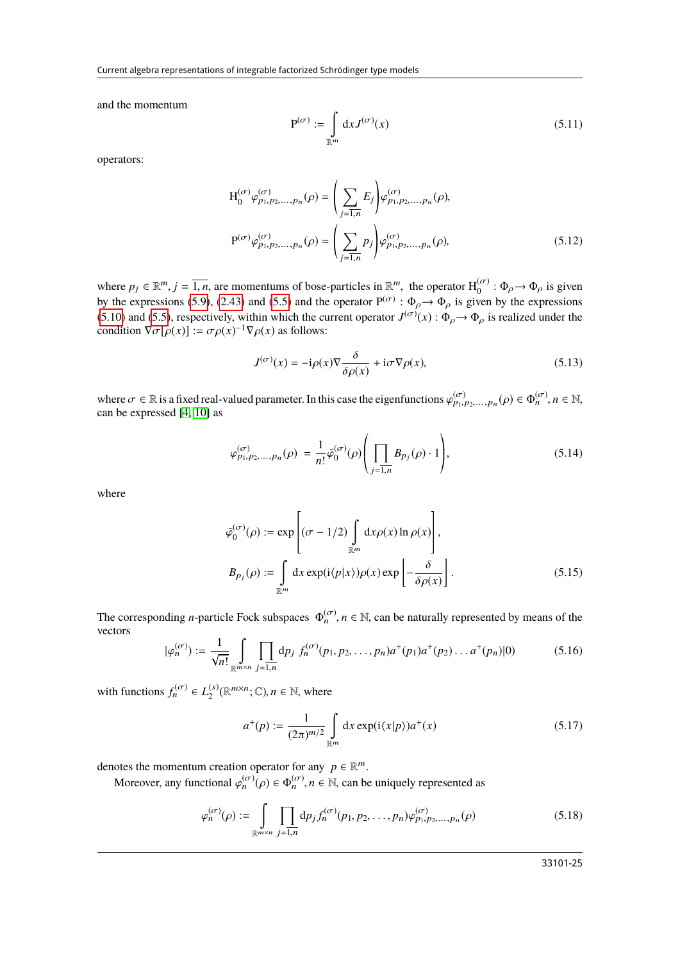and the momentum

$$
\mathbf{P}^{(\sigma)} := \int\limits_{\mathbb{R}^m} \mathrm{d}x J^{(\sigma)}(x) \tag{5.11}
$$

operators:

$$
H_0^{(\sigma)} \varphi_{p_1, p_2, ..., p_n}^{(\sigma)}(\rho) = \left(\sum_{j=1, n} E_j \right) \varphi_{p_1, p_2, ..., p_n}^{(\sigma)}(\rho),
$$
  

$$
P^{(\sigma)} \varphi_{p_1, p_2, ..., p_n}^{(\sigma)}(\rho) = \left(\sum_{j=1, n} p_j \right) \varphi_{p_1, p_2, ..., p_n}^{(\sigma)}(\rho),
$$
 (5.12)

where  $p_j \in \mathbb{R}^m$ ,  $j = \overline{1, n}$ , are momentums of bose-particles in  $\mathbb{R}^m$ , the operator  $H_0^{(\sigma)} : \Phi_{\rho} \to \Phi_{\rho}$  is given<br>by the oppressions (5.0) (2.43) and (5.5) and the operator  $D^{(\sigma)} : \Phi_{\rho} \to \Phi_{\rho}$  is given 0 by the expressions [\(5.9\)](#page-23-5), [\(2.43\)](#page-7-3) and [\(5.5\)](#page-23-2) and the operator  $P^{(\sigma)}$ :  $\Phi_{\rho} \to \Phi_{\rho}$  is given by the expressions (5.10) and (5.5) recreatively within which the operator  $I^{(\sigma)}(x)$ ,  $\Phi_{\rho} \to \Phi_{\rho}$  is goalized under the [\(5.10\)](#page-23-6) and [\(5.5\)](#page-23-2), respectively, within which the current operator  $J^{(\sigma)}(x)$ :  $\Phi_{\rho} \to \Phi_{\rho}$  is realized under the condition  $\nabla \sigma [g(x)] := \sigma g(x)^{-1} \nabla g(x)$  as follows: condition  $\nabla \sigma[\rho(x)] := \sigma \rho(x)^{-1} \nabla \rho(x)$  as follows:

<span id="page-24-0"></span>
$$
J^{(\sigma)}(x) = -i\rho(x)\nabla \frac{\delta}{\delta \rho(x)} + i\sigma \nabla \rho(x),\tag{5.13}
$$

where  $\sigma \in \mathbb{R}$  is a fixed real-valued parameter. In this case the eigenfunctions  $\varphi_{p_1, p_2,...,p_n}^{(\sigma)}(\rho) \in \Phi_n^{(\sigma)}, n \in \mathbb{N}$ ,  $n \in \mathbb{N}$ ,  $n \in \mathbb{N}$ can be expressed [\[4,](#page-28-3) [10\]](#page-28-4) as

$$
\varphi_{p_1, p_2, \dots, p_n}^{(\sigma)}(\rho) = \frac{1}{n!} \bar{\varphi}_0^{(\sigma)}(\rho) \left( \prod_{j=1, n} B_{p_j}(\rho) \cdot 1 \right), \tag{5.14}
$$

where

$$
\bar{\varphi}_0^{(\sigma)}(\rho) := \exp\left[ (\sigma - 1/2) \int_{\mathbb{R}^m} dx \rho(x) \ln \rho(x) \right],
$$
  
\n
$$
B_{p_j}(\rho) := \int_{\mathbb{R}^m} dx \exp(i \langle p | x \rangle) \rho(x) \exp\left[ -\frac{\delta}{\delta \rho(x)} \right].
$$
\n(5.15)

The corresponding *n*-particle Fock subspaces  $\Phi_n^{(\sigma)}$ ,  $n \in \mathbb{N}$ , can be naturally represented by means of the vectors vectors

$$
|\varphi_n^{(\sigma)}\rangle := \frac{1}{\sqrt{n!}} \int_{\mathbb{R}^{m \times n}} \prod_{j=1,n} dp_j f_n^{(\sigma)}(p_1, p_2, \dots, p_n) a^+(p_1) a^+(p_2) \dots a^+(p_n) |0\rangle \tag{5.16}
$$

with functions  $f_n^{(\sigma)} \in L_2^{(s)}$  $L_2^{(s)}(\mathbb{R}^{m \times n}; \mathbb{C}), n \in \mathbb{N}$ , where

$$
a^{+}(p) := \frac{1}{(2\pi)^{m/2}} \int_{\mathbb{R}^m} dx \exp(i\langle x|p\rangle) a^{+}(x)
$$
 (5.17)

denotes the momentum creation operator for any  $p \in \mathbb{R}^m$ 

Moreover, any functional  $\varphi_n^{(\sigma)}(\rho) \in \Phi_n^{(\sigma)}$ ,  $n \in \mathbb{N}$ , can be uniquely represented as

$$
\varphi_n^{(\sigma)}(\rho) := \int_{\mathbb{R}^{m \times n}} \prod_{j=1,n} dp_j f_n^{(\sigma)}(p_1, p_2, \dots, p_n) \varphi_{p_1, p_2, \dots, p_n}^{(\sigma)}(\rho)
$$
(5.18)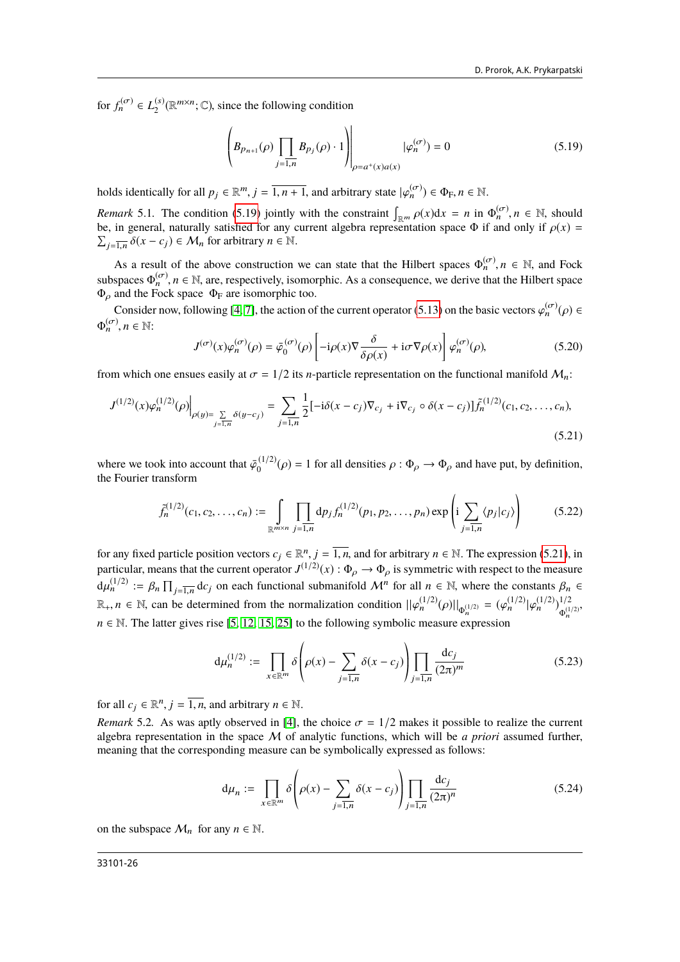for  $f_n^{(\sigma)} \in L_2^{(s)}$  $\mathbb{R}^{(s)}_{2}(\mathbb{R}^{m \times n}; \mathbb{C})$ , since the following condition

<span id="page-25-0"></span>
$$
\left(B_{p_{n+1}}(\rho)\prod_{j=\overline{1,n}}B_{p_j}(\rho)\cdot 1\right)\Big|_{\rho=a^+(x)a(x)}|\varphi_n^{(\sigma)}(0)=0
$$
\n(5.19)

holds identically for all  $p_j \in \mathbb{R}^m$ ,  $j = \overline{1, n+1}$ , and arbitrary state  $|\varphi_n^{(\sigma)}\rangle \in \Phi_F$ ,  $n \in \mathbb{N}$ .

*Remark* 5.1. The condition [\(5.19\)](#page-25-0) jointly with the constraint  $\int_{\mathbb{R}^m} \rho(x) dx = n$  in  $\Phi_n^{(\sigma)}$ ,  $n \in \mathbb{N}$ , should be in general naturally satisfied for any current algebra representation space  $\Phi$  if and only if  $\rho$ be, in general, naturally satisfied for any current algebra representation space  $\Phi$  if and only if  $\rho(x)$  =  $j=\overline{1,n} \delta(x-c_j) \in \mathcal{M}_n$  for arbitrary  $n \in \mathbb{N}$ .

As a result of the above construction we can state that the Hilbert spaces  $\Phi_n^{(\sigma)}$ ,  $n \in \mathbb{N}$ , and Fock subspaces  $\Phi_n^{(\sigma)}$ ,  $n \in \mathbb{N}$ , are, respectively, isomorphic. As a consequence, we derive that the Hilbert space  $\Phi_n$  and the Fock space  $\Phi_n$  are isomorphic too  $\Phi$ <sub>ρ</sub> and the Fock space  $\Phi$ <sub>F</sub> are isomorphic too.

Consider now, following [\[4,](#page-28-3) [7\]](#page-28-8), the action of the current operator [\(5.13\)](#page-24-0) on the basic vectors  $\varphi_n^{(\sigma)}(\rho) \in$  $\Phi_n^{(\sigma)}$ ,  $n \in \mathbb{N}$ :

<span id="page-25-2"></span><span id="page-25-1"></span>
$$
J^{(\sigma)}(x)\varphi_n^{(\sigma)}(\rho) = \bar{\varphi}_0^{(\sigma)}(\rho) \left[ -i\rho(x)\nabla \frac{\delta}{\delta \rho(x)} + i\sigma \nabla \rho(x) \right] \varphi_n^{(\sigma)}(\rho),\tag{5.20}
$$

from which one ensues easily at  $\sigma = 1/2$  its *n*-particle representation on the functional manifold  $M_n$ :

$$
J^{(1/2)}(x)\varphi_n^{(1/2)}(\rho)\Big|_{\rho(y)=\sum\limits_{j=\overline{1,n}}\delta(y-c_j)}=\sum\limits_{j=\overline{1,n}}\frac{1}{2}[-i\delta(x-c_j)\nabla_{c_j}+i\nabla_{c_j}\circ\delta(x-c_j)]\tilde{f}_n^{(1/2)}(c_1,c_2,\ldots,c_n),\tag{5.21}
$$

where we took into account that  $\bar{\varphi}_0^{(1/2)}$ <br>the Fourier transform  $\phi_0^{(1/2)}(\rho) = 1$  for all densities  $\rho : \Phi_{\rho} \to \Phi_{\rho}$  and have put, by definition, the Fourier transform

$$
\tilde{f}_n^{(1/2)}(c_1, c_2, \dots, c_n) := \int_{\mathbb{R}^{m \times n}} \prod_{j=1, n} dp_j f_n^{(1/2)}(p_1, p_2, \dots, p_n) \exp\left(i \sum_{j=1, n} \langle p_j | c_j \rangle\right) \tag{5.22}
$$

for any fixed particle position vectors  $c_j \in \mathbb{R}^n$ ,  $j = \overline{1, n}$ , and for arbitrary  $n \in \mathbb{N}$ . The expression [\(5.21\)](#page-25-1), in<br>particular means that the current operator  $I^{(1/2)}(x)$ :  $\Phi_{n} \to \Phi_{n}$  is summatric with resp particular, means that the current operator  $J^{(1/2)}(x)$ :  $\Phi_{\rho} \to \Phi_{\rho}$  is symmetric with respect to the measure  $d\mu_n^{(1/2)} := \beta_n \prod_{j=\overline{1,n}} d c_j$  on each functional submanifold  $\mathcal{M}^n$  for all  $n \in \mathbb{N}$ , where the constants  $\beta_n \in$  $j=1,n$  $\mathbb{R}_+$ , *n* ∈ N, can be determined from the normalization condition  $||\varphi_n^{(1/2)}(\rho)||_{\Phi_n^{(1/2)}} = (\varphi_n^{(1/2)}|\varphi_n^{(1/2)})_{\Phi_n^{(1/2)}}^{1/2}$  $\Phi_n^{(1/2)}$  $n \in \mathbb{N}$ . The latter gives rise [\[5,](#page-28-7) [12,](#page-28-9) [15,](#page-28-22) [25\]](#page-28-17) to the following symbolic measure expression

$$
d\mu_n^{(1/2)} := \prod_{x \in \mathbb{R}^m} \delta\left(\rho(x) - \sum_{j=1,n} \delta(x - c_j)\right) \prod_{j=1,n} \frac{dc_j}{(2\pi)^m}
$$
(5.23)

for all  $c_j \in \mathbb{R}^n$ ,  $j = \overline{1, n}$ , and arbitrary  $n \in \mathbb{N}$ .

*Remark* 5.2. As was aptly observed in [\[4\]](#page-28-3), the choice  $\sigma = 1/2$  makes it possible to realize the current algebra representation in the space M of analytic functions, which will be *a priori* assumed further, meaning that the corresponding measure can be symbolically expressed as follows:

$$
d\mu_n := \prod_{x \in \mathbb{R}^m} \delta\left(\rho(x) - \sum_{j=\overline{1,n}} \delta(x - c_j)\right) \prod_{j=\overline{1,n}} \frac{dc_j}{(2\pi)^n}
$$
(5.24)

on the subspace  $\mathcal{M}_n$  for any  $n \in \mathbb{N}$ .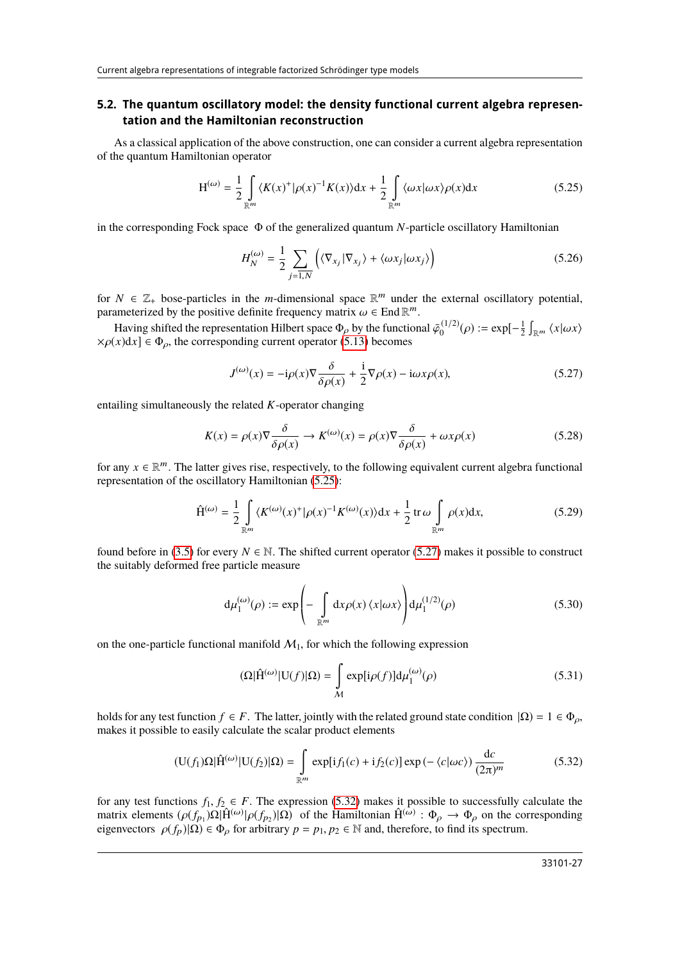#### **5.2. The quantum oscillatory model: the density functional current algebra representation and the Hamiltonian reconstruction**

As a classical application of the above construction, one can consider a current algebra representation of the quantum Hamiltonian operator

<span id="page-26-0"></span>
$$
H^{(\omega)} = \frac{1}{2} \int_{\mathbb{R}^m} \langle K(x)^+ | \rho(x)^{-1} K(x) \rangle dx + \frac{1}{2} \int_{\mathbb{R}^m} \langle \omega x | \omega x \rangle \rho(x) dx \tag{5.25}
$$

in the corresponding Fock space Φ of the generalized quantum *N*-particle oscillatory Hamiltonian

<span id="page-26-4"></span>
$$
H_N^{(\omega)} = \frac{1}{2} \sum_{j=\overline{1,N}} \left( \langle \nabla_{x_j} | \nabla_{x_j} \rangle + \langle \omega x_j | \omega x_j \rangle \right) \tag{5.26}
$$

for  $N \in \mathbb{Z}_+$  bose-particles in the *m*-dimensional space  $\mathbb{R}^m$  under the external oscillatory potential, parameterized by the positive definite frequency matrix  $\omega \in$  End  $\mathbb{R}^m$ <br>Laving objeted the representation Hilbert engage  $\Phi$ , by the function

Having shifted the representation Hilbert space  $\Phi_{\rho}$  by the functional  $\bar{\varphi}_0^{(1/2)}$ <br>
(x)dx]  $\in \Phi$  the corresponding current operator (5.13) becomes  $S_0^{(1/2)}(\rho) := \exp[-\frac{1}{2} \int_{\mathbb{R}^m} \langle x | \omega x \rangle$  $\times \rho(x)dx$   $\in \Phi_{\rho}$ , the corresponding current operator [\(5.13\)](#page-24-0) becomes

<span id="page-26-3"></span><span id="page-26-1"></span>
$$
J^{(\omega)}(x) = -i\rho(x)\nabla \frac{\delta}{\delta \rho(x)} + \frac{i}{2}\nabla \rho(x) - i\omega x \rho(x),
$$
\n(5.27)

entailing simultaneously the related *K*-operator changing

$$
K(x) = \rho(x)\nabla \frac{\delta}{\delta \rho(x)} \to K^{(\omega)}(x) = \rho(x)\nabla \frac{\delta}{\delta \rho(x)} + \omega x \rho(x)
$$
(5.28)

for any  $x \in \mathbb{R}^m$ . The latter gives rise, respectively, to the following equivalent current algebra functional representation of the oscillatory Hamiltonian (5.25). representation of the oscillatory Hamiltonian [\(5.25\)](#page-26-0):

$$
\hat{\mathbf{H}}^{(\omega)} = \frac{1}{2} \int\limits_{\mathbb{R}^m} \langle K^{(\omega)}(x)^+ | \rho(x)^{-1} K^{(\omega)}(x) \rangle \mathrm{d}x + \frac{1}{2} \operatorname{tr} \omega \int\limits_{\mathbb{R}^m} \rho(x) \mathrm{d}x,\tag{5.29}
$$

found before in [\(3.5\)](#page-10-2) for every  $N \in \mathbb{N}$ . The shifted current operator [\(5.27\)](#page-26-1) makes it possible to construct the suitably deformed free particle measure

<span id="page-26-5"></span>
$$
d\mu_1^{(\omega)}(\rho) := \exp\left(-\int_{\mathbb{R}^m} dx \rho(x) \langle x | \omega x \rangle\right) d\mu_1^{(1/2)}(\rho) \tag{5.30}
$$

on the one-particle functional manifold  $M_1$ , for which the following expression

<span id="page-26-2"></span>
$$
(\Omega|\hat{\mathbf{H}}^{(\omega)}|\mathbf{U}(f)|\Omega) = \int_{\mathcal{M}} \exp[i\rho(f)]\mathrm{d}\mu_1^{(\omega)}(\rho)
$$
 (5.31)

holds for any test function  $f \in F$ . The latter, jointly with the related ground state condition  $|\Omega| = 1 \in \Phi_{\rho}$ , makes it possible to easily calculate the scalar product elements

$$
(\mathbf{U}(f_1)\Omega|\hat{\mathbf{H}}^{(\omega)}|\mathbf{U}(f_2)|\Omega) = \int_{\mathbb{R}^m} \exp[i f_1(c) + i f_2(c)] \exp(-\langle c|\omega c\rangle) \frac{dc}{(2\pi)^m}
$$
(5.32)

for any test functions  $f_1, f_2 \in F$ . The expression [\(5.32\)](#page-26-2) makes it possible to successfully calculate the matrix elements  $(\rho(f_{p_1})\Omega|\hat{H}^{(\omega)}|\rho(f_{p_2})|\Omega)$  of the Hamiltonian  $\hat{H}^{(\omega)}$ :  $\Phi_{\rho} \to \Phi_{\rho}$  on the corresponding eigenvectors  $\rho(f)|\Omega\rangle \in \Phi$  for arbitrary  $p = p_1, p_2 \in \mathbb{N}$  and therefore to find its spectrum eigenvectors  $\rho(f_p)|\Omega\rangle \in \Phi_\rho$  for arbitrary  $p = p_1, p_2 \in \mathbb{N}$  and, therefore, to find its spectrum.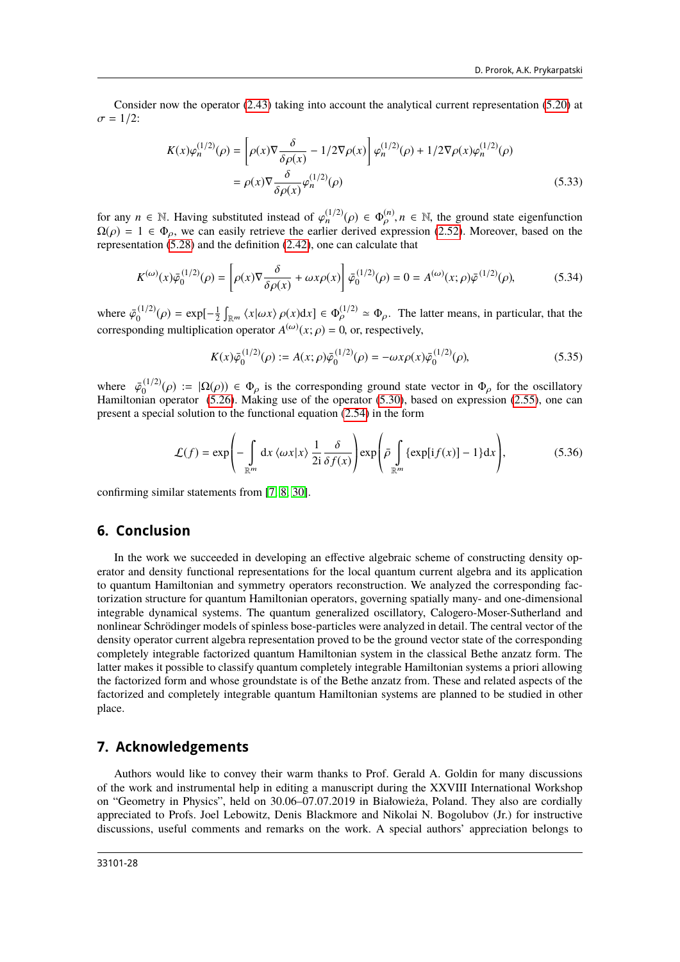Consider now the operator [\(2.43\)](#page-7-3) taking into account the analytical current representation [\(5.20\)](#page-25-2) at  $\sigma = 1/2$ :

$$
K(x)\varphi_n^{(1/2)}(\rho) = \left[\rho(x)\nabla\frac{\delta}{\delta\rho(x)} - 1/2\nabla\rho(x)\right]\varphi_n^{(1/2)}(\rho) + 1/2\nabla\rho(x)\varphi_n^{(1/2)}(\rho)
$$
  
=  $\rho(x)\nabla\frac{\delta}{\delta\rho(x)}\varphi_n^{(1/2)}(\rho)$  (5.33)

for any  $n \in \mathbb{N}$ . Having substituted instead of  $\varphi_n^{(1/2)}(\rho) \in \Phi_{\rho}^{(n)}$ ,  $n \in \mathbb{N}$ , the ground state eigenfunction  $O(\rho) = 1 \in \Phi$ , we can easily retrieve the earlier derived expression (2.52). Moreover, based on t  $\Omega(\rho) = 1 \in \Phi_{\rho}$ , we can easily retrieve the earlier derived expression [\(2.52\)](#page-8-2). Moreover, based on the representation (5.28) and the definition (2.42) one can calculate that representation [\(5.28\)](#page-26-3) and the definition [\(2.42\)](#page-7-5), one can calculate that

$$
K^{(\omega)}(x)\bar{\varphi}_0^{(1/2)}(\rho) = \left[\rho(x)\nabla \frac{\delta}{\delta \rho(x)} + \omega x \rho(x)\right] \bar{\varphi}_0^{(1/2)}(\rho) = 0 = A^{(\omega)}(x;\rho)\bar{\varphi}^{(1/2)}(\rho),\tag{5.34}
$$

where  $\bar{\varphi}_0^{(1/2)}$  $\phi_0^{(1/2)}(\rho) = \exp[-\frac{1}{2}\int_{\mathbb{R}^m} \langle x|\omega x\rangle \rho(x)dx] \in \Phi_\rho^{(1/2)} \simeq \Phi_\rho$ . The latter means, in particular, that the corresponding multiplication operator  $A^{(\omega)}(x; \rho) = 0$ , or, respectively,

$$
K(x)\bar{\varphi}_0^{(1/2)}(\rho) := A(x;\rho)\bar{\varphi}_0^{(1/2)}(\rho) = -\omega x \rho(x)\bar{\varphi}_0^{(1/2)}(\rho),\tag{5.35}
$$

where  $\bar{\varphi}_0^{(1/2)}$ <br>Hamiltonian  $\Omega_0^{(1/2)}(\rho) := |\Omega(\rho)| \in \Phi_\rho$  is the corresponding ground state vector in  $\Phi_\rho$  for the oscillatory<br>ian operator (5.26) Making use of the operator (5.30) based on expression (2.55) one can Hamiltonian operator [\(5.26\)](#page-26-4). Making use of the operator [\(5.30\)](#page-26-5), based on expression [\(2.55\)](#page-8-5), one can present a special solution to the functional equation [\(2.54\)](#page-8-4) in the form

$$
\mathcal{L}(f) = \exp\left(-\int_{\mathbb{R}^m} dx \langle \omega x | x \rangle \frac{1}{2i} \frac{\delta}{\delta f(x)}\right) \exp\left(\bar{\rho} \int_{\mathbb{R}^m} \{\exp[i f(x)] - 1\} dx\right),\tag{5.36}
$$

confirming similar statements from [\[7,](#page-28-8) [8,](#page-28-20) [30\]](#page-28-26).

### **6. Conclusion**

In the work we succeeded in developing an effective algebraic scheme of constructing density operator and density functional representations for the local quantum current algebra and its application to quantum Hamiltonian and symmetry operators reconstruction. We analyzed the corresponding factorization structure for quantum Hamiltonian operators, governing spatially many- and one-dimensional integrable dynamical systems. The quantum generalized oscillatory, Calogero-Moser-Sutherland and nonlinear Schrödinger models of spinless bose-particles were analyzed in detail. The central vector of the density operator current algebra representation proved to be the ground vector state of the corresponding completely integrable factorized quantum Hamiltonian system in the classical Bethe anzatz form. The latter makes it possible to classify quantum completely integrable Hamiltonian systems a priori allowing the factorized form and whose groundstate is of the Bethe anzatz from. These and related aspects of the factorized and completely integrable quantum Hamiltonian systems are planned to be studied in other place.

# **7. Acknowledgements**

Authors would like to convey their warm thanks to Prof. Gerald A. Goldin for many discussions of the work and instrumental help in editing a manuscript during the XXVIII International Workshop on "Geometry in Physics", held on 30.06–07.07.2019 in Białowieża, Poland. They also are cordially appreciated to Profs. Joel Lebowitz, Denis Blackmore and Nikolai N. Bogolubov (Jr.) for instructive discussions, useful comments and remarks on the work. A special authors' appreciation belongs to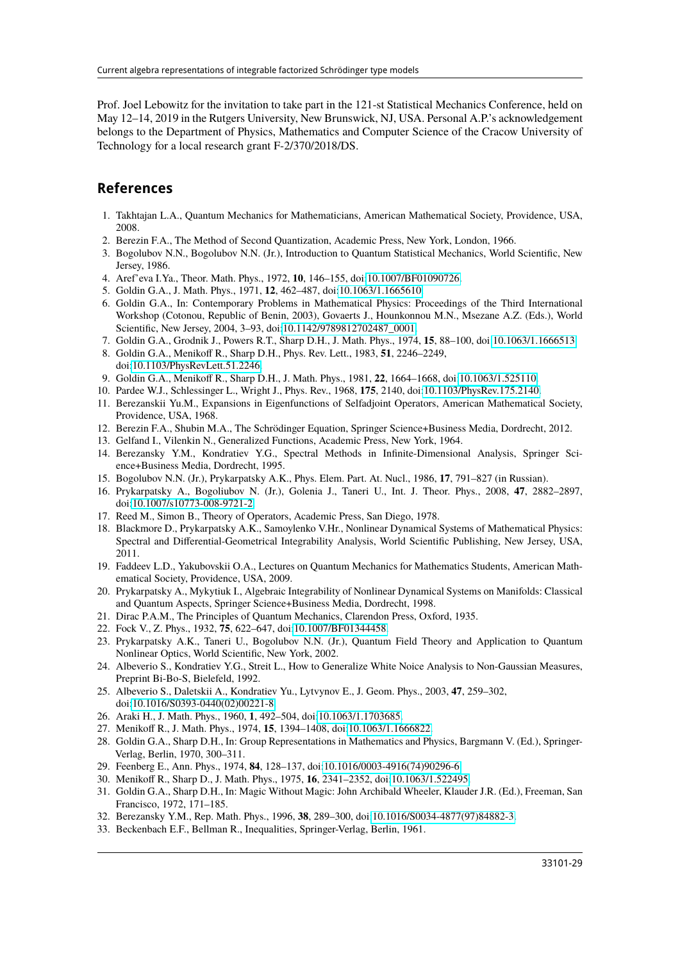Prof. Joel Lebowitz for the invitation to take part in the 121-st Statistical Mechanics Conference, held on May 12–14, 2019 in the Rutgers University, New Brunswick, NJ, USA. Personal A.P.'s acknowledgement belongs to the Department of Physics, Mathematics and Computer Science of the Cracow University of Technology for a local research grant F-2/370/2018/DS.

### **References**

- <span id="page-28-0"></span>1. Takhtajan L.A., Quantum Mechanics for Mathematicians, American Mathematical Society, Providence, USA, 2008.
- <span id="page-28-1"></span>2. Berezin F.A., The Method of Second Quantization, Academic Press, New York, London, 1966.
- <span id="page-28-2"></span>3. Bogolubov N.N., Bogolubov N.N. (Jr.), Introduction to Quantum Statistical Mechanics, World Scientific, New Jersey, 1986.
- <span id="page-28-3"></span>4. Aref'eva I.Ya., Theor. Math. Phys., 1972, **10**, 146–155, doi[:10.1007/BF01090726.](https://doi.org/10.1007/BF01090726)
- <span id="page-28-7"></span>5. Goldin G.A., J. Math. Phys., 1971, **12**, 462–487, doi[:10.1063/1.1665610.](https://doi.org/10.1063/1.1665610)
- <span id="page-28-19"></span>6. Goldin G.A., In: Contemporary Problems in Mathematical Physics: Proceedings of the Third International Workshop (Cotonou, Republic of Benin, 2003), Govaerts J., Hounkonnou M.N., Msezane A.Z. (Eds.), World Scientific, New Jersey, 2004, 3–93, doi[:10.1142/9789812702487\\_0001.](https://doi.org/10.1142/9789812702487_0001)
- <span id="page-28-8"></span>7. Goldin G.A., Grodnik J., Powers R.T., Sharp D.H., J. Math. Phys., 1974, **15**, 88–100, doi[:10.1063/1.1666513.](https://doi.org/10.1063/1.1666513)
- <span id="page-28-20"></span>8. Goldin G.A., Menikoff R., Sharp D.H., Phys. Rev. Lett., 1983, **51**, 2246–2249, doi[:10.1103/PhysRevLett.51.2246.](https://doi.org/10.1103/PhysRevLett.51.2246)
- <span id="page-28-21"></span>9. Goldin G.A., Menikoff R., Sharp D.H., J. Math. Phys., 1981, **22**, 1664–1668, doi[:10.1063/1.525110.](https://doi.org/10.1063/1.525110)
- <span id="page-28-4"></span>10. Pardee W.J., Schlessinger L., Wright J., Phys. Rev., 1968, **175**, 2140, doi[:10.1103/PhysRev.175.2140.](https://doi.org/10.1103/PhysRev.175.2140)
- <span id="page-28-5"></span>11. Berezanskii Yu.M., Expansions in Eigenfunctions of Selfadjoint Operators, American Mathematical Society, Providence, USA, 1968.
- <span id="page-28-9"></span>12. Berezin F.A., Shubin M.A., The Schrödinger Equation, Springer Science+Business Media, Dordrecht, 2012.
- <span id="page-28-6"></span>13. Gelfand I., Vilenkin N., Generalized Functions, Academic Press, New York, 1964.
- <span id="page-28-10"></span>14. Berezansky Y.M., Kondratiev Y.G., Spectral Methods in Infinite-Dimensional Analysis, Springer Science+Business Media, Dordrecht, 1995.
- <span id="page-28-22"></span>15. Bogolubov N.N. (Jr.), Prykarpatsky A.K., Phys. Elem. Part. At. Nucl., 1986, **17**, 791–827 (in Russian).
- <span id="page-28-29"></span>16. Prykarpatsky A., Bogoliubov N. (Jr.), Golenia J., Taneri U., Int. J. Theor. Phys., 2008, **47**, 2882–2897, doi[:10.1007/s10773-008-9721-2.](https://doi.org/10.1007/s10773-008-9721-2)
- <span id="page-28-11"></span>17. Reed M., Simon B., Theory of Operators, Academic Press, San Diego, 1978.
- <span id="page-28-12"></span>18. Blackmore D., Prykarpatsky A.K., Samoylenko V.Hr., Nonlinear Dynamical Systems of Mathematical Physics: Spectral and Differential-Geometrical Integrability Analysis, World Scientific Publishing, New Jersey, USA, 2011.
- 19. Faddeev L.D., Yakubovskii O.A., Lectures on Quantum Mechanics for Mathematics Students, American Mathematical Society, Providence, USA, 2009.
- <span id="page-28-13"></span>20. Prykarpatsky A., Mykytiuk I., Algebraic Integrability of Nonlinear Dynamical Systems on Manifolds: Classical and Quantum Aspects, Springer Science+Business Media, Dordrecht, 1998.
- <span id="page-28-14"></span>21. Dirac P.A.M., The Principles of Quantum Mechanics, Clarendon Press, Oxford, 1935.
- 22. Fock V., Z. Phys., 1932, **75**, 622–647, doi[:10.1007/BF01344458.](https://doi.org/10.1007/BF01344458)
- <span id="page-28-15"></span>23. Prykarpatsky A.K., Taneri U., Bogolubov N.N. (Jr.), Quantum Field Theory and Application to Quantum Nonlinear Optics, World Scientific, New York, 2002.
- <span id="page-28-16"></span>24. Albeverio S., Kondratiev Y.G., Streit L., How to Generalize White Noice Analysis to Non-Gaussian Measures, Preprint Bi-Bo-S, Bielefeld, 1992.
- <span id="page-28-17"></span>25. Albeverio S., Daletskii A., Kondratiev Yu., Lytvynov E., J. Geom. Phys., 2003, **47**, 259–302, doi[:10.1016/S0393-0440\(02\)00221-8.](https://doi.org/10.1016/S0393-0440(02)00221-8)
- <span id="page-28-18"></span>26. Araki H., J. Math. Phys., 1960, **1**, 492–504, doi[:10.1063/1.1703685.](https://doi.org/10.1063/1.1703685)
- <span id="page-28-23"></span>27. Menikoff R., J. Math. Phys., 1974, **15**, 1394–1408, doi[:10.1063/1.1666822.](https://doi.org/10.1063/1.1666822)
- <span id="page-28-24"></span>28. Goldin G.A., Sharp D.H., In: Group Representations in Mathematics and Physics, Bargmann V. (Ed.), Springer-Verlag, Berlin, 1970, 300–311.
- <span id="page-28-25"></span>29. Feenberg E., Ann. Phys., 1974, **84**, 128–137, doi[:10.1016/0003-4916\(74\)90296-6.](https://doi.org/10.1016/0003-4916(74)90296-6)
- <span id="page-28-26"></span>30. Menikoff R., Sharp D., J. Math. Phys., 1975, **16**, 2341–2352, doi[:10.1063/1.522495.](https://doi.org/10.1063/1.522495)
- <span id="page-28-27"></span>31. Goldin G.A., Sharp D.H., In: Magic Without Magic: John Archibald Wheeler, Klauder J.R. (Ed.), Freeman, San Francisco, 1972, 171–185.
- <span id="page-28-28"></span>32. Berezansky Y.M., Rep. Math. Phys., 1996, **38**, 289–300, doi[:10.1016/S0034-4877\(97\)84882-3.](https://doi.org/10.1016/S0034-4877(97)84882-3)
- <span id="page-28-30"></span>33. Beckenbach E.F., Bellman R., Inequalities, Springer-Verlag, Berlin, 1961.